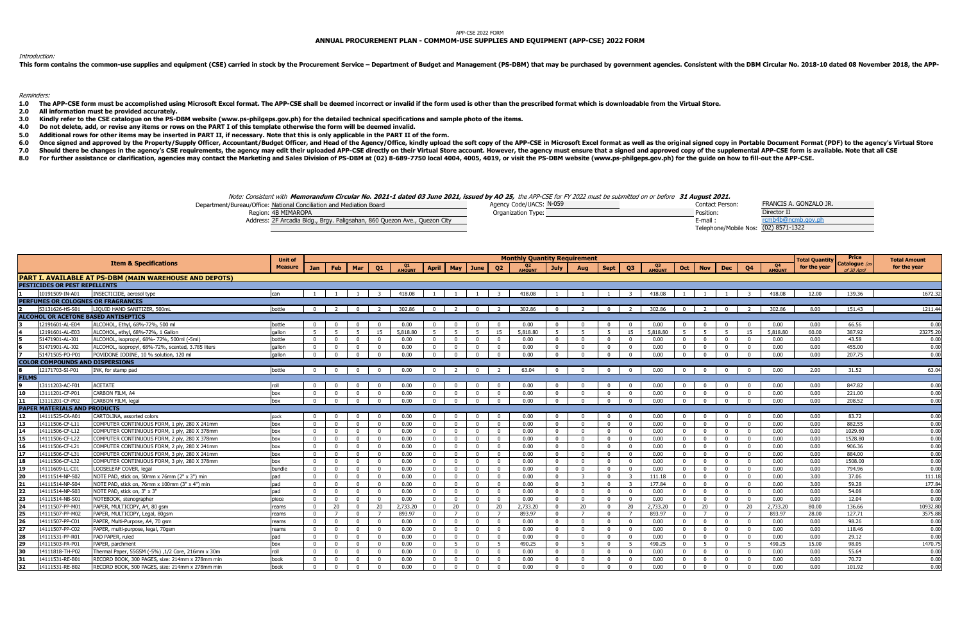## APP-CSE 2022 FORM

## **ANNUAL PROCUREMENT PLAN - COMMOM-USE SUPPLIES AND EQUIPMENT (APP-CSE) 2022 FORM**

## Introduction:

This form contains the common-use supplies and equipment (CSE) carried in stock by the Procurement Service - Department of Budget and Management (PS-DBM) that may be purchased by government agencies. Consistent with the DB

Reminders:

- 1.0 The APP-CSE form must be accomplished using Microsoft Excel format. The APP-CSE shall be deemed incorrect or invalid if the form used is other than the prescribed format which is downloadable from the Virtual Store.
- **2.0 All information must be provided accurately.**
- **3.0 Kindly refer to the CSE catalogue on the PS-DBM website (www.ps-philgeps.gov.ph) for the detailed technical specifications and sample photo of the items.**
- **4.0 Do not delete, add, or revise any items or rows on the PART I of this template otherwise the form will be deemed invalid.**
- **5.0 Additional rows for other items may be inserted in PART II, if necessary. Note that this is only applicable in the PART II of the form.**
- **6.0** Once signed and approved by the Property/Supply Officer, Accountant/Budget Officer, and Head of the Agency/Office, kindly upload the soft copy of the APP-CSE in Microsoft Excel format as well as the original signed copy in
- **7.0** Should there be changes in the agency's CSE requirements, the agency may edit their uploaded APP-CSE directly on their Virtual Store account. However, the agency must ensure that a signed and approved copy of the supplemen
- **8.0** For further assistance or clarification, agencies may contact the Marketing and Sales Division of PS-DBM at (02) 8-689-7750 local 4004, 4005, 4019, or visit the PS-DBM website (www.ps-philgeps.gov.ph) for the quide on how

Note: Consistent with **Memorandum Circular No. 2021-1 dated 03 June 2021, issued by AO 25,** the APP-CSE for FY 2022 must be submitted on or before **31 August 2021.**

| was. Consistent man riemoranium encarar no. 2021 I uateu 03 June 2021, issueu by AO 23, are An CSL for m 2022 mast be submitted on or before "31 August 2021," |                         |                 |                        |
|----------------------------------------------------------------------------------------------------------------------------------------------------------------|-------------------------|-----------------|------------------------|
| Department/Bureau/Office: National Conciliation and Mediation Board                                                                                            | Agency Code/UACS: N-059 | Contact Person: | FRANCIS A. GONZALO JR. |
| Region: 4B MIMAROPA                                                                                                                                            | Organization Type:      | Position:       | Director II            |
| Address: 2F Arcadia Bldg., Brgy. Paligsahan, 860 Quezon Ave., Quezon City                                                                                      |                         | . E-mail-       | rcmb4b@ncmb.gov.ph     |

| Department/Bureau/Office: National Conciliation and Mediation Board |                                                                           | Agency Code/UACS: N-059 | Contact Person:                      | FRANCIS A. GONZALO JR. |
|---------------------------------------------------------------------|---------------------------------------------------------------------------|-------------------------|--------------------------------------|------------------------|
| Region: 4B MIMAROPA                                                 |                                                                           | Organization Type:      | Position:                            | Director II            |
|                                                                     | Address: 2F Arcadia Bldg., Brgy. Paligsahan, 860 Quezon Ave., Quezon City |                         | $F$ -mail.                           |                        |
|                                                                     |                                                                           |                         | Telephone/Mobile Nos: (02) 8571-1322 |                        |

|              |                                        |                                                         | <b>Unit of</b> |                |                |                |                |              |                |                |                |                | <b>Monthly Quantity Requirement</b> |                |                |                |                |          |              |                 |                |                |          | <b>Total Quantity</b> | Price                        | <b>Total Amount</b> |
|--------------|----------------------------------------|---------------------------------------------------------|----------------|----------------|----------------|----------------|----------------|--------------|----------------|----------------|----------------|----------------|-------------------------------------|----------------|----------------|----------------|----------------|----------|--------------|-----------------|----------------|----------------|----------|-----------------------|------------------------------|---------------------|
|              |                                        | <b>Item &amp; Specifications</b>                        | <b>Measure</b> | Jan            | Feb   Mar      |                | Q1             | Q1<br>EMOUNT |                |                | April May June | Q2             | <b>AMOUNT</b>                       | <b>July</b>    | Aug            | <b>Sept</b>    | Q3             |          |              | Oct   Nov   Dec |                | <b>Q4</b>      | Q4       | for the year          | Catalogue (as<br>of 30 Anril | for the year        |
|              |                                        | PART I. AVAILABLE AT PS-DBM (MAIN WAREHOUSE AND DEPOTS) |                |                |                |                |                |              |                |                |                |                |                                     |                |                |                |                |          |              |                 |                |                |          |                       |                              |                     |
|              | PESTICIDES OR PEST REPELLENTS          |                                                         |                |                |                |                |                |              |                |                |                |                |                                     |                |                |                |                |          |              |                 |                |                |          |                       |                              |                     |
|              | 10191509-IN-A01                        | INSECTICIDE, aerosol type                               | can            | $\overline{1}$ |                |                | $\overline{z}$ | 418.08       |                |                |                |                | 418.08                              |                |                |                |                | 418.08   |              |                 |                |                | 418.08   | 12.00                 | 139.36                       | 1672.32             |
|              |                                        | PERFUMES OR COLOGNES OR FRAGRANCES                      |                |                |                |                |                |              |                |                |                |                |                                     |                |                |                |                |          |              |                 |                |                |          |                       |                              |                     |
|              | 53131626-HS-S01                        | LIOUID HAND SANITIZER, 500mL                            | bottle         | $\Omega$       | $\overline{z}$ | $\Omega$       | $\overline{z}$ | 302.86       | $\Omega$       |                | $\Omega$       |                | 302.86                              |                |                |                |                | 302.86   | $\Omega$     | $\overline{z}$  | $\overline{0}$ |                | 302.86   | 8.00                  | 151.43                       | 1211.44             |
|              |                                        | <b>ALCOHOL OR ACETONE BASED ANTISEPTICS</b>             |                |                |                |                |                |              |                |                |                |                |                                     |                |                |                |                |          |              |                 |                |                |          |                       |                              |                     |
|              | 12191601-AL-E04                        | ALCOHOL, Ethyl, 68%-72%, 500 ml                         | bottle         | <sup>0</sup>   | <sup>0</sup>   | $\Omega$       | $\Omega$       | 0.00         | n.             | $\mathsf{D}$   | $\Omega$       | $\Omega$       | 0.00                                |                |                |                |                | 0.00     |              | $\Omega$        | $\overline{0}$ | $\Omega$       | 0.00     | 0.00                  | 66.56                        | 0.00                |
|              | 12191601-AL-E03                        | ALCOHOL, ethyl, 68%-72%, 1 Gallon                       | gallon         | -5             | 5 <sup>2</sup> | - 5            | 15             | 5,818.80     | $\overline{5}$ | -5             | 5 <sup>1</sup> | 15             | 5,818.80                            | $5^{\circ}$    |                | -5             | 15             | 5,818.80 | .5           | 5 <sup>1</sup>  | $-5$           | 15             | 5,818.80 | 60.00                 | 387.92                       | 23275.20            |
|              | 51471901-AL-I01                        | ALCOHOL, isopropyl, 68%- 72%, 500ml (-5ml)              | bottle         | $\Omega$       | $\Omega$       | $\mathbf{0}$   | $\Omega$       | 0.00         | $\Omega$       | $\Omega$       | $\Omega$       | $\Omega$       | 0.00                                | $\Omega$       |                |                |                | 0.00     | $\Omega$     | $\Omega$        | $\overline{0}$ | $\Omega$       | 0.00     | 0.00                  | 43.58                        | 0.00                |
|              | 51471901-AL-I02                        | ALCOHOL, isopropyl, 68%-72%, scented, 3.785 liters      | gallon         | $\mathbf{0}$   | $\Omega$       | $\overline{0}$ | $\overline{0}$ | 0.00         | $\Omega$       | $\mathbf 0$    | $\Omega$       | $\overline{0}$ | 0.00                                | $\sqrt{2}$     | $\sqrt{ }$     | - 0            | $\Omega$       | 0.00     | $\Omega$     | $\Omega$        | $\overline{0}$ | $\Omega$       | 0.00     | 0.00                  | 455.00                       | 0.00                |
|              | 51471505-PO-P01                        | POVIDONE IODINE, 10 % solution, 120 ml                  | gallon         | $\Omega$       | $\Omega$       | $\Omega$       | $\Omega$       | 0.00         | $\Omega$       | $\overline{0}$ | $\Omega$       | $\overline{0}$ | 0.00                                | $\Omega$       | - 0            | $\Omega$       |                | 0.00     | $\Omega$     | $\Omega$        | $\overline{0}$ | $\Omega$       | 0.00     | 0.00                  | 207.75                       | 0.00                |
|              | <b>COLOR COMPOUNDS AND DISPERSIONS</b> |                                                         |                |                |                |                |                |              |                |                |                |                |                                     |                |                |                |                |          |              |                 |                |                |          |                       |                              |                     |
|              | 2171703-SI-P01                         | INK, for stamp pad                                      | bottle         | $\mathbf{0}$   | $\Omega$       | $\overline{0}$ | $\Omega$       | 0.00         | $\Omega$       | $\overline{2}$ | $\Omega$       | $\overline{2}$ | 63.04                               | $\sqrt{2}$     | $\sqrt{ }$     | $\Omega$       |                | 0.00     | $\Omega$     | $\Omega$        | $\overline{0}$ | $\Omega$       | 0.00     | 2.00                  | 31.52                        | 63.04               |
| <b>FILMS</b> |                                        |                                                         |                |                |                |                |                |              |                |                |                |                |                                     |                |                |                |                |          |              |                 |                |                |          |                       |                              |                     |
|              | 3111203-AC-F01                         | <b>ACETATE</b>                                          | roll           | $\Omega$       | $\Omega$       | $\Omega$       | $\Omega$       | 0.00         | $\Omega$       | $\Omega$       | $\Omega$       | $\Omega$       | 0.00                                | $\Omega$       |                |                |                | 0.00     | $\Omega$     | $\Omega$        | $\overline{0}$ | $\Omega$       | 0.00     | 0.00                  | 847.82                       | 0.00                |
| 10           | 3111201-CF-P01                         | CARBON FILM, A4                                         | box            | $\Omega$       | $\Omega$       | $\Omega$       | $\Omega$       | 0.00         | $\Omega$       | $\Omega$       | $\Omega$       | $\Omega$       | 0.00                                | $\Omega$       |                |                |                | 0.00     | $\Omega$     | $\Omega$        | $\overline{0}$ | $\Omega$       | 0.00     | 0.00                  | 221.00                       | 0.00                |
|              | 3111201-CF-P02                         | CARBON FILM, legal                                      | box            | $\Omega$       | $\Omega$       | $\Omega$       | $\Omega$       | 0.00         | $\Omega$       | $\Omega$       | $\Omega$       | $\Omega$       | 0.00                                |                |                |                |                | 0.00     | $\Omega$     | $\Omega$        | $\sqrt{ }$     | $\Omega$       | 0.00     | 0.00                  | 208.52                       | 0.00                |
|              | <b>PAPER MATERIALS AND PRODUCTS</b>    |                                                         |                |                |                |                |                |              |                |                |                |                |                                     |                |                |                |                |          |              |                 |                |                |          |                       |                              |                     |
| 12           | 14111525-CA-A01                        | CARTOLINA, assorted colors                              | pack           | $\Omega$       | $\Omega$       | $\Omega$       | $\Omega$       | 0.00         | $\Omega$       | $\Omega$       | $\Omega$       | $\Omega$       | 0.00                                |                |                |                |                | 0.00     | $\Omega$     | $\Omega$        | $\overline{0}$ | $\Omega$       | 0.00     | 0.00                  | 83.72                        | 0.00                |
| 13           | 14111506-CF-L11                        | COMPUTER CONTINUOUS FORM, 1 ply, 280 X 241mm            | hox            | $\Omega$       | $\Omega$       | $\overline{0}$ | $\overline{0}$ | 0.00         | $\Omega$       | $\Omega$       | $\Omega$       | $\Omega$       | 0.00                                | $\overline{0}$ | $\overline{0}$ | $\overline{0}$ | $\overline{0}$ | 0.00     | $\Omega$     | $\Omega$        | $\Omega$       | $\Omega$       | 0.00     | 0.00                  | 882.55                       | 0.00                |
| 14           | 14111506-CF-L12                        | COMPUTER CONTINUOUS FORM, 1 ply, 280 X 378mm            | box            | $\Omega$       | $\Omega$       | $\mathbf{0}$   | $\overline{0}$ | 0.00         | $\Omega$       | $\Omega$       | $\mathbf{0}$   | $\mathbf{0}$   | 0.00                                | $\Omega$       | - 0            | $\Omega$       | - 0            | 0.00     | $\Omega$     | $\Omega$        | $\overline{0}$ | $\Omega$       | 0.00     | 0.00                  | 1029.60                      | 0.00                |
| 15           | 14111506-CF-L22                        | COMPUTER CONTINUOUS FORM, 2 ply, 280 X 378mm            | box            | $\Omega$       | $\Omega$       | $\Omega$       | $\Omega$       | 0.00         | $\Omega$       | $\Omega$       | $\Omega$       | $\overline{0}$ | 0.00                                | $\Omega$       | $\Omega$       | $\Omega$       | $\Omega$       | 0.00     | $\Omega$     | $\Omega$        | $\overline{0}$ | $\Omega$       | 0.00     | 0.00                  | 1528.80                      | 0.00                |
| 16           | 14111506-CF-L21                        | COMPUTER CONTINUOUS FORM, 2 ply, 280 X 241mm            | box            | $\Omega$       | $\sqrt{ }$     | $\Omega$       | $\Omega$       | 0.00         | $\Omega$       | $\Omega$       | $\Omega$       | $\Omega$       | 0.00                                | $\Omega$       |                |                |                | 0.00     | $\Omega$     | $\Omega$        | $\overline{0}$ | $\Omega$       | 0.00     | 0.00                  | 906.36                       | 0.00                |
| 17           | 14111506-CF-L31                        | COMPUTER CONTINUOUS FORM, 3 ply, 280 X 241mm            | hox            | $\overline{0}$ | $\Omega$       | $\overline{0}$ | $\overline{0}$ | 0.00         | $\Omega$       | $\Omega$       | $\Omega$       | $\overline{0}$ | 0.00                                | $\Omega$       | $\Omega$       | $\Omega$       | $\Omega$       | 0.00     | $\Omega$     | $\Omega$        | $\overline{0}$ | $\overline{0}$ | 0.00     | 0.00                  | 884.00                       | 0.00                |
| 18           | 14111506-CF-L32                        | COMPUTER CONTINUOUS FORM, 3 ply, 280 X 378mm            | box            | $\Omega$       | $\Omega$       | $\Omega$       | $\Omega$       | 0.00         | $\Omega$       | $\Omega$       | $\Omega$       | $\Omega$       | 0.00                                | $\Omega$       |                | $\Omega$       |                | 0.00     | $\Omega$     | $\Omega$        | $\overline{0}$ | $\Omega$       | 0.00     | 0.00                  | 1508.00                      | 0.00                |
| 19           | 14111609-LL-C01                        | LOOSELEAF COVER, legal                                  | bundle         | $\Omega$       | $\Omega$       | $\overline{0}$ | $\mathbf{0}$   | 0.00         | $\overline{0}$ | $\overline{0}$ | $\mathbf{0}$   | $\overline{0}$ | 0.00                                | $\Omega$       | $\Omega$       | $\Omega$       | $\Omega$       | 0.00     | $\Omega$     | $\mathbf{0}$    | $\overline{0}$ | $\mathbf{0}$   | 0.00     | 0.00                  | 794.96                       | 0.00                |
| 20           | 14111514-NP-S02                        | NOTE PAD, stick on, 50mm x 76mm (2" x 3") min           | pad            | $\Omega$       | $\Omega$       | $\overline{0}$ | $\Omega$       | 0.00         | $\overline{0}$ | $\overline{0}$ | $\mathbf{0}$   | $\mathbf{0}$   | 0.00                                | $\Omega$       |                | $\Omega$       |                | 111.18   | $\mathbf{0}$ | $\mathbf{0}$    | $\overline{0}$ | $^{\circ}$     | 0.00     | 3.00                  | 37.06                        | 111.18              |
| 21           | 14111514-NP-S04                        | NOTE PAD, stick on, 76mm x 100mm (3" x 4") min          | pad            | $\Omega$       | $\Omega$       | $\overline{0}$ | $\overline{0}$ | 0.00         | $\Omega$       | $\Omega$       | $\Omega$       | $\Omega$       | 0.00                                | $\Omega$       | ્ર             | $\overline{0}$ |                | 177.84   | $\Omega$     | $\Omega$        | $\overline{0}$ | $\Omega$       | 0.00     | 3.00                  | 59.28                        | 177.84              |
| "            | 14111514-NP-S03                        | NOTE PAD, stick on, 3" x 3"                             | pad            | $\mathbf{0}$   | $\Omega$       | $\mathbf{0}$   | $\Omega$       | 0.00         | $\Omega$       | $\overline{0}$ | $\Omega$       | $\overline{0}$ | 0.00                                | $\Omega$       | - 0            | $\Omega$       |                | 0.00     | $\Omega$     | $\Omega$        | $\overline{0}$ | $\Omega$       | 0.00     | 0.00                  | 54.08                        | 0.00                |
| 23           | 14111514-NB-S01                        | NOTEBOOK, stenographer                                  | piece          | $\Omega$       | $\Omega$       | $\Omega$       | $\Omega$       | 0.00         | $\Omega$       | $\Omega$       | $\Omega$       | $\Omega$       | 0.00                                | $\Omega$       | - 0            | $\Omega$       |                | 0.00     | $\Omega$     | $\Omega$        | $\overline{0}$ | $\Omega$       | 0.00     | 0.00                  | 12.04                        | 0.00                |
| 24           | 14111507-PP-M01                        | PAPER, MULTICOPY, A4, 80 qsm                            | reams          | $\overline{0}$ | 20             | $\overline{0}$ | 20             | 2,733,20     | $\Omega$       | 20             | $\Omega$       | 20             | 2,733,20                            | $\Omega$       | 20             | $\Omega$       | 20             | 2,733,20 | $\Omega$     | 20              | $\overline{0}$ | 20             | 2,733.20 | 80.00                 | 136.66                       | 10932.80            |
| 25           | 14111507-PP-M02                        | PAPER, MULTICOPY, Legal, 80gsm                          | reams          | $\mathbf{0}$   | $\overline{7}$ | $\mathbf{0}$   |                | 893.97       | $\Omega$       |                | $\Omega$       |                | 893.97                              | $\Omega$       |                | $\overline{0}$ |                | 893.97   | $\Omega$     | $\overline{7}$  | $\overline{0}$ | $\overline{z}$ | 893.97   | 28.00                 | 127.71                       | 3575.88             |
| 26           | 14111507-PP-C01                        | PAPER, Multi-Purpose, A4, 70 gsm                        | reams          | $\overline{0}$ | $\Omega$       | $\mathbf{0}$   | $\overline{0}$ | 0.00         | $\Omega$       | $\overline{0}$ | $\Omega$       | $\overline{0}$ | 0.00                                | $\Omega$       | - 0            | - 0            | - 0            | 0.00     | $\Omega$     | $\Omega$        | $\overline{0}$ | $\Omega$       | 0.00     | 0.00                  | 98.26                        | 0.00                |
| 27           | 4111507-PP-C02                         | PAPER, multi-purpose, legal, 70gsm                      | reams          | $\Omega$       | $\Omega$       | $\Omega$       | $\Omega$       | 0.00         | $\Omega$       | $\Omega$       | $\Omega$       | $\Omega$       | 0.00                                | $\Omega$       | $\Omega$       | $\Omega$       |                | 0.00     | $\Omega$     | $\Omega$        | $\overline{0}$ | $\Omega$       | 0.00     | 0.00                  | 118.46                       | 0.00                |
| 28           | 14111531-PP-R01                        | PAD PAPER, ruled                                        | pad            | $\overline{0}$ | $\Omega$       | $\overline{0}$ | $\overline{0}$ | 0.00         | $\overline{0}$ | $\mathbf 0$    | $\mathbf{0}$   | $\overline{0}$ | 0.00                                | $\Omega$       | - 0            | $\overline{0}$ | $\overline{0}$ | 0.00     | $\Omega$     | $\overline{0}$  | $\overline{0}$ | $\overline{0}$ | 0.00     | 0.00                  | 29.12                        | 0.00                |
| 29           | 14111503-PA-P01                        | PAPER, parchment                                        | box            | $\Omega$       | $\Omega$       | $\Omega$       | $\Omega$       | 0.00         | $\Omega$       | -5             | $\Omega$       | -5             | 490.25                              | $\Omega$       | -5             | $\Omega$       | - 5            | 490.25   | $\Omega$     | - 5             | $\overline{0}$ | -5             | 490.25   | 15.00                 | 98.05                        | 1470.75             |
| 30           | 14111818-TH-P02                        | Thermal Paper, 55GSM (-5%) , 1/2 Core, 216mm x 30m      | roll           | $\Omega$       | $\Omega$       | $\mathbf{0}$   | $\overline{0}$ | 0.00         | $\Omega$       | $\overline{0}$ | $\Omega$       | $\overline{0}$ | 0.00                                | $\Omega$       | $\Omega$       | $\Omega$       | - 0            | 0.00     | $\Omega$     | $\Omega$        | $\overline{0}$ | $\Omega$       | 0.00     | 0.00                  | 55.64                        | 0.00                |
|              | 4111531-RE-B01                         | RECORD BOOK, 300 PAGES, size: 214mm x 278mm min         | book           | $\Omega$       | $\Omega$       | $\Omega$       |                | 0.00         | $\Omega$       | $\Omega$       | $\Omega$       |                | 0.00                                |                |                |                |                | 0.00     |              | $\Omega$        | $\Omega$       | $\Omega$       | 0.00     | 0.00                  | 70.72                        | 0.00                |
| 32           | 14111531-RE-B02                        | RECORD BOOK, 500 PAGES, size: 214mm x 278mm min         | book           | $\overline{0}$ | $\Omega$       | $\Omega$       | $\overline{0}$ | 0.00         | $\Omega$       | $\mathbf 0$    | $\Omega$       | $\overline{0}$ | 0.00                                | $\Omega$       | $\sqrt{ }$     | $\Omega$       | $\Omega$       | 0.00     | $\Omega$     | $\Omega$        | $\overline{0}$ | $\Omega$       | 0.00     | 0.00                  | 101.92                       | 0.00                |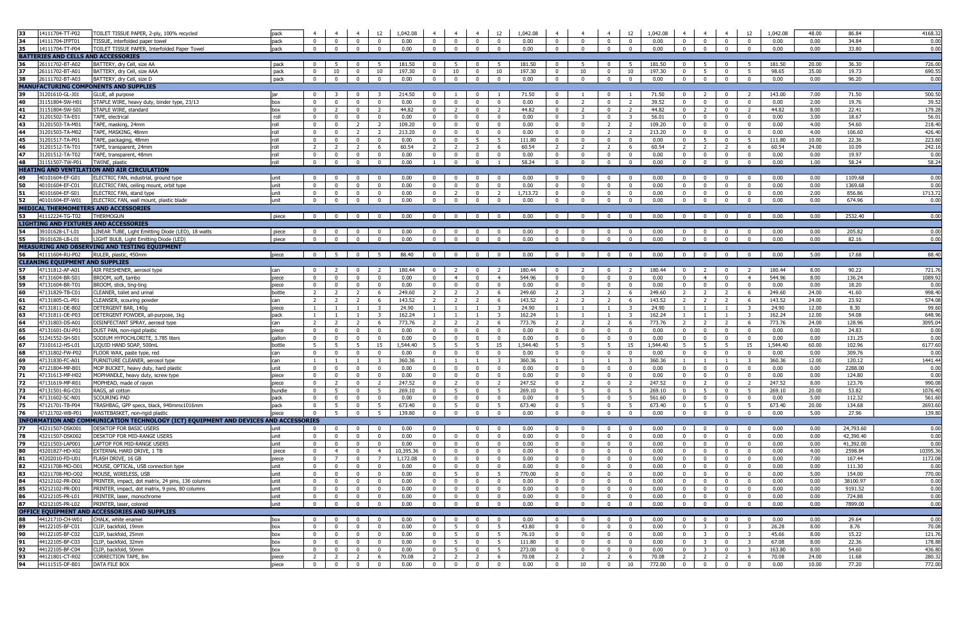| 33<br>14111704-TT-P02                          | TOILET TISSUE PAPER, 2-ply, 100% recycled                                            | pack           |                                  |                               |                                  |                                | 12 1,042.08    | $\overline{4}$                 | $\overline{4}$                | $4 \quad$                     | 12                             | 1,042.08       | $\overline{4}$               | $\overline{4}$          | $\overline{4}$                 | 12                               | 1,042.08                                                  | $\overline{4}$                   | $\overline{4}$                 | $\overline{4}$                 | 12                             | 1,042.08       | 48.00        | 86.84            | 4168.32         |
|------------------------------------------------|--------------------------------------------------------------------------------------|----------------|----------------------------------|-------------------------------|----------------------------------|--------------------------------|----------------|--------------------------------|-------------------------------|-------------------------------|--------------------------------|----------------|------------------------------|-------------------------|--------------------------------|----------------------------------|-----------------------------------------------------------|----------------------------------|--------------------------------|--------------------------------|--------------------------------|----------------|--------------|------------------|-----------------|
| 34<br>14111704-IFPT01                          | TISSUE, interfolded paper towel                                                      | pack           | $\mathbf{0}$                     | $\mathbf{0}$                  | $\mathbf{0}$                     | $\overline{0}$                 | 0.00           | $\overline{0}$                 | $\mathbf{0}$                  | $\mathbf{0}$                  | $\mathbf{0}$                   | 0.00           | $\overline{0}$               | $\overline{0}$          | $\mathbf 0$                    | $\mathbf{0}$                     | 0.00                                                      | $\mathbf{0}$                     | $\overline{0}$                 | $\overline{0}$                 | $\Omega$                       | 0.00           | 0.00         | 34.84            | 0.00            |
| 35<br>14111704-TT-P04                          | TOILET TISSUE PAPER, Interfolded Paper Towel                                         | pack           | $\overline{0}$                   | $\overline{0}$                | $\overline{0}$                   | $\Omega$                       | 0.00           | $\mathbf{0}$                   | $\mathbf{0}$                  | $^{\circ}$                    | $\mathbf{0}$                   | 0.00           | $\overline{0}$               | $\mathbf{0}$            | $\overline{0}$                 | $\Omega$                         | 0.00                                                      | $\overline{0}$                   | $\overline{0}$                 | $\mathbf{0}$                   |                                | 0.00           | 0.00         | 33.80            | 0.00            |
| BATTERIES AND CELLS AND ACCESSORIES            |                                                                                      |                |                                  |                               |                                  |                                |                |                                |                               |                               |                                |                |                              |                         |                                |                                  |                                                           |                                  |                                |                                |                                |                |              |                  |                 |
| 26111702-BT-A02<br>36                          | BATTERY, dry Cell, size AA                                                           | pack           | $\mathbf{0}$                     | 5                             | $\mathbf{0}$                     | - 5                            | 181.50         | $\mathbf 0$                    | 5                             | $\mathbf 0$                   | 5                              | 181.50         | $\mathbf{0}$                 |                         | $^{\circ}$                     |                                  | 181.50                                                    | $\mathbf{0}$                     | -5                             | $^{\circ}$                     | - 5                            | 181.50         | 20.00        | 36.30            | 726.00          |
| 37<br>26111702-BT-A01                          | BATTERY, dry Cell, size AAA                                                          | pack           | $\mathbf{0}$                     | 10                            | $\overline{0}$                   | 10                             | 197.30         | $\mathbf{0}$                   | 10                            | $\mathbf{0}$                  | 10                             | 197.30         | $\overline{0}$               | 10                      | $\overline{0}$                 | 10                               | 197.30                                                    | $\mathbf{0}$                     | 5                              | $\mathbf 0$                    | 5                              | 98.65          | 35.00        | 19.73            | 690.55          |
| 38<br>26111702-BT-A03                          | BATTERY, dry Cell, size D                                                            | pack           | $\overline{0}$                   | $\overline{0}$                | $\overline{0}$                   | $\bf{0}$                       | 0.00           | $\overline{0}$                 | $\overline{0}$                | $\overline{0}$                | $\mathbf{0}$                   | 0.00           | $\overline{0}$               | $\mathbf{0}$            | $\mathbf{0}$                   | $\mathbf 0$                      | 0.00                                                      | $\mathbf{0}$                     | $\overline{0}$                 | $\mathbf{0}$                   | $\mathbf 0$                    | 0.00           | 0.00         | 96.20            | 0.00            |
| <b>MANUFACTURING COMPONENTS AND SUPPLIES</b>   |                                                                                      |                |                                  |                               |                                  |                                |                |                                |                               |                               |                                |                |                              |                         |                                |                                  |                                                           |                                  |                                |                                |                                |                |              |                  |                 |
| 39<br>31201610-GL-J01<br>40                    | GLUE, all purpose<br>STAPLE WIRE, heavy duty, binder type, 23/13                     | l iar          | $\mathbf{0}$                     | -3                            | $^{\circ}$                       | - 3                            | 214.50         | $\mathbf 0$                    |                               | $\mathbf 0$                   |                                | 71.50          | $\mathbf{0}$<br>$\mathbf 0$  |                         | $\mathbf{0}$                   |                                  | 71.50                                                     | $\mathbf{0}$                     |                                | $^{\circ}$                     | -2                             | 143.00         | 7.00         | 71.50            | 500.50          |
| 31151804-SW-H01<br>41<br>31151804-SW-S01       | STAPLE WIRE, standard                                                                | box            | $\mathbf 0$<br>$\overline{0}$    | $\overline{0}$<br>$2^{\circ}$ | $\overline{0}$<br>$\overline{0}$ | 0<br>$\overline{2}$            | 0.00<br>44.82  | $\mathbf{0}$<br>$\overline{0}$ | $\mathbf 0$<br>$\overline{2}$ | $\mathbf 0$<br>$\overline{0}$ | $\mathbf{0}$<br>$\overline{2}$ | 0.00<br>44.82  | $\mathbf{0}$                 | 2<br>2                  | $\mathbf{0}$<br>$\overline{0}$ | $\overline{2}$<br>$\overline{2}$ | 39.52<br>44.82                                            | $\mathbf{0}$<br>$\overline{0}$   | $\bf{0}$<br>$\overline{2}$     | $\mathbf{0}$<br>$\mathbf{0}$   | $\mathbf 0$<br>$\overline{2}$  | 0.00<br>44.82  | 2.00<br>8.00 | 19.76<br>22.41   | 39.52<br>179.28 |
| 42<br>31201502-TA-E01                          | TAPE, electrical                                                                     | box<br>roll    | $\overline{0}$                   | $\overline{0}$                | $\overline{\mathbf{0}}$          | $\overline{\mathbf{0}}$        | 0.00           | $\overline{0}$                 | $\overline{\mathbf{0}}$       | $\overline{0}$                | $\overline{0}$                 | 0.00           | $\overline{0}$               | $\overline{\mathbf{3}}$ | $\overline{0}$                 | $\overline{\mathbf{3}}$          | 56.01                                                     | $\overline{0}$                   | $\overline{\mathbf{0}}$        | $\mathbf{0}$                   | $\overline{\mathbf{0}}$        | 0.00           | 3.00         | 18.67            | 56.01           |
| 43<br>31201503-TA-M01                          | TAPE, masking, 24mm                                                                  | roll           | $\overline{0}$                   | $\overline{0}$                | 2                                | 2                              | 109.20         | $\overline{0}$                 | $\overline{0}$                | $\overline{0}$                | $\mathbf{0}$                   | 0.00           | $\overline{0}$               | $\mathbf{0}$            | $\overline{2}$                 | <sup>2</sup>                     | 109.20                                                    | $\overline{0}$                   | $\overline{0}$                 | $\mathbf{0}$                   | $^{\circ}$                     | 0.00           | 4.00         | 54.60            | 218.40          |
| 44<br>31201503-TA-M02                          | TAPE, MASKING, 48mm                                                                  | roll           | $\overline{0}$                   | $\mathbf{0}$                  | $\overline{2}$                   | 2                              | 213.20         | $\overline{0}$                 | $\overline{0}$                | $\mathbf{0}$                  | $\mathbf{0}$                   | 0.00           | $\overline{0}$               | $\mathbf{0}$            | $\overline{2}$                 | $\overline{2}$                   | 213.20                                                    | $\overline{0}$                   | $\mathbf 0$                    | $\mathbf 0$                    | $\overline{0}$                 | 0.00           | 4.00         | 106.60           | 426.40          |
| 45<br>31201517-TA-P01                          | TAPE, packaging, 48mm                                                                | roll           | $\overline{0}$                   | $\overline{0}$                | $\overline{0}$                   | $\overline{\mathbf{0}}$        | 0.00           | $\mathbf{0}$                   | $\mathbf{0}$                  | 5                             | 5 <sup>5</sup>                 | 111.80         | $\mathbf{0}$                 | $\mathbf{0}$            | $\mathbf{0}$                   | $\overline{0}$                   | 0.00                                                      | $\overline{0}$                   | - 5                            | $\mathbf{0}$                   | 5                              | 111.80         | 10.00        | 22.36            | 223.60          |
| 46<br>31201512-TA-T01                          | TAPE, transparent, 24mm                                                              | roll           | $\overline{2}$                   | $\overline{2}$                | $\overline{2}$                   | 6                              | 60.54          | $\overline{2}$                 | $\overline{2}$                | $\overline{2}$                | 6                              | 60.54          | $\overline{2}$               | $\overline{2}$          | $\overline{2}$                 | 6                                | 60.54                                                     | 2                                | $\overline{2}$                 | $\overline{2}$                 | 6                              | 60.54          | 24.00        | 10.09            | 242.16          |
| 47<br>31201512-TA-T02                          | TAPE, transparent, 48mm                                                              | roll           | $\overline{0}$                   | $\mathbf{0}$                  | $\bf{0}$                         | $\bf{0}$                       | 0.00           | $\mathbf 0$                    | $\mathbf 0$                   | $\mathbf 0$                   | $\mathbf 0$                    | 0.00           | $\mathbf 0$                  | $\mathbf 0$             | $\mathbf 0$                    | $\overline{\mathbf{0}}$          | 0.00                                                      | $\mathbf{0}$                     | $\overline{\mathbf{0}}$        | $\mathbf 0$                    | $\mathbf{0}$                   | 0.00           | 0.00         | 19.97            | 0.00            |
| 48<br>31151507-TW-P01                          | TWINE, plastic                                                                       | roll           | $\overline{0}$                   | $\overline{0}$                | $\mathbf 0$                      | $\bf{0}$                       | 0.00           | <sup>1</sup>                   | $\mathbf 0$                   | $\mathbf{0}$                  | $\mathbf{1}$                   | 58.24          | $\overline{0}$               | $\mathbf 0$             | $\mathbf{0}$                   | $\overline{0}$                   | 0.00                                                      | $\overline{0}$                   | $\mathbf 0$                    | $\mathbf 0$                    | $\mathbf 0$                    | 0.00           | 1.00         | 58.24            | 58.24           |
|                                                | <b>HEATING AND VENTILATION AND AIR CIRCULATION</b>                                   |                |                                  |                               |                                  |                                |                |                                |                               |                               |                                |                |                              |                         |                                |                                  |                                                           |                                  |                                |                                |                                |                |              |                  |                 |
| 49<br>40101604-EF-G01                          | ELECTRIC FAN, industrial, ground type                                                | unit           | $\mathbf{0}$                     | $\mathbf{0}$                  | $\mathbf 0$                      | $\overline{\mathbf{0}}$        | 0.00           | $\mathbf{0}$                   | $\mathbf{0}$                  | $\mathbf{0}$                  | $\mathbf{0}$                   | 0.00           | $\mathbf{0}$                 | $\Omega$                | $\mathbf{0}$                   | $\mathbf{0}$                     | 0.00                                                      | $\mathbf{0}$                     | $\mathbf 0$                    | $\mathbf 0$                    | $\mathbf{0}$                   | 0.00           | 0.00         | 1109.68          | 0.00            |
| 50<br>40101604-EF-C01                          | ELECTRIC FAN, ceiling mount, orbit type                                              | unit           | $\overline{0}$                   | $\mathbf{0}$                  | $\overline{0}$                   | $\overline{\mathbf{0}}$        | 0.00           | $\mathbf{0}$                   | $\mathbf 0$                   | $\overline{0}$                | $\overline{0}$                 | 0.00           | $\mathbf 0$                  | $\Omega$                | $\mathbf 0$                    | $\overline{\mathbf{0}}$          | 0.00                                                      | $^{\circ}$                       | $\overline{\mathbf{0}}$        | $\mathbf 0$                    | $\overline{0}$                 | 0.00           | 0.00         | 1369.68          | 0.00            |
| 51<br>40101604-EF-S01                          | ELECTRIC FAN, stand type                                                             | unit           | $\overline{0}$                   | $\overline{0}$                | $\mathbf{0}$                     | $\overline{\mathbf{0}}$        | 0.00           | $\mathbf{0}$                   | 2                             | $\overline{0}$                | $\overline{2}$                 | 1,713.72       | $\mathbf{0}$                 | $\mathbf 0$             | $\overline{0}$                 | $\overline{\mathbf{0}}$          | 0.00                                                      | $\overline{0}$                   | $\overline{0}$                 | $\mathbf{0}$                   | $\mathbf{0}$                   | 0.00           | 2.00         | 856.86           | 1713.72         |
| 52<br>40101604-EF-W01                          | ELECTRIC FAN, wall mount, plastic blade                                              | unit           | $\mathbf{0}$                     | $\overline{0}$                | $\overline{0}$                   | $\overline{\mathbf{0}}$        | 0.00           | $\mathbf{0}$                   | $\mathbf{0}$                  | $\overline{0}$                | $\overline{0}$                 | 0.00           | $\overline{0}$               | $\overline{0}$          | $\mathbf{0}$                   | $\overline{0}$                   | 0.00                                                      | $\overline{0}$                   | $\overline{\mathbf{0}}$        | $\mathbf 0$                    | $\overline{0}$                 | 0.00           | 0.00         | 674.96           | 0.00            |
| MEDICAL THERMOMETERS AND ACCESSORIES           |                                                                                      |                |                                  |                               |                                  |                                |                |                                |                               |                               |                                |                |                              |                         |                                |                                  |                                                           |                                  |                                |                                |                                |                |              |                  |                 |
| 53 41112224-TG-T02                             | <b>THERMOGUN</b>                                                                     | piece          | $\overline{0}$                   | $\overline{0}$                | $\overline{0}$                   | $\overline{\mathbf{0}}$        | 0.00           | $\overline{\mathbf{0}}$        | $\overline{\mathbf{0}}$       | $\overline{0}$                | $\overline{0}$                 | 0.00           | $\overline{0}$               | $\overline{0}$          | $\overline{0}$                 | $\overline{\mathbf{0}}$          | 0.00                                                      | $\overline{\mathbf{0}}$          | $\overline{0}$                 | $\overline{\mathbf{0}}$        | $\overline{\mathbf{0}}$        | 0.00           | 0.00         | 2532.40          | 0.00            |
| LIGHTING AND FIXTURES AND ACCESSORIES          |                                                                                      |                |                                  |                               |                                  |                                |                |                                |                               |                               |                                |                |                              |                         |                                |                                  |                                                           |                                  |                                |                                |                                |                |              |                  |                 |
| 54<br>39101628-LT-L01                          | LINEAR TUBE, Light Emitting Diode (LED), 18 watts                                    | piece          | $\overline{0}$                   | $\overline{0}$                | $\overline{0}$                   | $\overline{0}$                 | 0.00           | $\overline{0}$                 | $\mathbf 0$                   | $\overline{0}$                | $\overline{0}$                 | 0.00           | $\mathbf{0}$                 | $\mathbf{0}$            | $\overline{0}$                 | $\mathbf 0$                      | 0.00                                                      | $\overline{0}$                   | $\overline{0}$                 | $\mathbf 0$                    | $\overline{0}$                 | 0.00           | 0.00         | 205.82           | 0.00            |
| 55<br>39101628-LB-L01                          | LIGHT BULB, Light Emitting Diode (LED)                                               | piece          | $\overline{0}$                   | $\overline{0}$                | $\overline{0}$                   | $\overline{0}$                 | 0.00           | $\overline{0}$                 | $\overline{0}$                | $\overline{0}$                | $\overline{0}$                 | 0.00           | $\overline{0}$               | $\overline{0}$          | $\overline{0}$                 | $\overline{0}$                   | 0.00                                                      | $\overline{0}$                   | $\overline{0}$                 | $\overline{0}$                 | $\overline{0}$                 | 0.00           | 0.00         | 82.16            | 0.00            |
|                                                | MEASURING AND OBSERVING AND TESTING EQUIPMENT                                        |                |                                  |                               |                                  |                                |                |                                |                               |                               |                                |                |                              |                         |                                |                                  |                                                           |                                  |                                |                                |                                |                |              |                  |                 |
| 56 41111604-RU-P02                             | RULER, plastic, 450mm                                                                | piece          | $\overline{0}$                   | 5 <sub>5</sub>                | $\overline{0}$                   | 5                              | 88.40          | $\overline{0}$                 | $\overline{\mathbf{0}}$       | $\overline{0}$                | $\overline{0}$                 | 0.00           | $\overline{0}$               | $\mathbf{0}$            | $\overline{0}$                 | $\overline{0}$                   | 0.00                                                      | $\overline{0}$                   | $\overline{0}$                 | $\overline{0}$                 | $^{\circ}$                     | 0.00           | 5.00         | 17.68            | 88.40           |
| <b>CLEANING EQUIPMENT AND SUPPLIES</b>         |                                                                                      |                |                                  |                               |                                  |                                |                |                                |                               |                               |                                |                |                              |                         |                                |                                  |                                                           |                                  |                                |                                |                                |                |              |                  |                 |
| 57<br>47131812-AF-A01                          | AIR FRESHENER, aerosol type                                                          | can            | $\overline{0}$                   | 2                             | $\mathbf{0}$                     | $\overline{2}$                 | 180.44         | $^{\circ}$                     | $\overline{2}$                | $\mathbf 0$                   | $\overline{2}$                 | 180.44         | $^{\circ}$                   | -2                      | $\mathbf{0}$                   | <sup>2</sup>                     | 180.44                                                    | $^{\circ}$                       | - 2                            | $^{\circ}$                     | $\overline{2}$                 | 180.44         | 8.00         | 90.22            | 721.76          |
| 58<br>47131604-BR-S01                          | BROOM, soft, tambo                                                                   | piece          | $\overline{0}$                   | $\overline{0}$                | $\mathbf 0$                      | $\overline{0}$                 | 0.00           | $\mathbf{0}$                   | $\overline{4}$                | $\mathbf{0}$                  | $\overline{4}$                 | 544.96         | $\overline{0}$               | $\mathbf{0}$            | $\bf{0}$                       | $\overline{0}$                   | 0.00                                                      | $\mathbf{0}$                     | $\overline{4}$                 | $\mathbf{0}$                   | $\overline{4}$                 | 544.96         | 8.00         | 136.24           | 1089.9          |
| 59<br>47131604-BR-T01                          | BROOM, stick, ting-ting                                                              | piece          | $\overline{0}$                   | $\overline{0}$                | $\overline{0}$                   | $\overline{\mathbf{0}}$        | 0.00           | $\overline{0}$                 | $\mathbf{0}$                  | $\overline{0}$                | $\mathbf{0}$                   | 0.00           | $\overline{0}$               | $^{\circ}$              | $\overline{0}$                 | $\overline{0}$                   | 0.00                                                      | $\overline{0}$                   | $\overline{\mathbf{0}}$        | $\overline{0}$                 | $\overline{0}$                 | 0.00           | 0.00         | 18.20            | 0.00            |
| 60<br>47131829-TB-C01                          | CLEANER, toilet and urinal                                                           | bottle         | $\overline{2}$                   | 2                             | $\overline{2}$                   | 6                              | 249.60         | $\overline{2}$                 | $\overline{2}$                | $\overline{2}$                | 6                              | 249.60         | $\overline{2}$               | 2                       | $\overline{2}$                 | 6                                | 249.60                                                    | 2                                | $\overline{2}$                 | 2                              | 6                              | 249.60         | 24.00        | 41.60            | 998.40          |
| 61<br>47131805-CL-P01                          | CLEANSER, scouring powder                                                            | can            | 2                                | $\overline{2}$                | $\overline{2}$                   | 6                              | 143.52         | $\overline{2}$                 | $\overline{2}$                | $\overline{2}$                | 6                              | 143.52         | $\overline{2}$               | $\overline{2}$          | $\overline{2}$                 | 6                                | 143.52                                                    | $\overline{2}$                   | $\overline{2}$                 | $\overline{2}$                 | 6                              | 143.52         | 24.00        | 23.92            | 574.08          |
| 62<br>47131811-DE-B02                          | DETERGENT BAR, 140g                                                                  | piece          | $\mathbf{1}$                     | $\overline{1}$                | $\overline{1}$                   | -3                             | 24.90          |                                | $\overline{1}$                | $\mathbf{1}$                  | $\overline{\mathbf{3}}$        | 24.90          | $\overline{1}$               | $\overline{1}$          | $\overline{1}$                 | $\overline{\mathbf{3}}$          | 24.90                                                     | $\mathbf{1}$                     |                                |                                | $\overline{\mathbf{3}}$        | 24.90          | 12.00        | 8.30             | 99.60           |
| 63<br>47131811-DE-P03                          | DETERGENT POWDER, all-purpose, 1kg                                                   | pack           | $\mathbf{1}$                     |                               |                                  | $\overline{\mathbf{3}}$        | 162.24         |                                |                               | $\mathbf{1}$                  | $\overline{\mathbf{3}}$        | 162.24         |                              |                         |                                | - 3                              | 162.24                                                    | $\mathbf{1}$                     |                                |                                | $\overline{\mathbf{3}}$        | 162.24         | 12.00        | 54.08            | 648.96          |
| 64<br>47131803-DS-A01                          | DISINFECTANT SPRAY, aerosol type                                                     | can            | 2                                | $\overline{2}$                | $\overline{2}$                   | 6                              | 773.76         | $\overline{2}$                 | $\overline{2}$                | $\overline{2}$                | 6                              | 773.76         | $\overline{2}$               | $\overline{2}$          | $\overline{2}$                 | 6                                | 773.76                                                    | 2                                | $\overline{2}$                 | 2                              | 6                              | 773.76         | 24.00        | 128.96           | 3095.04         |
| 65<br>47131601-DU-P01                          | DUST PAN, non-rigid plastic                                                          | piece          | $\overline{0}$                   | $\overline{0}$                | $\overline{0}$                   | $\overline{\mathbf{0}}$        | 0.00           | $\mathbf{0}$                   | $\bf{0}$                      | $\mathbf{0}$                  | $\overline{0}$                 | 0.00           | $\mathbf{0}$                 | $\mathbf{0}$            | $\mathbf{0}$                   | $\overline{0}$                   | 0.00                                                      | $\mathbf{0}$                     | $\overline{0}$                 | $\mathbf 0$                    | $\overline{0}$                 | 0.00           | 0.00         | 24.83            | 0.00            |
| 66<br>51241552-SH-S01                          | SODIUM HYPOCHLORITE, 3.785 liters                                                    | qallon         | $\overline{0}$                   | $\overline{0}$                | $\overline{0}$                   | $\bf{0}$                       | 0.00           | $\mathbf{0}$                   | $\mathbf 0$                   | $\mathbf{0}$                  | $\mathbf{0}$                   | 0.00           | $\overline{0}$               | $\mathbf{0}$            | $\overline{0}$                 | $\Omega$                         | 0.00                                                      | $\overline{0}$                   | $\overline{\mathbf{0}}$        | $\mathbf{0}$                   | $^{\circ}$                     | 0.00           | 0.00         | 131.25           | 0.00            |
| 67<br>73101612-HS-L01                          | LIQUID HAND SOAP, 500mL                                                              | bottle         | 5                                | 5 <sub>1</sub>                | 5                                | 15                             | 1,544.40       | 5                              | -5                            | 5                             | 15                             | 1.544.40       | 5                            | -5                      | 5                              | 15                               | 1,544.40                                                  | 5 <sup>1</sup>                   | - 5                            | 5                              | 15                             | 1,544.40       | 60.00        | 102.96           | 6177.60         |
| 68<br>47131802-FW-P02                          | FLOOR WAX, paste type, red                                                           | can            | $\overline{0}$                   | $\overline{0}$                | $\overline{0}$                   | $\overline{0}$                 | 0.00           | $\overline{0}$                 | $\overline{0}$                | $\overline{0}$                | $\mathbf{0}$                   | 0.00           | $\overline{0}$               | $\mathbf{0}$            | $\overline{0}$                 | $\overline{0}$                   | 0.00                                                      | $\overline{0}$                   | $\overline{0}$                 | $\overline{0}$                 | $\mathbf{0}$                   | 0.00           | 0.00         | 309.76           | 0.00            |
| 69<br>47131830-FC-A01                          | URNITURE CLEANER, aerosol type                                                       | can            | $\mathbf{1}$                     | $\mathbf{1}$                  | $\overline{1}$                   | $\overline{\mathbf{3}}$        | 360.36         | $\mathbf{1}$                   | <sup>1</sup>                  | $\overline{1}$                | $\overline{\mathbf{3}}$        | 360.36         | $\overline{1}$               | $\overline{1}$          | $\mathbf{1}$                   | $\overline{\mathbf{3}}$          | 360.36                                                    | $\mathbf{1}$                     | $\overline{1}$                 |                                | $\overline{\mathbf{3}}$        | 360.36         | 12.00        | 120.12           | 1441.44         |
| 70<br>47121804-MP-B01                          | MOP BUCKET, heavy duty, hard plastic                                                 | unit           | $\overline{0}$                   | $\mathbf{0}$                  | $\overline{0}$                   | $\overline{\mathbf{0}}$        | 0.00           | $\mathbf{0}$                   | $\mathbf 0$                   | $\mathbf 0$                   | $\mathbf{0}$                   | 0.00           | $\mathbf{0}$                 | $\mathbf{0}$            | $\mathbf 0$                    | $\Omega$                         | 0.00                                                      | $\mathbf{0}$                     | $\mathbf 0$                    | $\mathbf{0}$                   | $\mathbf{0}$                   | 0.00           | 0.00         | 2288.00          | 0.00            |
| 71<br>47131613-MP-H02<br>72<br>47131619-MP-R01 | MOPHANDLE, heavy duty, screw type<br>MOPHEAD, made of rayon                          | piece          | $\mathbf{0}$                     | $\mathbf{0}$                  | $\mathbf 0$                      | $\bf{0}$                       | 0.00<br>247.52 | $\mathbf{0}$                   | $\mathbf 0$<br>2              | $\mathbf 0$                   | $\mathbf{0}$<br>$\overline{2}$ | 0.00<br>247.52 | $\mathbf{0}$<br>$\mathbf{0}$ | $\mathbf 0$<br>2        | $\mathbf{0}$<br>$\mathbf{0}$   | $\mathbf 0$<br>2                 | 0.00<br>247.52                                            | $\overline{0}$<br>$\overline{0}$ | $\mathbf 0$                    | $\mathbf{0}$                   | $\mathbf{0}$<br>$\overline{2}$ | 0.00<br>247.52 | 0.00<br>8.00 | 124.80<br>123.76 | 0.00<br>990.08  |
| 73<br>47131501-RG-C01                          |                                                                                      | piece          | $\overline{0}$                   | $\overline{2}$                | $\bf{0}$                         | $\overline{2}$                 | 269.10         | $\mathbf{0}$                   | - 5                           | $\mathbf{0}$                  |                                | 269.10         |                              | -5                      |                                | - 5                              | 269.10                                                    |                                  | $\overline{2}$                 | $\mathbf 0$                    | - 5                            | 269.10         | 20.00        | 53.82            | 1076.40         |
| 174<br>47131602-SC-N01                         | RAGS, all cotton<br>SCOURING PAD                                                     | bundle<br>pack | $\overline{0}$<br>$\overline{0}$ | 5<br>$\overline{0}$           | $\mathbf 0$<br>$\overline{0}$    | - 5<br>$\overline{\mathbf{0}}$ | 0.00           | $\mathbf{0}$<br>$\mathbf{0}$   | $\mathbf 0$                   | $\mathbf 0$<br>$\mathbf{0}$   | 5<br>$\bf{0}$                  | 0.00           | $\mathbf{0}$<br>$\mathbf{0}$ | 5                       | $\mathbf{0}$<br>$\bf{0}$       | 5                                | 561.60                                                    | $\mathbf{0}$<br>$\mathbf{0}$     | - 5<br>$\overline{\mathbf{0}}$ | $\mathbf 0$<br>$\mathbf 0$     | $\overline{0}$                 | 0.00           | 5.00         | 112.32           | 561.60          |
| 75<br>47121701-TB-P04                          | TRASHBAG, GPP specs, black, 940mmx1016mm                                             | pack           | $\overline{0}$                   | 5 <sub>5</sub>                | $\overline{0}$                   | 5 <sup>5</sup>                 | 673.40         | $\overline{0}$                 | 5                             | $\mathbf{0}$                  | 5 <sup>5</sup>                 | 673.40         | $\overline{0}$               | 5                       | $\overline{0}$                 | 5                                | 673.40                                                    | $\overline{0}$                   | 5                              | $\overline{0}$                 | 5                              | 673.40         | 20.00        | 134.68           | 2693.60         |
| 176<br>47121702-WB-P01                         | WASTEBASKET, non-rigid plastic                                                       | piece          | $\overline{0}$                   | 5                             | $\overline{0}$                   | $5^{\circ}$                    | 139.80         | $\mathbf{0}$                   | $\overline{0}$                | $\overline{0}$                | $\overline{0}$                 | 0.00           | $\bf{0}$                     | $\overline{0}$          | $\overline{0}$                 | $\overline{0}$                   | 0.00                                                      | $\overline{0}$                   | $\overline{\mathbf{0}}$        | $\overline{0}$                 | $\overline{0}$                 | 0.00           | 5.00         | 27.96            | 139.80          |
|                                                | INFORMATION AND COMMUNICATION TECHNOLOGY (ICT) EQUIPMENT AND DEVICES AND ACCESSORIES |                |                                  |                               |                                  |                                |                |                                |                               |                               |                                |                |                              |                         |                                |                                  |                                                           |                                  |                                |                                |                                |                |              |                  |                 |
| 77<br>43211507-DSK001                          | DESKTOP FOR BASIC USERS                                                              | unit           | $\overline{0}$                   | $\overline{0}$                | $\overline{0}$                   | $\overline{\mathbf{0}}$        | 0.00           | $\overline{0}$                 |                               | $\overline{0}$                | $\mathbf{0}$                   | 0.00           | $\overline{0}$               | $\mathbf{0}$            | $\overline{0}$                 | $\overline{\mathbf{0}}$          | 0.00                                                      | $\overline{0}$                   | $\overline{0}$                 | $\bf{0}$                       | $\overline{\mathbf{0}}$        | 0.00           | 0.00         | 24,793.60        | 0.00            |
| 78<br>43211507-DSK002                          | DESKTOP FOR MID-RANGE USERS                                                          | unit           | $\overline{0}$                   | $\overline{0}$                | $\overline{0}$                   | $\overline{0}$                 | 0.00           | $\overline{0}$                 | $\overline{0}$                | $\overline{0}$                | $\mathbf{0}$                   | 0.00           | $\overline{0}$               | $^{\circ}$              | $\mathbf{0}$                   | $\overline{0}$                   | 0.00                                                      | $\overline{0}$                   | $\overline{0}$                 | $\overline{0}$                 | $\overline{0}$                 | 0.00           | 0.00         | 42,390.40        | 0.00            |
| 79<br>43211503-LAP001                          | LAPTOP FOR MID-RANGE USERS                                                           | unit           | $\mathbf{0}$                     | $\mathbf{0}$                  | $\overline{0}$                   | $\mathbf{0}$                   | 0.00           | $\overline{0}$                 | $\overline{0}$                | $\overline{0}$                | $\mathbf{0}$                   | 0.00           | $\overline{0}$               | $\mathbf{0}$            | $\overline{0}$                 | $\overline{0}$                   | 0.00                                                      | $\mathbf{0}$                     | $\overline{0}$                 | $\overline{0}$                 | $\overline{0}$                 | 0.00           | 0.00         | 41,392.00        | 0.00            |
| 80<br>43201827-HD-X02                          | EXTERNAL HARD DRIVE, 1 TB                                                            | piece          | $\overline{0}$                   | $\overline{4}$                | $\mathbf 0$                      | $\overline{4}$                 | 10,395.36      | $^{\circ}$                     | $\mathbf{0}$                  | $\mathbf{0}$                  | $\mathbf{0}$                   | 0.00           | $\mathbf{0}$                 | $^{\circ}$              | $\mathbf{0}$                   | $\overline{0}$                   | 0.00                                                      | $\mathbf{0}$                     | $\overline{0}$                 | $\mathbf{0}$                   | $\mathbf{0}$                   | 0.00           | 4.00         | 2598.84          | 10395.36        |
| 81<br>43202010-FD-U01                          | FLASH DRIVE, 16 GB                                                                   | piece          | $\overline{0}$                   | $7^{\circ}$                   | $\mathbf 0$                      | 7                              | 1,172.08       | $\Omega$                       | $\mathbf 0$                   | $\mathbf 0$                   | $\mathbf{0}$                   | 0.00           | $\mathbf{0}$                 | $\mathbf{0}$            | $\mathbf 0$                    | $\overline{\mathbf{0}}$          | 0.00                                                      | $\mathbf{0}$                     | $\mathbf 0$                    | $\mathbf 0$                    | $\mathbf{0}$                   | 0.00           | 7.00         | 167.44           | 1172.08         |
| 82<br>43211708-MO-O01                          | MOUSE, OPTICAL, USB connection type                                                  | unit           | $\overline{0}$                   | $\mathbf{0}$                  | $\bf{0}$                         | $\bf{0}$                       | 0.00           | $\mathbf{0}$                   | $\mathbf 0$                   | $\mathbf 0$                   | $\mathbf 0$                    | 0.00           | $\mathbf{0}$                 | $\mathbf{0}$            | $\mathbf{0}$                   | $\overline{\mathbf{0}}$          | 0.00                                                      | $\mathbf{0}$                     | $\overline{\mathbf{0}}$        | $\mathbf 0$                    | $\mathbf 0$                    | 0.00           | 0.00         | 111.30           | 0.00            |
| 83<br>43211708-MO-O02                          | MOUSE, WIRELESS, USB                                                                 | unit           | $\overline{0}$                   | $\overline{0}$                | $\overline{0}$                   | $\bf{0}$                       | 0.00           | $\mathbf{0}$                   | 5                             | $^{\circ}$                    | 5                              | 770.00         | $\mathbf{0}$                 | $^{\circ}$              | $\mathbf{0}$                   | $\mathbf 0$                      | 0.00                                                      | $\mathbf{0}$                     | $\mathbf 0$                    | $\mathbf{0}$                   | $\mathbf{0}$                   | 0.00           | 5.00         | 154.00           | 770.00          |
| 84<br>43212102-PR-D02                          | PRINTER, impact, dot matrix, 24 pins, 136 columns                                    | unit           | $\overline{0}$                   | $\overline{0}$                | $\overline{0}$                   | $\overline{0}$                 | 0.00           | $\overline{0}$                 | $\mathbf 0$                   | $\mathbf{0}$                  | $\mathbf 0$                    | 0.00           | $\mathbf{0}$                 | $\mathbf{0}$            | $\bf{0}$                       | $\overline{0}$                   | 0.00                                                      | $\overline{0}$                   | $\bf{0}$                       | $\mathbf{0}$                   | $\mathbf 0$                    | 0.00           | 0.00         | 38100.97         | 0.00            |
| 43212102-PR-D01                                | PRINTER, impact, dot matrix, 9 pins, 80 columns                                      | unit           |                                  | $0 \quad 0$                   | $0\quad 0$                       |                                | $0.00$         | $\mathbf{0}$                   | $\sim$ 0                      | $\mathbf{0}$                  | - 0                            | 0.00           |                              | 0                       | $\mathbf{0}$                   |                                  | $\begin{array}{ccc} \cdot & 0 & \cdot & 0.00 \end{array}$ |                                  | $0 \quad 0 \quad 0$            | $\mathbf{0}$                   |                                | 0.00           | 0.00         | 9191.52          | 0.00            |
|                                                | 86 43212105-PR-L01 PRINTER, laser, monochrome                                        | unit           |                                  |                               | $0 \quad 0 \quad 0 \quad 0$      |                                | 0.00           | $\overline{\mathbf{0}}$        | $\overline{\mathbf{0}}$       | $\overline{\mathbf{0}}$       | $\overline{\mathbf{0}}$        | 0.00           | $\overline{0}$               | $\overline{0}$          | $\overline{\phantom{0}}$       | $\overline{\mathbf{0}}$          | 0.00                                                      |                                  | $0 \quad 0$                    | $\overline{\mathbf{0}}$        | $\overline{\mathbf{0}}$        | 0.00           | 0.00         | 724.88           | 0.00            |
| 87 43212105-PR-L02 PRINTER, laser, colored     |                                                                                      | unit           |                                  |                               | $0 \quad 0 \quad 0 \quad 0$      |                                | 0.00           |                                |                               | 0 0 0 0 0                     |                                | 0.00           |                              |                         | $0$ 0 0 0 0                    |                                  | 0.00                                                      |                                  |                                | $0 \qquad 0 \qquad 0 \qquad 0$ |                                | 0.00           | 0.00         | 7899.00          | 0.00            |
|                                                | OFFICE EQUIPMENT AND ACCESSORIES AND SUPPLIES                                        |                |                                  |                               |                                  |                                |                |                                |                               |                               |                                |                |                              |                         |                                |                                  |                                                           |                                  |                                |                                |                                |                |              |                  |                 |
| 88 44121710-CH-W01 CHALK, white enamel         |                                                                                      | box            |                                  |                               | $0$ 0 0 0                        |                                | 0.00           | $\overline{0}$                 | $\overline{0}$                | $\overline{\mathbf{0}}$       | $\overline{0}$                 | 0.00           | $\overline{0}$               | $\overline{0}$          | $\overline{0}$                 | $\overline{\mathbf{0}}$          | 0.00                                                      |                                  | $0 \quad 0$                    | $\overline{0}$                 | $\overline{0}$                 | 0.00           | 0.00         | 29.64            | 0.00            |
| 89<br>44122105-BF-C01                          | CLIP, backfold, 19mm                                                                 | box            | $\overline{0}$                   |                               | $0$ 0                            | $\overline{\mathbf{0}}$        | 0.00           | $\overline{0}$                 | 5 <sup>5</sup>                | $\overline{0}$                | 5                              | 43.80          | $\mathbf{0}$                 | $\overline{0}$          | $\overline{0}$                 | $\overline{0}$                   | 0.00                                                      | $\overline{0}$                   | $\overline{\mathbf{3}}$        | $\overline{0}$                 | $\overline{\mathbf{3}}$        | 26.28          | 8.00         | 8.76             | 70.08           |
| 90<br>44122105-BF-C02                          | CLIP, backfold, 25mm                                                                 | box            | $\overline{0}$                   |                               | $0$ 0                            | $\overline{\mathbf{0}}$        | 0.00           | $\overline{0}$                 | 5 <sub>5</sub>                | $\overline{0}$                | 5 <sub>5</sub>                 | 76.10          | $\overline{0}$               | $\mathbf{0}$            | $\overline{0}$                 | $\overline{0}$                   | 0.00                                                      |                                  | $0 \qquad 3$                   | $\overline{0}$                 | $\overline{\mathbf{3}}$        | 45.66          | 8.00         | 15.22            | 121.76          |
| 91<br>44122105-BF-C03                          | CLIP, backfold, 32mm                                                                 | box            | $\overline{0}$                   |                               | $0 \quad 0$                      | $\overline{\mathbf{0}}$        | 0.00           | $\overline{0}$                 | 5 <sup>5</sup>                | $\overline{0}$                | 5                              | 111.80         | $\overline{0}$               | $\overline{0}$          | $\overline{0}$                 | $\overline{0}$                   | 0.00                                                      |                                  | $0 \quad 3$                    | $\overline{0}$                 | $\overline{\mathbf{3}}$        | 67.08          | 8.00         | 22.36            | 178.88          |
| 92<br>44122105-BF-C04                          | CLIP, backfold, 50mm                                                                 | box            | $\overline{0}$                   |                               | $0$ 0                            | $\overline{\mathbf{0}}$        | 0.00           | $\overline{0}$                 | 5 <sup>5</sup>                | $\overline{0}$                | 5 <sub>5</sub>                 | 273.00         | $\mathbf{0}$                 | $\mathbf{0}$            | $\overline{0}$                 | $\overline{\mathbf{0}}$          | 0.00                                                      |                                  | $0 \quad 3$                    | $\overline{0}$                 | $\overline{\mathbf{3}}$        | 163.80         | 8.00         | 54.60            | 436.80          |
| 93<br>44121801-CT-R02                          | CORRECTION TAPE, 8m                                                                  | piece          | $\overline{2}$                   |                               | $2 \t 2$                         | 6 <sup>6</sup>                 | 70.08          | $\overline{2}$                 | $\overline{2}$                | $\overline{2}$                | 6                              | 70.08          | 2                            | $\overline{2}$          | $\overline{2}$                 | 6                                | 70.08                                                     |                                  | $2 \quad 2$                    | $\overline{2}$                 | 6                              | 70.08          | 24.00        | 11.68            | 280.32          |
| 94<br>44111515-DF-B01                          | DATA FILE BOX                                                                        | piece          | $\overline{0}$                   | $\overline{0}$                | $\overline{0}$                   | $\overline{\mathbf{0}}$        | 0.00           | $\overline{0}$                 | $\overline{\mathbf{0}}$       | $\overline{0}$                | $\overline{0}$                 | 0.00           | $\overline{0}$               | 10                      | $\overline{0}$                 | 10                               | 772.00                                                    | $\overline{0}$                   | $\overline{\mathbf{0}}$        | $\overline{0}$                 | $\overline{0}$                 | 0.00           | 10.00        | 77.20            | 772.00          |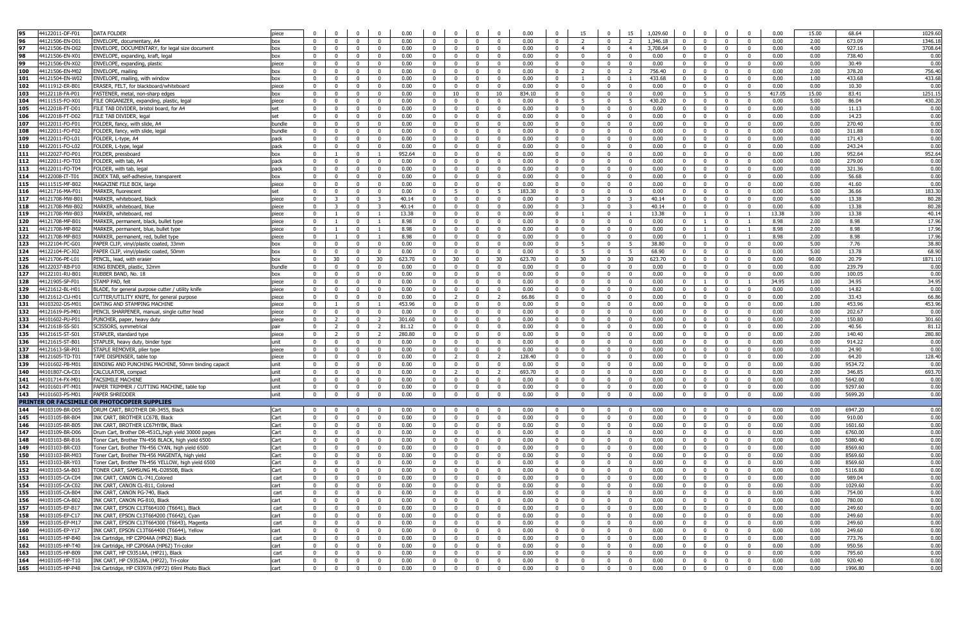|            | 44122011-DF-F01                            | <b>DATA FOLDER</b>                                                                          | piece        |                                  |                         |                          | $\Omega$                                  | 0.00         | $\Omega$                         | $\Omega$                         | $\Omega$                | $\Omega$                                           | 0.00         | $\Omega$                         | 15                               |                                           | 15                                        | 1,029.60     | $\Omega$                         |                                           |                                  | $\Omega$<br>0.00                                 | 15.00        | 68.64             | 1029.6       |
|------------|--------------------------------------------|---------------------------------------------------------------------------------------------|--------------|----------------------------------|-------------------------|--------------------------|-------------------------------------------|--------------|----------------------------------|----------------------------------|-------------------------|----------------------------------------------------|--------------|----------------------------------|----------------------------------|-------------------------------------------|-------------------------------------------|--------------|----------------------------------|-------------------------------------------|----------------------------------|--------------------------------------------------|--------------|-------------------|--------------|
| 96         | 44121506-EN-D01                            | ENVELOPE, documentary, A4                                                                   | box          | $\Omega$                         | $\Omega$                |                          | $\Omega$                                  | 0.00         | $\Omega$                         | $\Omega$                         | $\Omega$                | $\Omega$                                           | 0.00         | $\Omega$                         |                                  | $\Omega$                                  |                                           | 1,346.18     | $\Omega$                         |                                           |                                  | 0.00<br>$\Omega$                                 | 2.00         | 673.09            | 1346.1       |
| 97         | 44121506-EN-D02                            | ENVELOPE, DOCUMENTARY, for legal size document                                              | box          | $\mathbf 0$                      | $\mathbf{0}$            | $\Omega$                 | $\overline{0}$                            | 0.00         | $\mathbf{0}$                     | $\mathbf 0$                      | $\mathbf{0}$            | $\mathbf{0}$                                       | 0.00         | $\mathbf{0}$                     | $\overline{4}$                   | $\mathbf 0$                               | $\overline{4}$                            | 3,708.64     | $\mathbf{0}$                     | $^{\circ}$                                | $\mathbf 0$                      | 0.00<br>$\mathbf{0}$                             | 4.00         | 927.16            | 3708.6       |
| 98         | 44121506-EN-X01                            | ENVELOPE, expanding, kraft, legal                                                           | box          | $\mathbf{0}$                     | $^{\circ}$              | $\Omega$                 | $\Omega$                                  | 0.00         | $\mathbf{0}$                     | $^{\circ}$                       | $\overline{0}$          | $\mathbf{0}$                                       | 0.00         | $\mathbf 0$                      | $\Omega$                         | $^{\circ}$                                |                                           | 0.00         | $\mathbf 0$                      |                                           |                                  | 0.00<br>$\mathbf{0}$                             | 0.00         | 738.40            | 0.0          |
| 99         | 44121506-EN-X02                            | ENVELOPE, expanding, plastic                                                                | piece        | $\mathbf{0}$                     | $\mathbf{0}$            | $\Omega$                 | $\Omega$                                  | 0.00         | $\Omega$                         | $\mathbf{0}$                     | $\Omega$                | $\Omega$                                           | 0.00         | $\mathbf{0}$                     | $\Omega$                         | $\overline{0}$                            | $\Omega$                                  | 0.00         | $\overline{0}$                   | $\Omega$                                  | $\Omega$                         | 0.00<br>$\Omega$                                 | 0.00         | 30.49             | 0.00         |
| 100        | 44121506-EN-M02                            | ENVELOPE, mailing                                                                           | box          | $\mathbf{0}$                     | $\mathbf{0}$            | $\overline{0}$           | $\mathbf{0}$                              | 0.00         | $\Omega$                         | $\mathbf 0$                      | $\overline{0}$          | $\overline{0}$                                     | 0.00         | $\overline{0}$                   | $\overline{z}$                   | $\mathbf 0$                               | $\overline{2}$                            | 756.40       | $\overline{0}$                   | $\Omega$                                  | $\Omega$                         | $\overline{0}$<br>0.00                           | 2.00         | 378.20            | 756.4        |
| 101        | 44121504-EN-W02                            | ENVELOPE, mailing, with window                                                              | box          | $\mathbf{0}$                     | $\mathbf{0}$            | $\Omega$                 | $\mathbf{0}$                              | 0.00         | $\mathbf{0}$                     | $\mathbf{0}$                     | $\mathbf{0}$            | $\mathbf{0}$                                       | 0.00         | $\mathbf{0}$                     | $\overline{1}$                   | $\Omega$                                  |                                           | 433.68       | $\overline{0}$                   | $\Omega$                                  | $\mathbf{0}$                     | $^{\circ}$<br>0.00                               | 1.00         | 433.68            | 433.6        |
| 102        | 44111912-ER-B0                             | ERASER, FELT, for blackboard/whiteboard                                                     | piece        | $\mathbf{0}$                     | $\Omega$                | $\Omega$                 | $\mathbf{0}$                              | 0.00         | $\mathbf{0}$                     | $\Omega$                         | $\overline{0}$          | $\Omega$                                           | 0.00         | $\overline{0}$                   | - 0                              | $\overline{0}$                            | $\Omega$                                  | 0.00         | $\overline{0}$                   | $\Omega$                                  | $\mathbf{0}$                     | $\overline{0}$<br>0.00                           | 0.00         | 10.30             | 0.0          |
| 103        | 44122118-FA-P01                            | FASTENER, metal, non-sharp edges                                                            | box          | $\mathbf{0}$                     | $\mathbf{0}$            | $\Omega$                 | $\Omega$                                  | 0.00         | $\mathbf{0}$                     | 10                               | $\mathbf{0}$            | 10                                                 | 834.10       | $\mathbf 0$                      | $\Omega$                         | $\mathbf{0}$                              | $\Omega$                                  | 0.00         | $\mathbf{0}$                     | 5                                         | $\Omega$                         | -5<br>417.05                                     | 15.00        | 83.41             | 1251.1       |
|            |                                            |                                                                                             |              |                                  | $\Omega$                |                          |                                           |              |                                  |                                  |                         |                                                    |              |                                  | -5                               |                                           |                                           |              |                                  |                                           |                                  |                                                  |              |                   | 430.2        |
| 104        | 44111515-FO-X01                            | FILE ORGANIZER, expanding, plastic, legal                                                   | piece        | $\mathbf 0$                      |                         | $\overline{0}$           | $\mathbf{0}$                              | 0.00         | $\mathbf{0}$                     | $\mathbf{0}$                     | $\mathbf{0}$            | $\mathbf{0}$                                       | 0.00         | $\mathbf 0$                      |                                  | $\overline{0}$                            | - 5                                       | 430.20       | $\mathbf{0}$                     | $\Omega$                                  | $\mathbf{0}$                     | $\mathbf{0}$<br>0.00                             | 5.00         | 86.04             |              |
| 105        | 44122018-FT-D01                            | FILE TAB DIVIDER, bristol board, for A4                                                     |              | $\mathbf 0$                      | $^{\circ}$              | - 0                      | $^{\circ}$                                | 0.00         | $\mathbf 0$                      | $^{\circ}$                       | $\mathbf 0$             | $\mathbf 0$                                        | 0.00         | $\mathbf 0$                      | - 0                              | $^{\circ}$                                |                                           | 0.00         | $\mathbf{0}$                     |                                           | $^{\circ}$                       | $\mathbf 0$<br>0.00                              | 0.00         | 11.13             | 0.0          |
| 106        | 44122018-FT-D02                            | FILE TAB DIVIDER, legal                                                                     | set          | $\mathbf 0$                      | $\mathbf{0}$            | $\Omega$                 | $\mathbf{0}$                              | 0.00         | $\Omega$                         | $^{\circ}$                       | $\mathbf{0}$            | $^{\circ}$                                         | 0.00         | $\overline{0}$                   | $\Omega$                         | $\mathbf{0}$                              | $\Omega$                                  | 0.00         | $\overline{0}$                   | - 0                                       | $^{\circ}$                       | $\mathbf{0}$<br>0.00                             | 0.00         | 14.23             | 0.00         |
| 107        | 44122011-FO-F01                            | FOLDER, fancy, with slide, A4                                                               | bundle       | $\mathbf 0$                      | $^{\circ}$              | $\mathbf{0}$             | $\mathbf{0}$                              | 0.00         | $\mathbf{0}$                     | $\mathbf 0$                      | $\overline{0}$          | $\mathbf{0}$                                       | 0.00         | $\bf{0}$                         | $\Omega$                         | $^{\circ}$                                | $\mathbf 0$                               | 0.00         | $\overline{0}$                   | $^{\circ}$                                | $^{\circ}$                       | $\mathbf 0$<br>0.00                              | 0.00         | 270.40            | 0.00         |
| 108        | 44122011-FO-F02                            | FOLDER, fancy, with slide, legal                                                            | bundle       | $\overline{0}$                   | $^{\circ}$              | $\Omega$                 | $\Omega$                                  | 0.00         | $\overline{0}$                   | $\mathbf{0}$                     | $\mathbf{0}$            | $\mathbf 0$                                        | 0.00         | $\mathbf{0}$                     | $\Omega$                         | $^{\circ}$                                | $\Omega$                                  | 0.00         | $\overline{0}$                   | $\Omega$                                  | $^{\circ}$                       | 0.00<br>$\overline{0}$                           | 0.00         | 311.88            | 0.00         |
| 109        | 44122011-FO-L01                            | FOLDER, L-type, A4                                                                          | pack         | $\mathbf{0}$                     | $^{\circ}$              | $\Omega$                 | $\mathbf{0}$                              | 0.00         | $\mathbf{0}$                     | $\Omega$                         | $\overline{0}$          | $\mathbf{0}$                                       | 0.00         | $\mathbf 0$                      | - 0                              | $\overline{0}$                            | $\overline{0}$                            | 0.00         | $\overline{0}$                   | $\Omega$                                  | $\mathbf{0}$                     | $\mathbf 0$<br>0.00                              | 0.00         | 171.43            | 0.00         |
| 110        | 44122011-FO-L02                            | FOLDER, L-type, legal                                                                       | pack         | $\overline{0}$                   | $\overline{0}$          | $\mathbf{0}$             | $\mathbf{0}$                              | 0.00         | $\overline{0}$                   | $\mathbf{0}$                     | $\overline{0}$          | $^{\circ}$                                         | 0.00         | $\overline{0}$                   | $\mathbf{0}$                     | $\mathbf{0}$                              | $\overline{0}$                            | 0.00         | $\mathbf{0}$                     | $\overline{0}$                            | $^{\circ}$                       | $\overline{0}$<br>0.00                           | 0.00         | 243.24            | 0.00         |
| 111        | 44122027-FO-P01                            | FOLDER, pressboard                                                                          | box          | $\overline{0}$                   | $\overline{1}$          | $\overline{0}$           | <sup>1</sup>                              | 952.64       | $\overline{0}$                   | $^{\circ}$                       | $\overline{0}$          | $\overline{0}$                                     | 0.00         | $\overline{0}$                   | $\Omega$                         | $\overline{0}$                            | $\overline{0}$                            | 0.00         | $\overline{0}$                   | $\overline{0}$                            | $\mathbf{0}$                     | $\overline{0}$<br>0.00                           | 1.00         | 952.64            | 952.6        |
| 112        | 44122011-FO-T03                            | FOLDER, with tab, A4                                                                        | pack         | $\mathbf{0}$                     | $^{\circ}$              | $\Omega$                 | $\Omega$                                  | 0.00         | $\mathbf{0}$                     | $^{\circ}$                       | $\Omega$                | $\mathbf 0$                                        | 0.00         | $\mathbf{0}$                     | - 0                              | $\Omega$                                  |                                           | 0.00         | $\overline{0}$                   | $\Omega$                                  |                                  | $\Omega$<br>0.00                                 | 0.00         | 279.00            | 0.00         |
| 113        | 44122011-FO-T04                            | FOLDER, with tab, legal                                                                     | pack         | $\mathbf 0$                      | $\Omega$                | $\Omega$                 | $\Omega$                                  | 0.00         | $\mathbf{0}$                     | $\Omega$                         | $\Omega$                | $\Omega$                                           | 0.00         | $\mathbf 0$                      | $\Omega$                         | $\Omega$                                  |                                           | 0.00         | $\overline{0}$                   |                                           | $\Omega$                         | 0.00<br>$\mathbf 0$                              | 0.00         | 321.36            | 0.00         |
| 114        | 44122008-IT-T01                            | INDEX TAB, self-adhesive, transparent                                                       | box          | $\mathbf 0$                      | $\mathbf 0$             | $\Omega$                 | $\Omega$                                  | 0.00         | $\mathbf{0}$                     | $^{\circ}$                       | $\mathbf 0$             | $\mathbf 0$                                        | 0.00         | $\mathbf 0$                      | $\Omega$                         | $^{\circ}$                                |                                           | 0.00         | $\overline{0}$                   |                                           | $^{\circ}$                       | 0.00<br>$\mathbf 0$                              | 0.00         | 56.68             | 0.00         |
| 115        | 44111515-MF-B02                            | MAGAZINE FILE BOX, large                                                                    | piece        | $\Omega$                         | $^{\circ}$              | $\Omega$                 | $\mathbf{0}$                              | 0.00         | $\mathbf{0}$                     | $^{\circ}$                       | $\Omega$                | $\mathbf 0$                                        | 0.00         | $\mathbf 0$                      | $\Omega$                         | $^{\circ}$                                | $\Omega$                                  | 0.00         | $\mathbf 0$                      |                                           | $^{\circ}$                       | $\mathbf 0$<br>0.00                              | 0.00         | 41.60             | 0.0          |
| 116        | 44121716-MA-F0:                            | MARKER, fluorescent                                                                         | set          | $^{\circ}$                       | $^{\circ}$              | $\mathbf{0}$             | $\mathbf{0}$                              | 0.00         | $\mathbf{0}$                     | 5                                | $\Omega$                | 5                                                  | 183.30       | $\mathbf 0$                      | - 0                              | $\mathbf 0$                               | $\Omega$                                  | 0.00         | $\overline{0}$                   | $^{\circ}$                                | $\Omega$                         | $\overline{0}$<br>0.00                           | 5.00         | 36.66             | 183.3        |
| 117        | 44121708-MW-B01                            | MARKER, whiteboard, black                                                                   | piece        | $\Omega$                         | $\overline{\mathbf{3}}$ | $\overline{0}$           | $\mathbf{R}$                              | 40.14        | $^{\circ}$                       | $\overline{0}$                   | $\Omega$                | $\overline{0}$                                     | 0.00         | $\overline{0}$                   | $\mathbf{R}$                     | $\mathbf{0}$                              | $\mathbf{R}$                              | 40.14        | $\overline{0}$                   | $\overline{0}$                            | $\mathbf{0}$                     | $\Omega$<br>0.00                                 | 6.00         | 13.38             | 80.2         |
| 118        | 44121708-MW-B02                            | MARKER, whiteboard, blue                                                                    | piece        | $\mathbf{0}$                     | $\overline{\mathbf{3}}$ | $\overline{0}$           | $\overline{\mathbf{3}}$                   | 40.14        | $\mathbf{0}$                     | $\mathbf{0}$                     | $\overline{0}$          | $\mathbf{0}$                                       | 0.00         | $\overline{0}$                   | $\mathbf{R}$                     | $\overline{0}$                            | $\mathbf{R}$                              | 40.14        | $\overline{0}$                   | $\Omega$                                  | $\mathbf{0}$                     | $\overline{0}$<br>0.00                           | 6.00         | 13.38             | 80.2         |
| 119        | 44121708-MW-B03                            | MARKER, whiteboard, red                                                                     | niece        | $\Omega$                         |                         |                          | $\overline{1}$                            | 13.38        | $\mathbf{0}$                     | $\Omega$                         | $\Omega$                | $\Omega$                                           | 0.00         | $\overline{0}$                   |                                  | $\Omega$                                  |                                           | 13.38        | $\overline{0}$                   |                                           | $\Omega$                         | 13.38                                            | 3.00         | 13.38             | 40.1         |
| 120        | 44121708-MP-B0:                            | MARKER, permanent, black, bullet type                                                       | piece        | $\mathbf 0$                      |                         | $\Omega$                 | $\overline{1}$                            | 8.98         | $\mathbf{0}$                     | $\mathbf{0}$                     | $\mathbf{0}$            | $\mathbf 0$                                        | 0.00         | $\overline{0}$                   | $\Omega$                         | $\mathbf{0}$                              | $\Omega$                                  | 0.00         | $\overline{0}$                   | $\overline{1}$                            | $\mathbf{0}$                     | $\mathbf{1}$<br>8.98                             | 2.00         | 8.98              | 17.9         |
| 121        | 44121708-MP-B02                            | MARKER, permanent, blue, bullet type                                                        | piece        | $^{\circ}$                       |                         | $\Omega$                 | $\overline{1}$                            | 8.98         | $\mathbf{0}$                     | $\mathbf 0$                      | $\Omega$                | $\mathbf 0$                                        | 0.00         | $\mathbf 0$                      | $\Omega$                         | $\mathbf 0$                               | $\Omega$                                  | 0.00         | $\overline{0}$                   |                                           | $\Omega$                         | 8.98                                             | 2.00         | 8.98              | 17.9         |
| 122        | 44121708-MP-B03                            | MARKER, permanent, red, bullet type                                                         | piece        | $\mathbf{0}$                     |                         | $\Omega$                 | $\overline{1}$                            | 8.98         | $\Omega$                         | $\mathbf 0$                      | $\mathbf 0$             | $\mathbf 0$                                        | 0.00         | $\mathbf{0}$                     | $\Omega$                         | $\mathbf 0$                               | $\Omega$                                  | 0.00         | $\overline{0}$                   |                                           | $^{\circ}$                       | 8.98<br>$\mathbf{1}$                             | 2.00         | 8.98              | 17.9         |
| 123        | 44122104-PC-G01                            | PAPER CLIP, vinyl/plastic coated, 33mm                                                      | box          | $\mathbf{0}$                     | $\mathbf 0$             | $\Omega$                 | $\mathbf{0}$                              | 0.00         | $^{\circ}$                       | $\mathbf 0$                      | $\overline{0}$          | $\overline{0}$                                     | 0.00         | $\mathbf 0$                      | 5                                | $^{\circ}$                                | -5                                        | 38.80        | $\mathbf 0$                      |                                           | $\Omega$                         | $\mathbf 0$<br>0.00                              | 5.00         | 7.76              | 38.8         |
| 124        | 44122104-PC-J02                            | PAPER CLIP, vinyl/plastic coated, 50mm                                                      |              | $\mathbf 0$                      | $^{\circ}$              | $\Omega$                 | $\mathbf{0}$                              | 0.00         | $\mathbf{0}$                     | $\mathbf{0}$                     | $\mathbf 0$             | $\mathbf 0$                                        | 0.00         | $\bf{0}$                         | -5                               | $^{\circ}$                                | - 5                                       | 68.90        | $\overline{0}$                   | - 0                                       | $^{\circ}$                       | $\mathbf{0}$<br>0.00                             | 5.00         | 13.78             | 68.9         |
|            |                                            |                                                                                             | box          |                                  |                         |                          |                                           |              |                                  |                                  |                         |                                                    |              |                                  |                                  |                                           |                                           |              |                                  |                                           | $\Omega$                         | $\overline{0}$                                   |              |                   |              |
| 125        | 44121706-PE-L01                            | PENCIL, lead, with eraser                                                                   | box          | $\mathbf 0$                      | 30                      | $\mathbf 0$              | 30                                        | 623.70       | $\mathbf{0}$                     | 30                               | $\overline{0}$          | 30                                                 | 623.70       | $\mathbf 0$                      | 30                               | $^{\circ}$                                | 30                                        | 623.70       | $\overline{0}$                   |                                           |                                  | 0.00                                             | 90.00        | 20.79             | 1871.1       |
| 126        | 44122037-RB-P10                            | RING BINDER, plastic, 32mm                                                                  | bundle       | $\overline{0}$                   | $\mathbf{0}$            | $\overline{0}$           | $\mathbf{0}$                              | 0.00         | $\overline{0}$                   | $^{\circ}$                       | $\mathbf{0}$            | $\Omega$                                           | 0.00         | $\mathbf{0}$                     | $\Omega$                         | $\mathbf{0}$                              | $\Omega$                                  | 0.00         | $\overline{0}$                   | $\mathbf{0}$                              | $\Omega$                         | $\Omega$<br>0.00                                 | 0.00         | 239.79            | 0.00         |
| 127        | 44122101-RU-B01                            | RUBBER BAND, No. 18                                                                         | box          | $\overline{0}$                   | $\mathbf{0}$            | $\overline{0}$           | $\mathbf{0}$                              | 0.00         | $\mathbf{0}$                     | $\mathbf{0}$                     | $\overline{0}$          | $\mathbf{0}$                                       | 0.00         | $\overline{0}$                   | $\Omega$                         | $\mathbf{0}$                              | $\overline{0}$                            | 0.00         | $\overline{0}$                   | $\Omega$                                  | $\mathbf{0}$                     | $\overline{0}$<br>0.00                           | 0.00         | 100.05            | 0.00         |
| 128        | 44121905-SP-F01                            | STAMP PAD, felt                                                                             | piece        | $\mathbf{0}$                     | $\mathbf 0$             | $\Omega$                 | $\Omega$                                  | 0.00         | $\mathbf{0}$                     | $\mathbf 0$                      | $\Omega$                | $\mathbf{0}$                                       | 0.00         | $\mathbf 0$                      | - 0                              | $\Omega$                                  | $\Omega$                                  | 0.00         | $\mathbf{0}$                     | $\overline{1}$                            | $^{\circ}$                       | $\overline{1}$<br>34.95                          | 1.00         | 34.95             | 34.9         |
| 129        | 44121612-BL-H0                             | BLADE, for general purpose cutter / utility knife                                           | piece        | $\mathbf 0$                      | $\Omega$                | $\Omega$                 | $\Omega$                                  | 0.00         | $\mathbf{0}$                     | $^{\circ}$                       | $\Omega$                | $\mathbf 0$                                        | 0.00         | $\mathbf 0$                      | $\Omega$                         | $\Omega$                                  |                                           | 0.00         | $\mathbf{0}$                     |                                           | $\Omega$                         | $\Omega$<br>0.00                                 | 0.00         | 14.82             | 0.0          |
| 130        | 44121612-CU-H01                            | CUTTER/UTILITY KNIFE, for general purpose                                                   | piece        | $\mathbf 0$                      | $\mathbf 0$             | 0                        | $^{\circ}$                                | 0.00         | $\mathbf{0}$                     | $\overline{2}$                   | $\mathbf 0$             | -2                                                 | 66.86        | $\mathbf 0$                      | 0                                | $^{\circ}$                                | $^{\circ}$                                | 0.00         | $\overline{0}$                   | $^{\circ}$                                | $^{\circ}$                       | 0.00<br>$\mathbf 0$                              | 2.00         | 33.43             | 66.8         |
| 131        | 44103202-DS-M01                            | DATING AND STAMPING MACHINE                                                                 | piece        | $\mathbf{0}$                     |                         | $\Omega$                 |                                           | 453.96       | $\Omega$                         | $\mathbf 0$                      | $\mathbf 0$             | $^{\circ}$                                         | 0.00         | $\mathbf 0$                      | $\Omega$                         | $^{\circ}$                                |                                           | 0.00         | $\mathbf{0}$                     |                                           | $^{\circ}$                       | $\mathbf{0}$<br>0.00                             | 1.00         | 453.96            | 453.9        |
| 132        | 44121619-PS-M01                            | PENCIL SHARPENER, manual, single cutter head                                                | piece        | $^{\circ}$                       | $^{\circ}$              |                          | $\Omega$                                  | 0.00         | $\Omega$                         | $^{\circ}$                       | $\mathbf{0}$            | $\mathbf 0$                                        | 0.00         | $\overline{\mathbf{0}}$          | - 0                              |                                           |                                           | 0.00         | $\mathbf{0}$                     |                                           |                                  | $\mathbf 0$<br>0.00                              | 0.00         | 202.67            | 0.0          |
| 133        | 44101602-PU-P01                            | PUNCHER, paper, heavy duty                                                                  | piece        | $\mathbf{0}$                     | $\overline{2}$          | $\overline{0}$           | <sup>2</sup>                              | 301.60       | $\Omega$                         | $\mathbf 0$                      | $\mathbf{0}$            | $\mathbf{0}$                                       | 0.00         | $\overline{0}$                   | - 0                              | $\mathbf 0$                               | $\overline{0}$                            | 0.00         | $\overline{0}$                   | $^{\circ}$                                | $\mathbf 0$                      | $\overline{0}$<br>0.00                           | 2.00         | 150.80            | 301.6        |
| 134        | 44121618-SS-S01                            | SCISSORS, symmetrical                                                                       | pair         | $\overline{0}$                   | $\overline{2}$          | $\overline{\mathbf{0}}$  | $\overline{2}$                            | 81.12        | $\overline{0}$                   | $\overline{0}$                   | $\overline{0}$          | $\overline{0}$                                     | 0.00         | $\overline{0}$                   | $\Omega$                         | $\bf{0}$                                  | $\overline{0}$                            | 0.00         | $\overline{0}$                   | $\mathbf 0$                               | $\mathbf{0}$                     | $\overline{0}$<br>0.00                           | 2.00         | 40.56             | 81.1         |
| 135        | 44121615-ST-S01                            | STAPLER, standard type                                                                      | piece        | $\overline{0}$                   | 2                       | $\overline{0}$           | <sup>2</sup>                              | 280.80       | $\overline{0}$                   | $\mathbf{0}$                     | $\mathbf{0}$            | $\mathbf{0}$                                       | 0.00         | $\mathbf{0}$                     | $\Omega$                         | $\mathbf{0}$                              | $\Omega$                                  | 0.00         | $\overline{0}$                   | $\mathbf{0}$                              | $^{\circ}$                       | $\Omega$<br>0.00                                 | 2.00         | 140.40            | 280.8        |
| 136        | 44121615-ST-B01                            |                                                                                             |              |                                  |                         |                          |                                           |              | $\mathbf{0}$                     |                                  | $\overline{0}$          | $\mathbf{0}$                                       | 0.00         | $\overline{0}$                   | - 0                              | $\overline{0}$                            | $\overline{0}$                            | 0.00         | $\mathbf{0}$                     | $\Omega$                                  | $\mathbf{0}$                     | 0.00<br>$\mathbf{0}$                             |              | 914.22            | 0.0          |
| 137        |                                            | STAPLER, heavy duty, binder type                                                            | unit         | $\mathbf{0}$                     | $\mathbf{0}$            | $\Omega$                 | $\mathbf{0}$                              | 0.00         |                                  | $\mathbf{0}$                     |                         |                                                    |              |                                  |                                  |                                           |                                           |              |                                  |                                           |                                  |                                                  | 0.00         |                   |              |
|            | 44121613-SR-P01                            | STAPLE REMOVER, plier type                                                                  | piece        | $\mathbf{0}$                     | $\mathbf 0$             | $\Omega$                 | $\mathbf{0}$                              | 0.00         | $\mathbf{0}$                     | $\mathbf 0$                      | $\mathbf{0}$            | $\mathbf 0$                                        | 0.00         | $\mathbf 0$                      | - 0                              | $\Omega$                                  | $\Omega$                                  | 0.00         | $\overline{0}$                   | $\Omega$                                  | $\mathbf{0}$                     | $\mathbf{0}$<br>0.00                             | 0.00         | 24.90             | 0.0          |
|            | 44121605-TD-T0:                            | TAPE DISPENSER, table top                                                                   | piece        | $\mathbf{0}$                     | $\Omega$                | $\Omega$                 | $\mathbf{0}$                              | 0.00         | $\mathbf{0}$                     | $\overline{2}$                   | $\mathbf{0}$            | $\overline{2}$                                     | 128.40       | $\mathbf 0$                      | $\Omega$                         | $\Omega$                                  | $\Omega$                                  | 0.00         | $\mathbf{0}$                     | $\Omega$                                  | $\mathbf{0}$                     | $\mathbf 0$<br>0.00                              | 2.00         | 64.20             | 128.4        |
| 138<br>139 | 44101602-PB-M01                            | BINDING AND PUNCHING MACHINE, 50mm binding capacit                                          | unit         | $\mathbf 0$                      | $\mathbf 0$             | $^{\circ}$               | $\mathbf{0}$                              | 0.00         | $\mathbf{0}$                     | $^{\circ}$                       | $\mathbf 0$             | $\mathbf{0}$                                       | 0.00         | $\mathbf 0$                      | $\Omega$                         | $^{\circ}$                                | $^{\circ}$                                | 0.00         | $\overline{0}$                   | $\mathbf{0}$                              | $^{\circ}$                       | 0.00<br>$\mathbf 0$                              | 0.00         | 9534.72           |              |
| 140        | 44101807-CA-C01                            | CALCULATOR, compact                                                                         | unit         | $\mathbf{0}$                     | $\mathbf 0$             | $\bf{0}$                 | $\mathbf{0}$                              | 0.00         | $\overline{0}$                   | $\overline{2}$                   | $\mathbf{0}$            | <sup>2</sup>                                       | 693.70       | $\mathbf{0}$                     | $\Omega$                         | $\mathbf 0$                               | $^{\circ}$                                | 0.00         | $\overline{0}$                   | $^{\circ}$                                | $^{\circ}$                       | 0.00<br>$\mathbf{0}$                             | 2.00         | 346.85            | 0.0<br>693.7 |
|            | 44101714-FX-M01                            | <b>FACSIMILE MACHINE</b>                                                                    | unit         | $\mathbf{0}$                     | $\mathbf 0$             | $\Omega$                 | $\mathbf{0}$                              | 0.00         | $\mathbf{0}$                     | $\Omega$                         | $\Omega$                | $\mathbf{0}$                                       | 0.00         | $\mathbf 0$                      | $\Omega$                         | $\Omega$                                  |                                           | 0.00         | $\mathbf 0$                      |                                           | $\Omega$                         | $\overline{0}$<br>0.00                           | 0.00         | 5642.00           |              |
| 141        |                                            |                                                                                             |              |                                  |                         |                          | $\Omega$                                  |              |                                  | $\Omega$                         | $\Omega$                |                                                    |              |                                  | $\Omega$                         | $\Omega$                                  |                                           |              |                                  |                                           | $\Omega$                         | $\Omega$                                         |              |                   | 0.0          |
| 142        | 44101601-PT-M01                            | PAPER TRIMMER / CUTTING MACHINE, table top                                                  | unit         | $\mathbf{0}$                     | $\mathbf 0$             |                          |                                           | 0.00         | $\mathbf{0}$                     |                                  |                         | $\mathbf 0$                                        | 0.00         | $\mathbf 0$                      |                                  |                                           |                                           | 0.00         | $\overline{0}$                   |                                           |                                  | 0.00                                             | 0.00         | 9297.60           | 0.0          |
| 143        | 44101603-PS-M01                            | PAPER SHREDDEF                                                                              | unit         | $\overline{0}$                   | $\mathbf 0$             | $\Omega$                 | $\Omega$                                  | 0.00         | $\overline{0}$                   | $\mathbf 0$                      | $\overline{0}$          | $\bf{0}$                                           | 0.00         | $\bf{0}$                         | $\overline{\mathbf{0}}$          | $\mathbf 0$                               |                                           | 0.00         | $\mathbf{0}$                     |                                           |                                  | $\overline{0}$<br>0.00                           | 0.00         | 5699.20           | 0.00         |
|            |                                            | PRINTER OR FACSIMILE OR PHOTOCOPIER SUPPLIES                                                |              |                                  |                         |                          |                                           |              |                                  |                                  |                         |                                                    |              |                                  |                                  |                                           |                                           |              |                                  |                                           |                                  |                                                  |              |                   |              |
| 144        | 44103109-BR-D05                            | DRUM CART, BROTHER DR-3455, Black                                                           | Cart         | $\mathbf{0}$                     | $\mathbf{0}$            | $\overline{0}$           | $\mathbf{0}$                              | 0.00         | $\Omega$                         | $\mathbf{0}$                     | $\overline{0}$          | $\overline{0}$                                     | 0.00         | $\overline{0}$                   | $\sqrt{ }$                       | $\overline{0}$                            | $\Omega$                                  | 0.00         | $\overline{0}$                   |                                           | $\Omega$                         | 0.00<br>$\mathbf{0}$                             | 0.00         | 6947.20           | 0.00         |
| 145        | 44103105-BR-B04                            | INK CART, BROTHER LC67B, Black                                                              | Cart         | $\mathbf{0}$                     | $\mathbf{0}$            | $\Omega$                 | $\mathbf{0}$                              | 0.00         | $\mathbf{0}$                     | $\mathbf{0}$                     | $\mathbf{0}$            | $\mathbf{0}$                                       | 0.00         | $\mathbf{0}$                     | - 0                              | $\mathbf{0}$                              | $\overline{0}$                            | 0.00         | $\overline{0}$                   | $\Omega$                                  | $\mathbf{0}$                     | $\mathbf{0}$<br>0.00                             | 0.00         | 910.00            | 0.00         |
| 146        | 44103105-BR-B05                            | INK CART, BROTHER LC67HYBK, Black                                                           | Cart         | $\mathbf{0}$                     | $\Omega$                | $\Omega$                 | $\mathbf{0}$                              | 0.00         | $\mathbf{0}$                     | $\mathbf{0}$                     | $\overline{0}$          | $\mathbf{0}$                                       | 0.00         | $\mathbf 0$                      | - 0                              | $\overline{0}$                            | $\Omega$                                  | 0.00         | $\overline{0}$                   | $\Omega$                                  | $\mathbf{0}$                     | 0.00<br>$\overline{0}$                           | 0.00         | 1601.60           | 0.00         |
| 147        | 44103109-BR-D06                            | Drum Cart, Brother DR-451CL, high yield 30000 pages                                         | Cart         | $\mathbf{0}$                     | $\mathbf{0}$            | $\mathbf{0}$             | $\Omega$                                  | 0.00         | $\mathbf{0}$                     | $\mathbf{0}$                     | $\mathbf{0}$            | $\mathbf 0$                                        | 0.00         | $\mathbf 0$                      | $\Omega$                         | $\mathbf{0}$                              | $\Omega$                                  | 0.00         | $\overline{0}$                   | $\Omega$                                  | $\Omega$                         | 0.00<br>$\Omega$                                 | 0.00         | 6760.00           | 0.00         |
| 148        | 44103103-BR-B16                            | Toner Cart, Brother TN-456 BLACK, high yield 6500                                           | Cart         | $\mathbf{0}$                     | $\mathbf{0}$            | $\overline{0}$           | $\mathbf{0}$                              | 0.00         | $\mathbf{0}$                     | $\mathbf{0}$                     | $\overline{0}$          | $\mathbf{0}$                                       | 0.00         | $\mathbf 0$                      | $\Omega$                         | $\overline{0}$                            | $\Omega$                                  | 0.00         | $\overline{0}$                   | $\Omega$                                  | $\mathbf{0}$                     | $\mathbf{0}$<br>0.00                             | 0.00         | 5080.40           | 0.00         |
| 149        | 44103103-BR-C03                            | Toner Cart, Brother TN-456 CYAN, high yield 6500                                            | Cart         | $\mathbf 0$                      | $\mathbf 0$             | $\Omega$                 | $\mathbf{0}$                              | 0.00         | $\mathbf 0$                      | $\mathbf 0$                      | $\overline{\mathbf{0}}$ | $\mathbf{0}$                                       | 0.00         | $\mathbf 0$                      | - 0                              | $\mathbf{0}$                              | $\Omega$                                  | 0.00         | $\mathbf{0}$                     |                                           | $^{\circ}$                       | $\mathbf 0$<br>0.00                              | 0.00         | 8569.60           | 0.00         |
| 150        | 44103103-BR-M03                            | Toner Cart, Brother TN-456 MAGENTA, high vield                                              | Cart         | $\mathbf 0$                      | $^{\circ}$              | $\Omega$                 | $\mathbf{0}$                              | 0.00         | $\mathbf{0}$                     | $^{\circ}$                       | $^{\circ}$              | $\mathbf 0$                                        | 0.00         | $\mathbf 0$                      | $\Omega$                         | $^{\circ}$                                | $\Omega$                                  | 0.00         | $\mathbf{0}$                     |                                           | $^{\circ}$                       | $\mathbf 0$<br>0.00                              | 0.00         | 8569.60           | 0.00         |
| 151        | 44103103-BR-Y03                            | Toner Cart, Brother TN-456 YELLOW, high yield 6500                                          | Cart         | $\mathbf 0$                      | $^{\circ}$              | 0                        | $\mathbf{0}$                              | 0.00         | $\mathbf 0$                      | $^{\circ}$                       | $\overline{0}$          | $\mathbf 0$                                        | 0.00         | $\mathbf 0$                      | $\Omega$                         | $^{\circ}$                                | $\mathbf 0$                               | 0.00         | $\mathbf{0}$                     | $\mathbf{0}$                              | $^{\circ}$                       | 0.00<br>$\mathbf 0$                              | 0.00         | 8569.60           | 0.00         |
| 152        | 44103103-SA-B03                            | TONER CART, SAMSUNG ML-D2850B, Black                                                        | Cart         | $\mathbf{0}$                     | $\Omega$                | $\Omega$                 | $\Omega$                                  | 0.00         | $\mathbf{0}$                     | $\Omega$                         | $\Omega$                | $\Omega$                                           | 0.00         | $\mathbf 0$                      | $\Omega$                         | $\Omega$                                  | $\Omega$                                  | 0.00         | $\mathbf 0$                      |                                           | $\Omega$                         | 0.00<br>$\Omega$                                 | 0.00         | 5116.80           | 0.00         |
| 153        | 44103105-CA-C04                            | INK CART, CANON CL-741, Colored                                                             | cart         | $\mathbf{0}$                     | $\mathbf 0$             | $\overline{0}$           | $\mathbf{0}$                              | 0.00         | $\mathbf{0}$                     | $\Omega$                         | $\overline{0}$          | $\Omega$                                           | 0.00         | $\mathbf 0$                      | - 0                              | $\overline{0}$                            | $\Omega$                                  | 0.00         | $\overline{0}$                   | $\Omega$                                  | $\Omega$                         | $\mathbf{0}$<br>0.00                             | 0.00         | 989.04            | 0.00         |
| 154        | 44103105-CA-C02                            | INK CART, CANON CL-811, Colored                                                             | cart         | $\overline{0}$                   | $\overline{0}$          | $\overline{0}$           | $\overline{0}$                            | 0.00         | $\overline{0}$                   | $\overline{0}$                   | $\overline{0}$          | $\overline{0}$                                     | 0.00         | $\mathbf{0}$                     | $\mathbf{0}$                     | $\mathbf{0}$                              | $\overline{0}$                            | 0.00         | $\mathbf{0}$                     | $\mathbf{0}$                              | $\mathbf{0}$                     | $\mathbf{0}$<br>0.00                             | 0.00         | 1029.60           | 0.00         |
|            | 155 44103105-CA-B04                        | INK CART, CANON PG-740, Black                                                               | cart         | $\overline{0}$                   |                         | $0$ 0 0 0                |                                           | $0.00\,$     | $\overline{0}$                   |                                  | $0$   0   0             |                                                    | 0.00         | $\overline{0}$                   | $\overline{0}$                   |                                           | $\overline{\mathbf{0}}$                   | 0.00         | $\overline{\mathbf{0}}$          | $\overline{\mathbf{0}}$                   |                                  | $\mathbf 0$<br>0.00                              | 0.00         | 754.00            | 0.00         |
| 156        | 44103105-CA-B02                            | INK CART, CANON PG-810, Black                                                               | cart         | $\overline{0}$                   | $\overline{0}$          | $\overline{\mathbf{0}}$  | $\overline{\phantom{0}}$                  | 0.00         | $\overline{0}$                   | $\overline{\mathbf{0}}$          | $\overline{\mathbf{0}}$ | $\overline{\mathbf{0}}$                            | 0.00         | $\overline{0}$                   | $\overline{0}$                   | $\overline{0}$                            | $\overline{0}$                            | 0.00         | $\overline{0}$                   | $\overline{0}$                            | $\mathbf{0}$                     | $\mathbf{0}$<br>0.00                             | 0.00         | 780.00            | 0.00         |
| 157        | 44103105-EP-B17                            | INK CART, EPSON C13T664100 (T6641), Black                                                   | cart         | $\overline{0}$                   | $\overline{0}$          | $\overline{\mathbf{0}}$  | $\overline{\mathbf{0}}$                   | 0.00         | $\overline{0}$                   | $\overline{\mathbf{0}}$          | $\overline{\mathbf{0}}$ | $\overline{\mathbf{0}}$                            | 0.00         | $\mathbf{0}$                     | $\mathbf 0$                      | $\mathbf 0$                               | $\mathbf{0}$                              | 0.00         | $\overline{0}$                   | $\mathbf 0$                               | $\overline{0}$                   | 0.00<br>$\overline{0}$                           | 0.00         | 249.60            | 0.00         |
| 158        | 44103105-EP-C17                            | INK CART, EPSON C13T664200 (T6642), Cyan                                                    | cart         | $\overline{0}$                   | $\overline{0}$          | $\overline{\phantom{0}}$ | $\overline{\mathbf{0}}$                   | 0.00         | $\overline{0}$                   | $\overline{\mathbf{0}}$          | $\overline{\mathbf{0}}$ | $\overline{0}$                                     | 0.00         | $\overline{0}$                   | $\Omega$                         | $\mathbf 0$                               | $\Omega$                                  | 0.00         | $\overline{0}$                   |                                           | $\mathbf{0}$                     | 0.00<br>$\mathbf{0}$                             | 0.00         | 249.60            | 0.00         |
| 159        | 44103105-EP-M17                            | INK CART, EPSON C13T664300 (T6643), Magenta                                                 | cart         | $\overline{0}$                   |                         | $0\qquad 0$              | $\overline{\mathbf{0}}$                   | 0.00         | $\overline{0}$                   | $\overline{0}$                   | $\overline{0}$          | $\overline{0}$                                     | 0.00         | $\overline{0}$                   | $\mathbf{0}$                     | $\mathbf 0$                               | $\mathbf{0}$                              | 0.00         | $\overline{0}$                   | $\mathbf 0$                               | $\mathbf{0}$                     | 0.00<br>$\overline{0}$                           | 0.00         | 249.60            | 0.00         |
| 160        | 44103105-EP-Y17                            | INK CART, EPSON C13T664400 (T6644), Yellow                                                  | cart         | $\overline{0}$                   |                         | $0 \qquad 0$             | $\overline{\mathbf{0}}$                   | 0.00         | $\overline{0}$                   | $\overline{0}$                   | $\overline{0}$          | $\overline{\mathbf{0}}$                            | 0.00         | $\overline{0}$                   | $\overline{0}$                   | $\overline{0}$                            | $\overline{\mathbf{0}}$                   | 0.00         | $\overline{0}$                   | $\overline{0}$                            | $\overline{0}$                   | $\overline{0}$<br>0.00                           | 0.00         | 249.60            | 0.00         |
|            | 161 44103105-HP-B40                        | Ink Cartridge, HP C2P04AA (HP62) Black                                                      | cart         | $\overline{0}$                   |                         | $0$ 0                    | $\overline{\mathbf{0}}$                   | 0.00         | $\overline{0}$                   | $\overline{\mathbf{0}}$          | $\overline{0}$          | $\overline{0}$                                     | 0.00         | $\overline{0}$                   | $\overline{0}$                   | $\overline{0}$                            | $\overline{0}$                            | 0.00         | $\overline{0}$                   | $\overline{\mathbf{0}}$                   | $\overline{0}$                   | $\overline{0}$<br>0.00                           | 0.00         | 773.76            | 0.00         |
| 162        | 44103105-HP-T40                            | Ink Cartridge, HP C2P06AA (HP62) Tri-color                                                  | cart         | $\overline{0}$                   |                         | $0 \qquad 0$             | $\overline{\mathbf{0}}$                   | 0.00         | $\overline{0}$                   | $\overline{0}$                   | $\overline{0}$          | $\overline{0}$                                     | 0.00         | $\overline{0}$                   | $\overline{0}$                   | $\overline{\mathbf{0}}$                   | $\overline{0}$                            | 0.00         | $\overline{0}$                   | $\overline{0}$                            | $\overline{0}$                   | 0.00<br>$\overline{0}$                           | 0.00         | 950.56            | 0.00         |
| 163        | 44103105-HP-B09                            | INK CART, HP C9351AA, (HP21), Black                                                         | cart         | $\overline{0}$                   |                         | $0 \t 0$                 | $\overline{0}$                            | 0.00         | $\overline{0}$                   | $\overline{0}$                   | $\overline{0}$          | $\overline{0}$                                     | 0.00         | $\overline{0}$                   | $\overline{0}$                   | $\overline{0}$                            | $\overline{0}$                            | 0.00         | $\overline{0}$                   | $\Omega$                                  | $\overline{0}$                   | $\overline{0}$<br>0.00                           | 0.00         | 795.60            |              |
|            |                                            |                                                                                             |              |                                  |                         |                          |                                           |              |                                  |                                  |                         |                                                    |              |                                  |                                  |                                           |                                           |              |                                  |                                           |                                  |                                                  |              |                   | 0.00         |
|            | 164 44103105-HP-T10<br>165 44103105-HP-P48 | INK CART, HP C9352AA, (HP22), Tri-color<br>Ink Cartridge, HP C9397A (HP72) 69ml Photo Black | cart<br>cart | $\overline{0}$<br>$\overline{0}$ |                         | $0 \t 0$<br>$0$ 0        | $\overline{\mathbf{0}}$<br>$\overline{0}$ | 0.00<br>0.00 | $\overline{0}$<br>$\overline{0}$ | $\overline{\mathbf{0}}$<br>$0$ 0 | $\overline{0}$          | $\overline{\mathbf{0}}$<br>$\overline{\mathbf{0}}$ | 0.00<br>0.00 | $\overline{0}$<br>$\overline{0}$ | $\overline{0}$<br>$\overline{0}$ | $\overline{\mathbf{0}}$<br>$\overline{0}$ | $\overline{\mathbf{0}}$<br>$\overline{0}$ | 0.00<br>0.00 | $\overline{0}$<br>$\overline{0}$ | $\overline{\mathbf{0}}$<br>$\overline{0}$ | $\overline{0}$<br>$\overline{0}$ | 0.00<br>$\overline{0}$<br>$\overline{0}$<br>0.00 | 0.00<br>0.00 | 920.40<br>1996.80 | 0.00<br>0.00 |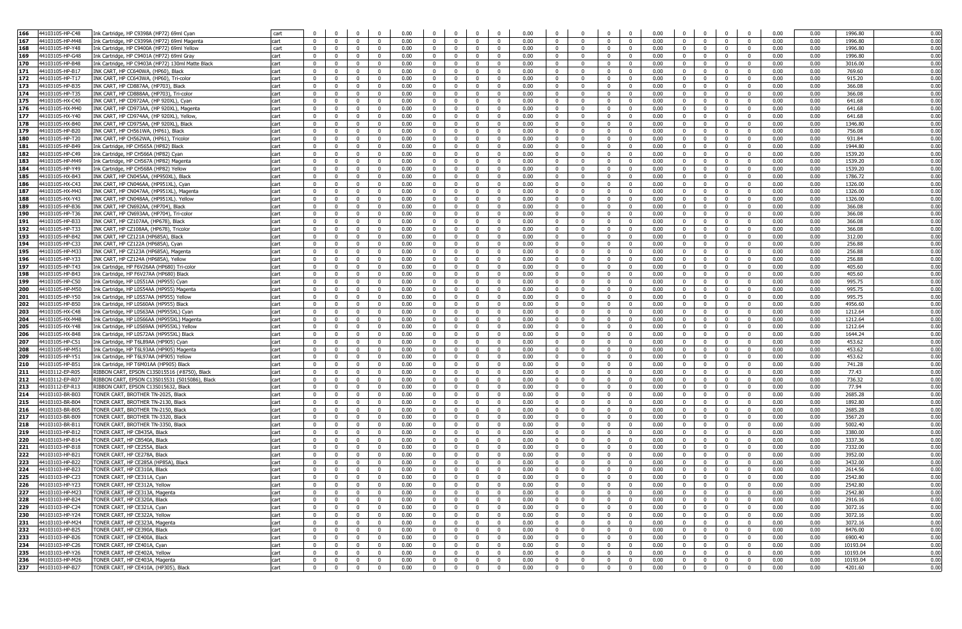| 166        | 44103105-HP-C48                    | Ink Cartridge, HP C9398A (HP72) 69ml Cyan                                           | cart         |                               |                                             |                           | 0.00<br>- 0                                               | $\overline{0}$                                     | $\Omega$                       | $\mathbf 0$                    | 0.00         | $\mathbf 0$                            | $\Omega$                            |                                |                                           | 0.00         | $\Omega$                         | $\mathbf{0}$                  | $\Omega$<br>$\Omega$                                              |                         | 0.00         | 0.00         | 1996.80            | 0.00         |
|------------|------------------------------------|-------------------------------------------------------------------------------------|--------------|-------------------------------|---------------------------------------------|---------------------------|-----------------------------------------------------------|----------------------------------------------------|--------------------------------|--------------------------------|--------------|----------------------------------------|-------------------------------------|--------------------------------|-------------------------------------------|--------------|----------------------------------|-------------------------------|-------------------------------------------------------------------|-------------------------|--------------|--------------|--------------------|--------------|
| 167        | 44103105-HP-M48                    | Ink Cartridge, HP C9399A (HP72) 69ml Magenta                                        | cart         | $\Omega$                      | $\Omega$<br>$\Omega$                        | $\Omega$                  | 0.00<br>$\Omega$                                          | $\Omega$                                           | $\Omega$                       | $\mathbf{0}$                   | 0.00         | $\overline{0}$                         | $\Omega$                            | $\Omega$                       | $\Omega$                                  | 0.00         | $\overline{0}$                   | $\Omega$                      | $\Omega$<br>$\Omega$                                              |                         | 0.00         | 0.00         | 1996.80            | 0.00         |
| 168        | 44103105-HP-Y48                    | Ink Cartridge, HP C9400A (HP72) 69ml Yellow                                         | cart         | $\overline{0}$                | $\overline{0}$<br>$\mathbf{0}$              | $\mathbf{0}$              | 0.00<br>$\overline{0}$                                    | $\overline{0}$                                     | $\overline{0}$                 | $\overline{0}$                 | 0.00         | $\overline{0}$                         | $\overline{0}$                      | $\overline{0}$                 | $\overline{0}$                            | 0.00         | $\overline{0}$                   | $\overline{0}$                | $\mathbf{0}$                                                      | $\overline{0}$          | 0.00         | 0.00         | 1996.80            | 0.00         |
| 169        | 44103105-HP-G48                    | Ink Cartridge, HP C9401A (HP72) 69ml Grav                                           | cart         | $\Omega$                      | $\overline{0}$<br>$\mathbf{0}$              | $\Omega$                  | 0.00<br>$\overline{0}$                                    | $\overline{0}$                                     | $\overline{0}$                 | $\overline{0}$                 | 0.00         | $\overline{0}$                         | $\overline{0}$                      | $\overline{0}$                 | $\overline{0}$                            | 0.00         | $\overline{0}$                   | $\overline{0}$                | $\Omega$                                                          | $\overline{0}$          | 0.00         | 0.00         | 1996.80            | 0.00         |
| 170        | 44103105-HP-B48                    | Ink Cartridge, HP C9403A (HP72) 130ml Matte Black                                   | cart         | $\Omega$                      | $\Omega$<br>$\Omega$                        | $\Omega$                  | 0.00<br>$\Omega$                                          | $\mathbf 0$                                        | $\mathbf{0}$                   | $\mathbf{0}$                   | 0.00         | $\mathbf 0$                            | $\Omega$                            | $\mathbf{0}$                   | $\mathbf{0}$                              | 0.00         | $\overline{0}$                   | $\mathbf 0$                   | $\mathbf 0$<br>$^{\circ}$                                         |                         | 0.00         | 0.00         | 3016.00            | 0.00         |
| 171        | 44103105-HP-B17                    | INK CART, HP CC640WA, (HP60), Black                                                 | cart         | $\Omega$                      | $\Omega$<br>$\Omega$                        | $\Omega$                  | 0.00<br>$\Omega$                                          | $\mathbf{0}$                                       | $\mathbf{0}$                   | $^{\circ}$                     | 0.00         | $\mathbf{0}$                           | - 0                                 | $\mathbf{0}$                   | $\Omega$                                  | 0.00         | $\mathbf{0}$                     | $\Omega$                      | $\mathbf{0}$<br>$\overline{\mathbf{0}}$                           |                         | 0.00         | 0.00         | 769.60             | 0.00         |
| 172        | 44103105-HP-T17                    | INK CART, HP CC643WA, (HP60), Tri-color                                             | cart         | $\Omega$                      | $^{\circ}$<br>$\Omega$                      | $\mathbf{0}$              | 0.00<br>$\overline{0}$                                    | $\mathbf{0}$                                       | $\mathbf{0}$                   | $\mathbf{0}$                   | 0.00         | $\overline{\mathbf{0}}$                | $\mathbf{0}$                        | $\overline{0}$                 | $\mathbf{0}$                              | 0.00         | $\overline{0}$                   | $\mathbf 0$                   | $\mathbf 0$                                                       | $\bf{0}$                | 0.00         | 0.00         | 915.20             | 0.00         |
| 173        | 44103105-HP-B3                     | INK CART, HP CD887AA, (HP703), Black                                                | cart         |                               |                                             |                           | 0.00<br>$^{\circ}$                                        | $\overline{0}$                                     | $\mathbf 0$                    | $\mathbf 0$                    | 0.00         | $\mathbf 0$                            | $\Omega$                            | $\mathbf{0}$                   |                                           | 0.00         | $\mathbf{0}$                     | $^{\circ}$                    | $\Omega$<br>$^{\circ}$                                            |                         | 0.00         | 0.00         | 366.08             | 0.00         |
| 174        | 44103105-HP-T35                    | INK CART, HP CD888AA, (HP703), Tri-color                                            | cart         | $\Omega$                      | $\overline{0}$<br>$\Omega$                  | $\Omega$                  | 0.00<br>$\Omega$                                          | $\overline{0}$                                     | $\mathbf{0}$                   | $\mathbf{0}$                   | 0.00         | $\overline{0}$                         | $\Omega$                            | $\overline{0}$                 | $\overline{0}$                            | 0.00         | $\overline{0}$                   | $\overline{0}$                | $\overline{0}$<br>$\Omega$                                        |                         | 0.00         | 0.00         | 366.08             | 0.00         |
| 175        | 44103105-HX-C40                    | INK CART, HP CD972AA, (HP 920XL), Cyan                                              | cart         | $\overline{0}$                | $\overline{0}$<br>$\mathbf{0}$              | $\mathbf{0}$              | 0.00<br>$\overline{0}$                                    | $\overline{0}$                                     | $\overline{0}$                 | $\overline{0}$                 | 0.00         | $\overline{0}$                         | $\mathbf{0}$                        | $\overline{0}$                 | $\overline{0}$                            | 0.00         | $\overline{0}$                   | $\overline{0}$                | $\mathbf{0}$                                                      | $\overline{0}$          | 0.00         | 0.00         | 641.68             | 0.00         |
| 176        | 44103105-HX-M40                    | INK CART, HP CD973AA, (HP 920XL), Magenta                                           | cart         | $\overline{0}$                | $\overline{0}$<br>$\Omega$                  | $\mathbf{0}$              | 0.00<br>$\overline{0}$                                    | $\overline{0}$                                     | $\mathbf{0}$                   | $\mathbf{0}$                   | 0.00         | $\overline{0}$                         | $\mathbf{0}$                        | $\overline{0}$                 | $\overline{0}$                            | 0.00         | $\overline{0}$                   | $\overline{0}$                | $\mathbf{0}$                                                      | $\bf{0}$                | 0.00         | 0.00         | 641.68             | 0.00         |
| 177<br>178 | 44103105-HX-Y40                    | INK CART, HP CD974AA, (HP 920XL), Yellow                                            | cart         | $\overline{0}$                | $\mathbf{0}$<br>$\Omega$                    | $\mathbf{0}$              | 0.00<br>$\overline{0}$                                    | $\overline{0}$                                     | $\overline{0}$                 | $^{\circ}$                     | 0.00         | $\overline{\mathbf{0}}$                | $\overline{0}$                      | $\overline{0}$                 | $\overline{0}$                            | 0.00         | $\overline{0}$                   | $\overline{0}$                | $\mathbf{0}$<br>$\overline{0}$                                    |                         | 0.00         | 0.00         | 641.68             | 0.00         |
|            | 44103105-HX-B40                    | INK CART, HP CD975AA, (HP 920XL), Black                                             | cart         | $\Omega$                      | $\overline{0}$<br>$^{\circ}$                | $\Omega$                  | 0.00<br>$\mathbf{0}$                                      | $\overline{\mathbf{0}}$                            | $\mathbf{0}$                   | $\mathbf 0$                    | 0.00         | $\mathbf{0}$                           | $\overline{\mathbf{0}}$<br>$\Omega$ | $\mathbf{0}$                   | $\mathbf{0}$                              | 0.00         | $\overline{0}$                   | $\mathbf{0}$                  | $\overline{\mathbf{0}}$<br>$\mathbf 0$                            |                         | 0.00         | 0.00         | 1346.80            | 0.00<br>0.00 |
| 179<br>180 | 44103105-HP-B20<br>44103105-HP-T20 | INK CART, HP CH561WA, (HP61), Black                                                 | cart<br>cart | $\Omega$<br>$^{\circ}$        | $\Omega$<br>$\Omega$<br>0                   | $\Omega$<br>$^{\circ}$    | 0.00<br>$\overline{0}$<br>0.00<br>$\overline{\mathbf{0}}$ | $\Omega$<br>$\overline{\mathbf{0}}$                | $\mathbf{0}$<br>$\mathbf 0$    | $\mathbf{0}$<br>$\mathbf 0$    | 0.00<br>0.00 | $\overline{\mathbf{0}}$<br>$\mathbf 0$ | - 0                                 | $\overline{0}$<br>$\mathbf{0}$ | $\Omega$<br>$^{\circ}$                    | 0.00<br>0.00 | $\overline{0}$<br>$\mathbf 0$    | $\Omega$<br>$^{\circ}$        | $\overline{\mathbf{0}}$<br>$\Omega$<br>$^{\circ}$<br>$^{\circ}$   |                         | 0.00<br>0.00 | 0.00<br>0.00 | 756.08<br>931.84   | 0.00         |
| 181        | 44103105-HP-B49                    | INK CART, HP CH562WA, (HP61), Tricolor<br>Ink Cartridge, HP CH565A (HP82) Black     | cart         | $\mathbf 0$                   | $^{\circ}$<br>$\Omega$                      | $\mathbf{0}$              | 0.00<br>$\overline{0}$                                    | $\mathbf{0}$                                       | $\mathbf{0}$                   | $\mathbf 0$                    | 0.00         | $\overline{\mathbf{0}}$                | 0                                   | $\mathbf{0}$                   | $\mathbf{0}$                              | 0.00         | $\mathbf{0}$                     | $\mathbf 0$                   | $\mathbf 0$                                                       | $\bf{0}$                | 0.00         | 0.00         | 1944.80            | 0.00         |
| 182        | 44103105-HP-C49                    | ink Cartridge, HP CH566A (HP82) Cyan                                                | cart         | $\Omega$                      | $\Omega$<br>$\Omega$                        | $\Omega$                  | 0.00<br>$\mathbf 0$                                       | $\mathbf{0}$                                       | $\overline{0}$                 | $\mathbf 0$                    | 0.00         | $\mathbf 0$                            | $\Omega$                            | $\mathbf{0}$                   | $\Omega$                                  | 0.00         | $\overline{0}$                   | $\mathbf 0$                   | $^{\circ}$<br>$\Omega$                                            |                         | 0.00         | 0.00         | 1539.20            | 0.00         |
| 183        | 44103105-HP-M49                    | Ink Cartridge, HP CH567A (HP82) Magenta                                             | cart         | $\mathbf{0}$                  | $\Omega$<br>$\Omega$                        | $^{\circ}$                | 0.00<br>$\mathbf{0}$                                      | $\mathbf{0}$                                       | $\mathbf{0}$                   | $\mathbf{0}$                   | 0.00         | $\overline{0}$                         | $\mathbf{0}$                        | $\mathbf{0}$                   | $\mathbf{0}$                              | 0.00         | $\overline{0}$                   | $\overline{0}$                | $\Omega$<br>$\mathbf 0$                                           |                         | 0.00         | 0.00         | 1539.20            | 0.00         |
| 184        | 44103105-HP-Y49                    | Ink Cartridge, HP CH568A (HP82) Yellow                                              | cart         | $\Omega$                      | $\Omega$<br>$\Omega$                        | $\Omega$                  | 0.00<br>$\overline{0}$                                    | $\overline{0}$                                     | $\mathbf{0}$                   | $\bf{0}$                       | 0.00         | $\overline{0}$                         | $\Omega$                            | $\mathbf{0}$                   | $\overline{0}$                            | 0.00         | $\mathbf{0}$                     | $\mathbf{0}$                  | $\overline{0}$<br>$\mathbf{0}$                                    |                         | 0.00         | 0.00         | 1539.20            | 0.00         |
| 185        | 44103105-HX-B43                    | INK CART, HP CN045AA, (HP950XL), Black                                              | cart         | $\overline{0}$                | $\overline{0}$<br>$\mathbf{0}$              | $\mathbf{0}$              | 0.00<br>$\overline{0}$                                    | $\overline{0}$                                     | $\overline{0}$                 | $\overline{0}$                 | 0.00         | $\overline{0}$                         | $\overline{0}$                      | $\overline{0}$                 | $\overline{0}$                            | 0.00         | $\overline{0}$                   | $\overline{0}$                | $\overline{0}$                                                    | $\overline{0}$          | 0.00         | 0.00         | 1786.72            | 0.00         |
| 186        | 44103105-HX-C43                    | INK CART, HP CN046AA, (HP951XL), Cyan                                               | cart         | $\overline{0}$                | $\overline{0}$<br>$\mathbf{0}$              | $\mathbf{0}$              | 0.00<br>$\overline{0}$                                    | $\overline{0}$                                     | $\overline{0}$                 | $\overline{0}$                 | 0.00         | $\overline{0}$                         | $\overline{0}$                      | $\overline{0}$                 | $\overline{0}$                            | 0.00         | $\overline{0}$                   | $\overline{0}$                | $\overline{0}$                                                    | $\overline{0}$          | 0.00         | 0.00         | 1326.00            | 0.00         |
| 187        | 44103105-HX-M43                    | INK CART, HP CN047AA, (HP951XL), Magenta                                            | cart         | $\Omega$                      | $\Omega$<br>$\Omega$                        | $\Omega$                  | 0.00<br>$\Omega$                                          | $\mathbf{0}$                                       | $\mathbf{0}$                   | $^{\circ}$                     | 0.00         | $\mathbf 0$                            | $\Omega$                            | $\mathbf 0$                    | $\Omega$                                  | 0.00         | $\overline{0}$                   | $\overline{0}$                | $^{\circ}$<br>$\Omega$                                            |                         | 0.00         | 0.00         | 1326.00            | 0.00         |
| 188        | 44103105-HX-Y43                    | INK CART, HP CN048AA, (HP951XL). Yellow                                             | cart         | $\mathbf{0}$                  | $\Omega$<br>$\Omega$                        | $\Omega$                  | 0.00<br>$\mathbf{0}$                                      | $\Omega$                                           | $\mathbf 0$                    | $^{\circ}$                     | 0.00         | $\mathbf 0$                            | $\Omega$                            | $\mathbf{0}$                   | $\Omega$                                  | 0.00         | $\mathbf{0}$                     | $\mathbf{0}$                  | $\overline{0}$<br>$\Omega$                                        |                         | 0.00         | 0.00         | 1326.00            | 0.00         |
| 189        | 44103105-HP-B36                    | INK CART, HP CN692AA, (HP704), Black                                                | cart         | $\Omega$                      | $\Omega$                                    | $\Omega$                  | 0.00<br>$\Omega$                                          | $\mathbf{0}$                                       | $\mathbf 0$                    | $^{\circ}$                     | 0.00         | $\mathbf 0$                            | - 0                                 | $\mathbf{0}$                   | $\Omega$                                  | 0.00         | $\mathbf{0}$                     | $\Omega$                      | $\Omega$<br>$^{\circ}$                                            |                         | 0.00         | 0.00         | 366.08             | 0.00         |
| 190        | 44103105-HP-T36                    | INK CART, HP CN693AA, (HP704), Tri-color                                            | cart         | $\Omega$                      | $^{\circ}$<br>$\Omega$                      | $\mathbf{0}$              | 0.00<br>$\Omega$                                          | $\overline{\mathbf{0}}$                            | $\mathbf{0}$                   | $\mathbf 0$                    | 0.00         | $\overline{0}$                         | $\Omega$                            | $\mathbf{0}$                   | $\mathbf{0}$                              | 0.00         | $\overline{0}$                   | $\Omega$                      | $\overline{\mathbf{0}}$<br>$\mathbf 0$                            |                         | 0.00         | 0.00         | 366.08             | 0.00         |
| 191        | 44103105-HP-B33                    | INK CART, HP CZ107AA, (HP678), Black                                                | cart         | $\Omega$                      | $\Omega$<br>$\Omega$                        | $\Omega$                  | 0.00<br>$\overline{0}$                                    | $\overline{\mathbf{0}}$                            | $\overline{0}$                 | $\mathbf 0$                    | 0.00         | $\overline{\mathbf{0}}$                | - 0                                 | $\mathbf{0}$                   | $\overline{0}$                            | 0.00         | $\overline{0}$                   | $\mathbf 0$                   | $\overline{0}$<br>$\overline{0}$                                  |                         | 0.00         | 0.00         | 366.08             | 0.00         |
| 192        | 44103105-HP-T33                    | INK CART, HP CZ108AA, (HP678), Tricolor                                             | cart         | $\Omega$                      | $\Omega$<br>$\Omega$                        | $\Omega$                  | 0.00<br>$\Omega$                                          | $\overline{0}$                                     | $\mathbf{0}$                   | $\mathbf{0}$                   | 0.00         | $\mathbf{0}$                           | $\Omega$                            | $\mathbf{0}$                   | $\Omega$                                  | 0.00         | $\overline{0}$                   | $\overline{0}$                | $\overline{0}$<br>$\overline{0}$                                  |                         | 0.00         | 0.00         | 366.08             | 0.00         |
| 193        | 44103105-HP-B42                    | INK CART, HP CZ121A (HP685A), Black                                                 | cart         | $\overline{0}$                | $\overline{0}$<br>$\mathbf{0}$              | $\mathbf{0}$              | 0.00<br>$\overline{0}$                                    | $\overline{0}$                                     | $\overline{0}$                 | $\mathbf{0}$                   | 0.00         | $\overline{0}$                         | $\mathbf{0}$                        | $\overline{0}$                 | $\overline{0}$                            | 0.00         | $\overline{0}$                   | $\overline{0}$                | $\mathbf{0}$                                                      | $\overline{0}$          | 0.00         | 0.00         | 312.00             | 0.00         |
| 194        | 44103105-HP-C33                    | INK CART, HP CZ122A (HP685A), Cyan                                                  | cart         | $\mathbf{0}$                  | $\mathbf{0}$<br>$\Omega$                    | $\Omega$                  | 0.00<br>$\overline{0}$                                    | $\overline{0}$                                     | $\mathbf{0}$                   | $\mathbf{0}$                   | 0.00         | $\mathbf{0}$                           | $\overline{0}$                      | $\overline{0}$                 | $\Omega$                                  | 0.00         | $\overline{0}$                   | $\Omega$                      | $\mathbf{0}$                                                      | $\overline{0}$          | 0.00         | 0.00         | 256.88             | 0.00         |
| 195        | 44103105-HP-M33                    | INK CART, HP CZ123A (HP685A), Magenta                                               | cart         | $\overline{0}$                | $\mathbf 0$<br>$\Omega$                     | $\mathbf 0$               | 0.00<br>$\overline{0}$                                    | $\overline{0}$                                     | $\mathbf{0}$                   | $\mathbf 0$                    | 0.00         | $\overline{\mathbf{0}}$                | $\mathbf{0}$                        | $\mathbf{0}$                   | $\mathbf 0$                               | 0.00         | $\overline{0}$                   | $\mathbf 0$                   | $\mathbf{0}$<br>$\overline{\mathbf{0}}$                           |                         | 0.00         | 0.00         | 256.88             | 0.00         |
| 196        | 44103105-HP-Y33                    | INK CART, HP CZ124A (HP685A), Yellow                                                | cart         | $\mathbf{0}$                  | $\mathbf{0}$<br>$\Omega$                    | $\Omega$                  | 0.00<br>$\mathbf{0}$                                      | $\mathbf 0$                                        | $\mathbf{0}$                   | $\mathbf{0}$                   | 0.00         | $\mathbf{0}$                           | $\Omega$                            | $\mathbf{0}$                   | $\Omega$                                  | 0.00         | $\overline{0}$                   | $\mathbf{0}$                  | $\mathbf{0}$<br>$\Omega$                                          |                         | 0.00         | 0.00         | 256.88             | 0.00         |
| 197        | 44103105-HP-T43                    | Ink Cartridge, HP F6V26AA (HP680) Tri-coloi                                         | cart         | $\mathbf 0$                   | $^{\circ}$<br>$^{\circ}$                    | $^{\circ}$                | 0.00<br>$\mathbf 0$                                       | $\mathbf{0}$                                       | $\mathbf 0$                    | $^{\circ}$                     | 0.00         | $\mathbf 0$                            | 0                                   | $\overline{0}$                 | $\mathbf{0}$                              | 0.00         | $\overline{0}$                   | $\overline{\mathbf{0}}$       | $\mathbf 0$<br>$\overline{\mathbf{0}}$                            |                         | 0.00         | 0.00         | 405.60             | 0.00         |
| 198        | 44103105-HP-B43                    | Ink Cartridge, HP F6V27AA (HP680) Black                                             | cart         | $\Omega$                      | $\Omega$                                    | $\Omega$                  | 0.00<br>$\Omega$                                          | $\mathbf{0}$                                       | $\mathbf 0$                    | $^{\circ}$                     | 0.00         | $\mathbf 0$                            | - 0                                 | $\mathbf{0}$                   | $\Omega$                                  | 0.00         | $\mathbf 0$                      | $\Omega$                      | $\mathbf 0$<br>$^{\circ}$                                         |                         | 0.00         | 0.00         | 405.60             | 0.00         |
| 199        | 44103105-HP-C50                    | ink Cartridge, HP L0S51AA (HP955) Cyan                                              | cart         | $\Omega$                      | $^{\circ}$<br>$^{\circ}$                    | $^{\circ}$                | 0.00<br>$\Omega$                                          | $\mathbf{0}$                                       | $\mathbf 0$                    | $^{\circ}$                     | 0.00         | $\mathbf 0$                            | $\Omega$                            | $^{\circ}$                     | $\mathbf{0}$                              | 0.00         | $\mathbf{0}$                     | $\mathbf 0$                   | $\overline{\mathbf{0}}$<br>$\mathbf 0$                            |                         | 0.00         | 0.00         | 995.75             | 0.00         |
| 200        | 44103105-HP-M50                    | ink Cartridge, HP L0S54AA (HP955) Magenta                                           | cart         | $\Omega$                      | $\Omega$<br>$\Omega$                        | $\Omega$                  | 0.00<br>$\overline{0}$                                    | $\overline{\mathbf{0}}$                            | $\bf{0}$                       | $\bf{0}$                       | 0.00         | $\overline{0}$                         | - 0                                 | $\mathbf{0}$                   | $\mathbf 0$                               | 0.00         | $\overline{0}$                   | $\mathbf 0$                   | $\overline{0}$<br>$^{\circ}$                                      |                         | 0.00         | 0.00         | 995.75             | 0.00         |
| 201        | 44103105-HP-Y50                    | Ink Cartridge, HP L0S57AA (HP955) Yellow                                            | cart         | $\overline{0}$                | $\overline{0}$<br>$\Omega$                  | $\Omega$                  | 0.00<br>$\overline{0}$                                    | $\overline{0}$                                     | $\overline{0}$                 | $\overline{0}$                 | 0.00         | $\overline{0}$                         | $\mathbf{0}$                        | $\overline{0}$                 | $\Omega$                                  | 0.00         | $\overline{0}$                   | $\overline{0}$                | $\Omega$                                                          | $\overline{0}$          | 0.00         | 0.00         | 995.75             | 0.00         |
| 202        | 44103105-HP-B50                    | Ink Cartridge, HP L0S60AA (HP955) Black                                             | cart         | $\overline{0}$                | $\overline{0}$<br>$\mathbf{0}$              | $\mathbf{0}$              | 0.00<br>$\overline{0}$                                    | $\overline{0}$                                     | $\overline{0}$                 | $\overline{0}$                 | 0.00         | $\overline{0}$                         | $\mathbf{0}$                        | $\overline{0}$                 | $\overline{0}$                            | 0.00         | $\overline{0}$                   | $\overline{0}$                | $\overline{0}$                                                    | $\overline{0}$          | 0.00         | 0.00         | 4956.60            | 0.00         |
| 203        | 44103105-HX-C48                    | Ink Cartridge, HP L0S63AA (HP955XL) Cyan                                            | cart         | $\overline{0}$                | $\overline{0}$<br>$\mathbf{0}$              | $\mathbf{0}$              | 0.00<br>$\overline{0}$                                    | $\overline{0}$                                     | $\mathbf{0}$                   | $\overline{0}$                 | 0.00         | $\overline{0}$                         | $\overline{0}$                      | $\overline{0}$                 | $\overline{0}$                            | 0.00         | $\overline{0}$                   | $\overline{0}$                | $\mathbf{0}$                                                      | $\overline{0}$          | 0.00         | 0.00         | 1212.64            | 0.00         |
| 204        | 44103105-HX-M48                    | ink Cartridge, HP L0S66AA (HP955XL) Magenta                                         | cart         | $\Omega$                      | $\Omega$<br>$\Omega$                        | $\Omega$                  | 0.00<br>$\overline{0}$                                    | $\mathbf 0$                                        | $\mathbf{0}$                   | $\mathbf{0}$                   | 0.00         | $\overline{0}$                         | $\Omega$                            | $\mathbf{0}$                   | $\mathbf{0}$                              | 0.00         | $\overline{0}$                   | $\overline{\mathbf{0}}$       | $\overline{\mathbf{0}}$<br>$\mathbf 0$                            |                         | 0.00         | 0.00         | 1212.64            | 0.00         |
| 205        | 44103105-HX-Y48                    | ink Cartridge, HP L0S69AA (HP955XL) Yellow                                          | cart         | $\Omega$                      | $\Omega$<br>$\Omega$                        | $\Omega$                  | 0.00<br>$\Omega$                                          | $\mathbf 0$                                        | $^{\circ}$                     | $^{\circ}$                     | 0.00         | $\mathbf 0$                            | $\Omega$                            | $\mathbf 0$                    | $\Omega$                                  | 0.00         | $\mathbf{0}$                     | $\mathbf{0}$                  | $\Omega$<br>$^{\circ}$                                            |                         | 0.00         | 0.00         | 1212.64            | 0.00         |
| 206        | 44103105-HX-B48                    | Ink Cartridge, HP L0S72AA (HP955XL) Black                                           | cart         | $\Omega$                      | $\mathbf 0$<br>$^{\circ}$                   | $^{\circ}$                | 0.00<br>$\overline{0}$                                    | $\mathbf 0$                                        | $\mathbf{0}$                   | $\mathbf{0}$                   | 0.00         | $\mathbf{0}$                           | $\mathbf{0}$                        | $\mathbf{0}$                   | $\mathbf{0}$                              | 0.00         | $\overline{0}$                   | $\mathbf{0}$                  | $\overline{\mathbf{0}}$<br>$\mathbf 0$                            |                         | 0.00         | 0.00         | 1644.24            | 0.00         |
| 207        | 44103105-HP-C51<br>44103105-HP-M51 | Ink Cartridge, HP T6L89AA (HP905) Cyan                                              | cart         | $\Omega$<br>$\Omega$          | $\Omega$<br>$\Omega$<br>$\Omega$            | $\Omega$                  | 0.00<br>$\overline{0}$<br>0.00<br>$\Omega$                | $\overline{\mathbf{0}}$                            | $\mathbf{0}$<br>$\mathbf{0}$   | $\mathbf 0$                    | 0.00<br>0.00 | $\overline{\mathbf{0}}$                | $\Omega$<br>$\Omega$                | $\mathbf{0}$                   | $\Omega$                                  | 0.00<br>0.00 | $\overline{0}$                   | $\mathbf 0$<br>$\overline{0}$ | $\overline{0}$<br>$\mathbf 0$<br>$\overline{0}$                   |                         | 0.00         | 0.00         | 453.62<br>453.62   | 0.00<br>0.00 |
| 208<br>209 | 44103105-HP-Y51                    | Ink Cartridge, HP T6L93AA (HP905) Magenta                                           | cart         | $\Omega$                      | $\Omega$<br>$\Omega$<br>$\Omega$            | $^{\circ}$<br>$\Omega$    | 0.00<br>$\overline{0}$                                    | $\overline{\mathbf{0}}$<br>$\overline{0}$          | $\mathbf{0}$                   | $\mathbf{0}$<br>$\bf{0}$       | 0.00         | $\overline{0}$<br>$\overline{0}$       | - 0                                 | $\mathbf{0}$<br>$\Omega$       | $\overline{\mathbf{0}}$<br>$\overline{0}$ | 0.00         | $\overline{0}$<br>$\overline{0}$ | $\overline{0}$                | $\mathbf 0$<br>$\overline{0}$<br>$\mathbf{0}$                     |                         | 0.00<br>0.00 | 0.00<br>0.00 | 453.62             | 0.00         |
| 210        | 44103105-HP-B51                    | ink Cartridge, HP T6L97AA (HP905) Yellow<br>Ink Cartridge, HP T6M01AA (HP905) Black | cart<br>cart | $\overline{0}$                | $\overline{0}$<br>$\mathbf{0}$              | $\mathbf{0}$              | 0.00<br>$\overline{0}$                                    | $\overline{0}$                                     | $\overline{0}$                 | $\overline{0}$                 | 0.00         | $\overline{0}$                         | $\overline{0}$                      | $\overline{0}$                 | $\overline{0}$                            | 0.00         | $\overline{0}$                   | $\overline{0}$                | $\mathbf{0}$                                                      | $\overline{0}$          | 0.00         | 0.00         | 741.28             | 0.00         |
| 211        | 44103112-EP-R05                    | RIBBON CART, EPSON C13S015516 (#8750), Black                                        | cart         | $\overline{0}$                | $\overline{0}$<br>$\mathbf{0}$              | $\mathbf{0}$              | 0.00<br>$\overline{0}$                                    | $\overline{0}$                                     | $\overline{0}$                 | $\overline{0}$                 | 0.00         | $\overline{0}$                         | $\mathbf{0}$                        | $\overline{0}$                 | $\overline{0}$                            | 0.00         | $\overline{0}$                   | $\overline{0}$                | $\overline{0}$                                                    | $\overline{0}$          | 0.00         | 0.00         | 77.43              | 0.00         |
| 212        | 44103112-EP-R07                    | RIBBON CART, EPSON C13S015531 (S015086), Black                                      | cart         | $\Omega$                      | $\Omega$<br>$\Omega$                        | $\Omega$                  | 0.00<br>$\Omega$                                          | $\mathbf{0}$                                       | $\mathbf{0}$                   | $^{\circ}$                     | 0.00         | $\mathbf 0$                            | $\Omega$                            | $\mathbf{0}$                   | $\Omega$                                  | 0.00         | $\mathbf{0}$                     | $\Omega$                      | $\overline{0}$<br>$\mathbf{0}$                                    |                         | 0.00         | 0.00         | 736.32             | 0.00         |
| 213        | 44103112-EP-R13                    | RIBBON CART, EPSON C13S015632, Black                                                | cart         | $\mathbf{0}$                  | $\Omega$<br>$\Omega$                        | $\mathbf{0}$              | 0.00<br>$\overline{0}$                                    | $\overline{0}$                                     | $\mathbf{0}$                   | $\mathbf 0$                    | 0.00         | $\overline{\mathbf{0}}$                | $\Omega$                            | $\overline{0}$                 | $\Omega$                                  | 0.00         | $\overline{0}$                   | $\mathbf{0}$                  | $\mathbf{0}$<br>$\overline{\mathbf{0}}$                           |                         | 0.00         | 0.00         | 77.94              | 0.00         |
| 214        | 44103103-BR-B03                    | <b>FONER CART, BROTHER TN-2025, Black</b>                                           | cart         | $\Omega$                      | $^{\circ}$                                  |                           | 0.00<br>$\mathbf{0}$                                      | $\mathbf{0}$                                       | $\mathbf 0$                    | $^{\circ}$                     | 0.00         | $\mathbf 0$                            | 0                                   | $\mathbf 0$                    | $^{\circ}$                                | 0.00         | $\overline{0}$                   | $\mathbf 0$                   | $\mathbf{0}$<br>$^{\circ}$                                        |                         | 0.00         | 0.00         | 2685.28            | 0.00         |
| 215        | 44103103-BR-B04                    | ONER CART, BROTHER TN-2130, Black                                                   | cart         | $\Omega$                      | $^{\circ}$<br>$\Omega$                      | $^{\circ}$                | 0.00<br>$\Omega$                                          | $\mathbf{0}$                                       | $\mathbf{0}$                   | $^{\circ}$                     | 0.00         | $\mathbf 0$                            | $\Omega$                            | $\mathbf{0}$                   | $\mathbf{0}$                              | 0.00         | $\overline{0}$                   | $\mathbf 0$                   | $\mathbf 0$<br>$^{\circ}$                                         |                         | 0.00         | 0.00         | 1892.80            | 0.00         |
| 216        | 44103103-BR-B05                    | FONER CART, BROTHER TN-2150, Black                                                  | cart         | $\Omega$                      | $\Omega$                                    | $\Omega$                  | 0.00<br>- 0                                               | $\mathbf{0}$                                       | $\mathbf{0}$                   | $^{\circ}$                     | 0.00         | $\mathbf 0$                            | $\Omega$                            | $^{\circ}$                     | $\Omega$                                  | 0.00         | $\mathbf 0$                      | $\Omega$                      | $\overline{0}$<br>$^{\circ}$                                      |                         | 0.00         | 0.00         | 2685.28            | 0.00         |
| 217        | 44103103-BR-B09                    | FONER CART, BROTHER TN-3320, Black                                                  | cart         | $\mathbf{0}$                  | $\Omega$<br>$\Omega$                        | $\mathbf 0$               | 0.00<br>$\overline{0}$                                    | $\overline{\mathbf{0}}$                            | $\mathbf{0}$                   | $\mathbf{0}$                   | 0.00         | $\overline{\mathbf{0}}$                | $\Omega$                            | $\overline{0}$                 | $\overline{0}$                            | 0.00         | $\overline{0}$                   | $\overline{0}$                | $\mathbf 0$<br>$\overline{0}$                                     |                         | 0.00         | 0.00         | 3567.20            | 0.00         |
| 218        | 44103103-BR-B1                     | FONER CART, BROTHER TN-3350, Black                                                  | cart         | $\overline{0}$                | $\overline{0}$<br>$\mathbf{0}$              | $\mathbf{0}$              | 0.00<br>$\overline{0}$                                    | $\overline{\mathbf{0}}$                            | $\mathbf{0}$                   | $\mathbf{0}$                   | 0.00         | $\overline{\mathbf{0}}$                | $\mathbf{0}$                        | $\overline{0}$                 | $\overline{0}$                            | 0.00         | $\overline{0}$                   | $\overline{\mathbf{0}}$       | $\mathbf{0}$                                                      | $\bf{0}$                | 0.00         | 0.00         | 5002.40            | 0.00         |
| 219        | 44103103-HP-B12                    | FONER CART, HP CB435A, Black                                                        | cart         | $\mathbf{0}$                  | $\Omega$<br>$\Omega$                        | $\Omega$                  | 0.00<br>$\overline{0}$                                    | $\overline{0}$                                     | $\mathbf{0}$                   | $\mathbf{0}$                   | 0.00         | $\overline{0}$                         | $\mathbf{0}$                        | $\overline{0}$                 | $\Omega$                                  | 0.00         | $\overline{0}$                   | $\overline{0}$                | $\Omega$                                                          | $\overline{0}$          | 0.00         | 0.00         | 3380.00            | 0.00         |
| 220        | 44103103-HP-B14                    | TONER CART, HP CB540A, Black                                                        | cart         | $\overline{0}$                | $\mathbf{0}$<br>$\Omega$                    | $\mathbf{0}$              | 0.00<br>$\overline{0}$                                    | $\overline{0}$                                     | $\overline{0}$                 | $\mathbf{0}$                   | 0.00         | $\overline{0}$                         | $\overline{0}$                      | $\mathbf{0}$                   | $\overline{0}$                            | 0.00         | $\overline{0}$                   | $\mathbf{0}$                  | $\mathbf{0}$<br>$\overline{0}$                                    |                         | 0.00         | 0.00         | 3337.36            | 0.00         |
| 221        | 44103103-HP-B18                    | <b>TONER CART, HP CE255A, Black</b>                                                 | cart         | $\mathbf{0}$                  | $\mathbf{0}$<br>$\Omega$                    | $\Omega$                  | 0.00<br>$\overline{0}$                                    | $\overline{0}$                                     | $\mathbf{0}$                   | $\mathbf{0}$                   | 0.00         | $\mathbf 0$                            | $\overline{0}$                      | $\overline{0}$                 | $\overline{\mathbf{0}}$                   | 0.00         | $\overline{0}$                   | $\Omega$                      | $\mathbf{0}$                                                      | $\bf{0}$                | 0.00         | 0.00         | 7332.00            | 0.00         |
| 222        | 44103103-HP-B21                    | <b>FONER CART, HP CE278A, Black</b>                                                 | cart         | $\Omega$                      | $\Omega$<br>$\Omega$                        | $\mathbf{0}$              | 0.00<br>$\overline{0}$                                    | $\overline{\mathbf{0}}$                            | $\mathbf{0}$                   | $\mathbf 0$                    | 0.00         | $\overline{\mathbf{0}}$                | $\Omega$                            | $\mathbf{0}$                   | $\overline{0}$                            | 0.00         | $\overline{0}$                   | $\mathbf{0}$                  | $\mathbf 0$<br>$\overline{\mathbf{0}}$                            |                         | 0.00         | 0.00         | 3952.00            | 0.00         |
| 223        | 44103103-HP-B22                    | TONER CART, HP CE285A (HP85A), Black                                                | cart         | $\Omega$                      | $^{\circ}$<br>$^{\circ}$                    | $^{\circ}$                | 0.00<br>$\mathbf{0}$                                      | $\mathbf{0}$                                       | $^{\circ}$                     | $\mathbf 0$                    | 0.00         | $\mathbf 0$                            | 0                                   | $\mathbf{0}$                   | $\mathbf{0}$                              | 0.00         | $\mathbf{0}$                     | $\mathbf 0$                   | $\mathbf 0$<br>$^{\circ}$                                         |                         | 0.00         | 0.00         | 3432.00            | 0.00         |
| 224        | 44103103-HP-B23                    | <b>TONER CART, HP CE310A, Black</b>                                                 | cart         | $\Omega$                      | $^{\circ}$<br>$\Omega$                      | $^{\circ}$                | 0.00<br>$\Omega$                                          | $\mathbf{0}$                                       | $\mathbf 0$                    | $^{\circ}$                     | 0.00         | $\mathbf{0}$                           | $\Omega$                            | $\mathbf{0}$                   | $\mathbf{0}$                              | 0.00         | $\mathbf{0}$                     | $\mathbf 0$                   | $\mathbf{0}$<br>$^{\circ}$                                        |                         | 0.00         | 0.00         | 2614.56            | 0.00         |
| 225        | 44103103-HP-C23                    | TONER CART, HP CE311A, Cyan                                                         | cart         | $\mathbf{0}$                  | $\mathbf{0}$                                | $\Omega$                  | 0.00<br>$\overline{0}$                                    | $\mathbf{0}$                                       | $\bf{0}$                       | $^{\circ}$                     | 0.00         | $\overline{\mathbf{0}}$                | - 0                                 | $\mathbf{0}$                   | $\Omega$                                  | 0.00         | $\mathbf{0}$                     | $\mathbf 0$                   | $^{\circ}$<br>$\overline{0}$                                      |                         | 0.00         | 0.00         | 2542.80            | 0.00         |
| 226        | 44103103-HP-Y23                    | TONER CART, HP CE312A, Yellow                                                       | cart         | $\overline{0}$                | $\overline{0}$<br>$^{\circ}$                | $^{\circ}$                | 0.00<br>$\overline{0}$                                    | $\overline{0}$                                     | $\mathbf{0}$                   | $\mathbf{0}$                   | 0.00         | $\mathbf{0}$                           | $\Omega$                            | $\mathbf{0}$                   | $\mathbf{0}$                              | 0.00         | $\overline{0}$                   | $\mathbf{0}$                  | $\overline{0}$<br>$\mathbf 0$                                     |                         | 0.00         | 0.00         | 2542.80            | 0.00         |
|            | 227 44103103-HP-M23                | TONER CART, HP CE313A, Magenta                                                      | cart         | $\overline{0}$<br>- 0         | $\overline{0}$                              | - 0                       | 0.00<br>$\overline{0}$                                    | $\overline{0}$                                     | $\overline{0}$                 | $\overline{0}$                 | 0.00         | $\overline{0}$                         | $\mathbf{0}$                        | $\overline{0}$                 | $\overline{0}$                            | 0.00         | $\overline{0}$                   | $\overline{0}$                | $\overline{0}$<br>$\overline{0}$                                  |                         | 0.00         | 0.00         | 2542.80            | 0.00         |
| 228        | 44103103-HP-B24                    | TONER CART, HP CE320A, Black                                                        | cart         | $\overline{0}$                | $\overline{0}$<br>$\overline{0}$            | $\overline{0}$            | 0.00<br>$\overline{0}$                                    | $\overline{0}$                                     | $\overline{0}$                 | $\overline{0}$                 | 0.00         | $\overline{0}$                         | $\overline{0}$                      | $\overline{0}$                 | $\overline{\mathbf{0}}$                   | 0.00         | $0$ 0                            |                               | $\overline{0}$                                                    | $\overline{0}$          | 0.00         | 0.00         | 2916.16            | 0.00         |
| 229        | 44103103-HP-C24                    | TONER CART, HP CE321A, Cyan                                                         | cart         | $\mathbf{0}$<br>$\Omega$      |                                             | $\mathbf 0$               | 0.00<br>$\overline{0}$                                    | $\overline{0}$                                     | $\overline{0}$                 | $\overline{0}$                 | 0.00         | $\mathbf 0$                            | $\Omega$                            | $\overline{0}$                 | $\overline{\mathbf{0}}$                   | 0.00         | $\overline{0}$                   | $\overline{\mathbf{0}}$       | $\overline{\mathbf{0}}$                                           | $\mathbf{0}$            | 0.00         | 0.00         | 3072.16            | 0.00         |
| 230        | 44103103-HP-Y24                    | TONER CART, HP CE322A, Yellow<br>TONER CART, HP CE323A, Magenta                     | cart         | $\mathbf 0$                   | $\Omega$<br>$\Omega$                        | $\Omega$                  | 0.00<br>$\overline{0}$                                    | $\overline{0}$                                     | $\mathbf{0}$                   | $\mathbf{0}$                   | 0.00         | $\mathbf{0}$                           | - 0                                 | $\mathbf{0}$                   | $\Omega$                                  | 0.00         | $\overline{0}$                   | $\mathbf 0$                   | $\mathbf{0}$                                                      | $\bf{0}$                | 0.00         | 0.00         | 3072.16<br>3072.16 | 0.00<br>0.00 |
| 231<br>232 | 44103103-HP-M24<br>44103103-HP-B25 | TONER CART, HP CE390A, Black                                                        | cart<br>cart | $\overline{0}$                | $\mathbf{0}$<br>$\mathbf 0$<br>$\mathbf{0}$ | $\mathbf{0}$              | 0.00<br>$\overline{0}$<br>0.00                            | $\overline{\mathbf{0}}$                            | $\overline{0}$                 | $\overline{0}$                 | 0.00         | $\overline{0}$                         | $\mathbf{0}$<br>$\mathbf 0$         | $\overline{0}$                 | $\overline{\mathbf{0}}$                   | 0.00<br>0.00 | $0$ 0<br>$\overline{0}$          |                               | $\overline{\mathbf{0}}$                                           | $\overline{\mathbf{0}}$ | 0.00<br>0.00 | 0.00<br>0.00 | 8476.00            | 0.00         |
| 233        | 44103103-HP-B26                    | TONER CART, HP CE400A, Black                                                        | cart         | $\mathbf 0$<br>$\overline{0}$ | $^{\circ}$<br>$\overline{0}$<br>$\mathbf 0$ | $^{\circ}$<br>$\mathbf 0$ | $\overline{0}$<br>0.00<br>$\overline{0}$                  | $\overline{\mathbf{0}}$<br>$\overline{\mathbf{0}}$ | $\mathbf{0}$<br>$\overline{0}$ | $\mathbf{0}$<br>$\overline{0}$ | 0.00<br>0.00 | $\mathbf 0$<br>$\overline{0}$          | $\mathbf{0}$                        | $\mathbf{0}$<br>$\overline{0}$ | $\mathbf{0}$<br>$\overline{\mathbf{0}}$   | 0.00         | $0\qquad 0$                      | $\overline{\mathbf{0}}$       | $\overline{\mathbf{0}}$<br>$\mathbf 0$<br>$\overline{\mathbf{0}}$ | $\overline{0}$          | 0.00         | 0.00         | 6900.40            | 0.00         |
| 234        | 44103103-HP-C26                    | TONER CART, HP CE401A, Cyan                                                         | cart         | $\overline{0}$                | $\overline{0}$<br>$\mathbf 0$               | $\overline{0}$            | 0.00<br>$\overline{0}$                                    | $\overline{\mathbf{0}}$                            | $\overline{0}$                 | $\overline{0}$                 | 0.00         | $\overline{0}$                         | $\overline{0}$                      | $\overline{0}$                 | $\overline{\mathbf{0}}$                   | 0.00         | $0\qquad 0$                      |                               | $\overline{\mathbf{0}}$                                           | $\overline{0}$          | 0.00         | 0.00         | 10193.04           | 0.00         |
| 235        | 44103103-HP-Y26                    | TONER CART, HP CE402A, Yellow                                                       | cart         | $\overline{0}$                | $\overline{0}$<br>$\overline{0}$            | $\mathbf{0}$              | 0.00<br>$\overline{0}$                                    | $\overline{\mathbf{0}}$                            | $\overline{0}$                 | $\overline{0}$                 | 0.00         | $\overline{0}$                         | $\overline{0}$                      | $\overline{\mathbf{0}}$        | $\overline{\mathbf{0}}$                   | 0.00         | $0 \quad 0$                      |                               | $\overline{\mathbf{0}}$                                           | $\overline{0}$          | 0.00         | 0.00         | 10193.04           | 0.00         |
| 236        | 44103103-HP-M26                    | TONER CART, HP CE403A, Magenta                                                      | cart         | $\overline{0}$                | $\overline{0}$<br>$\overline{0}$            | $\overline{0}$            | 0.00<br>$\overline{0}$                                    | $\overline{\mathbf{0}}$                            | $\overline{0}$                 | $\overline{\mathbf{0}}$        | 0.00         | $\overline{0}$                         | $\overline{0}$                      | $\overline{0}$                 | $\overline{\mathbf{0}}$                   | 0.00         | $0\qquad 0$                      |                               | $\overline{\mathbf{0}}$                                           | $\overline{0}$          | 0.00         | 0.00         | 10193.04           | 0.00         |
|            | 237 44103103-HP-B27                | TONER CART, HP CE410A, (HP305), Black                                               | cart         | $\overline{0}$                | $\overline{0}$<br>$\overline{0}$            | $\overline{0}$            | 0.00                                                      | $0 \qquad 0$                                       | $\overline{\mathbf{0}}$        | $\overline{\mathbf{0}}$        | 0.00         | $\overline{0}$                         | $\overline{\phantom{0}}$            |                                | $0 \qquad 0$                              | 0.00         | $0 \quad 0$                      |                               | $\overline{\mathbf{0}}$                                           | $\overline{0}$          | 0.00         | 0.00         | 4201.60            | 0.00         |
|            |                                    |                                                                                     |              |                               |                                             |                           |                                                           |                                                    |                                |                                |              |                                        |                                     |                                |                                           |              |                                  |                               |                                                                   |                         |              |              |                    |              |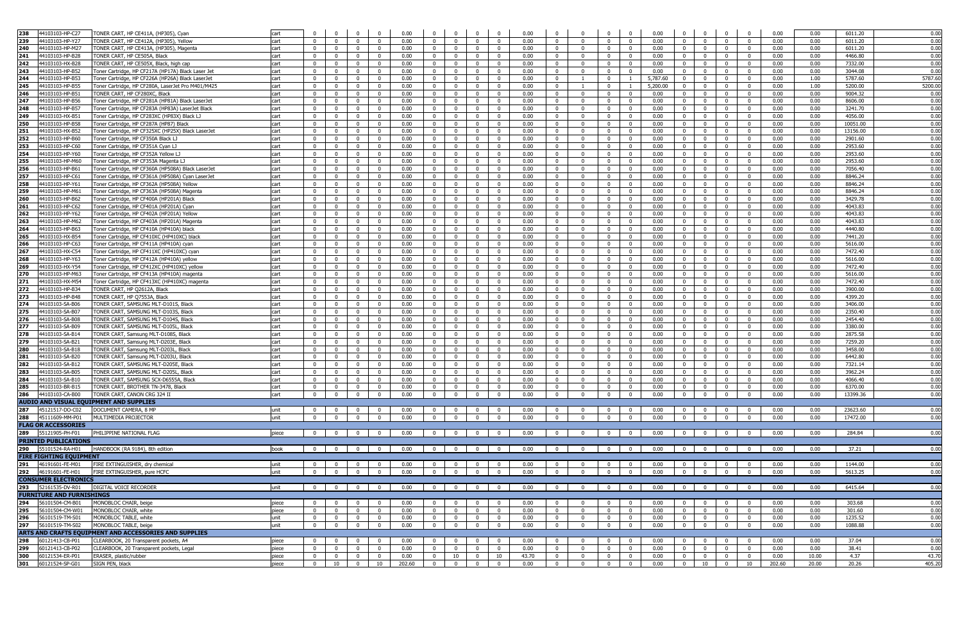| 238 | 44103103-HP-C27                  | TONER CART, HP CE411A, (HP305), Cvan                   | cart  |                         | $\Omega$                | $\Omega$                | $\Omega$                | 0.00               | $\Omega$                | $\Omega$                 | $\mathbf{0}$            | $\Omega$                | 0.00  | $\Omega$                | $\Omega$                |                                               | 0.00<br>$\Omega$                | $\Omega$                | $\Omega$                         | $\Omega$                | $\Omega$       | 0.00                            | 0.00  | 6011.20  | 0.00   |
|-----|----------------------------------|--------------------------------------------------------|-------|-------------------------|-------------------------|-------------------------|-------------------------|--------------------|-------------------------|--------------------------|-------------------------|-------------------------|-------|-------------------------|-------------------------|-----------------------------------------------|---------------------------------|-------------------------|----------------------------------|-------------------------|----------------|---------------------------------|-------|----------|--------|
| 239 | 44103103-HP-Y27                  | FONER CART, HP CE412A, (HP305), Yellow                 | cart  | $\mathbf{0}$            | $\mathbf{0}$            | $\Omega$                | $\Omega$                | 0.00               | $\overline{0}$          | $\overline{0}$           | $\mathbf 0$             | $\mathbf 0$             | 0.00  | $\overline{0}$          | $\Omega$                | $\Omega$                                      | 0.00<br>$\Omega$                | $\overline{\mathbf{0}}$ | $\Omega$                         | $\mathbf{0}$            | $\overline{0}$ | 0.00                            | 0.00  | 6011.20  | 0.00   |
| 240 | 44103103-HP-M27                  | ONER CART, HP CE413A, (HP305), Magenta                 | cart  | $\Omega$                | $\overline{0}$          | $\Omega$                | $\mathbf{0}$            | 0.00               | $\overline{0}$          | $\overline{\mathbf{0}}$  | $\mathbf{0}$            | $\mathbf{0}$            | 0.00  | $\overline{\mathbf{0}}$ | $\Omega$                | $\mathbf{0}$                                  | 0.00<br>$\Omega$                | $\overline{0}$          | $\Omega$                         | $\mathbf{0}$            | $\mathbf{0}$   | 0.00                            | 0.00  | 6011.20  | 0.00   |
| 241 | 44103103-HP-B28                  | <b>TONER CART, HP CE505A, Black</b>                    | cart  | $\overline{0}$          | $\overline{0}$          | $\mathbf{0}$            | $\mathbf{0}$            | 0.00               | $\overline{0}$          | $\overline{0}$           | $\overline{0}$          | $\mathbf{0}$            | 0.00  | $\mathbf 0$             | $\Omega$                | $\Omega$                                      | 0.00<br>$\mathbf{0}$            | $\overline{0}$          | $\mathbf{0}$                     | $\Omega$                | $\overline{0}$ | 0.00                            | 0.00  | 4466.80  | 0.00   |
| 242 |                                  |                                                        |       |                         |                         |                         |                         |                    |                         |                          |                         |                         |       |                         |                         |                                               |                                 |                         |                                  |                         |                |                                 |       |          |        |
|     | 44103103-HX-B28                  | TONER CART, HP CE505X, Black, high cap                 | cart  | $\overline{0}$          | $\overline{0}$          | $\overline{0}$          | $\overline{0}$          | 0.00               | $\overline{0}$          | $\overline{0}$           | $\overline{0}$          | $\overline{0}$          | 0.00  | $\mathbf{0}$            | $\overline{0}$          | $^{\circ}$                                    | $\mathbf{0}$<br>0.00            | $\overline{0}$          | $^{\circ}$                       | $\mathbf{0}$            | $\mathbf{0}$   | 0.00                            | 0.00  | 7332.00  | 0.00   |
| 243 | 44103103-HP-B52                  | Foner Cartridge, HP CF217A (HP17A) Black Laser Jet     | cart  | $\mathbf{0}$            | $\mathbf{0}$            | $\Omega$                | $\mathbf{0}$            | 0.00               | $\overline{0}$          | $\overline{0}$           | $\overline{0}$          | $\mathbf{0}$            | 0.00  | $\overline{0}$          | $\mathbf{0}$            | $\overline{0}$                                | 0.00<br>$\mathbf{0}$            | $\mathbf{0}$            | $\Omega$                         | $\mathbf{0}$            | $\overline{0}$ | 0.00                            | 0.00  | 3044.08  | 0.0    |
| 244 | 44103103-HP-B53                  | Toner Cartridge, HP CF226A (HP26A) Black LaserJet      | cart  | $\mathbf{0}$            | $\overline{0}$          | $\Omega$                | $^{\circ}$              | 0.00               | $\mathbf{0}$            | $\mathbf{0}$             | $\mathbf{0}$            | $\mathbf{0}$            | 0.00  | $\mathbf 0$             |                         | $\Omega$                                      | 5,787.60<br>$\overline{1}$      | $\overline{0}$          | $\Omega$                         | $\mathbf{0}$            | $\mathbf{0}$   | 0.00                            | 1.00  | 5787.60  | 5787.6 |
| 245 | 44103103-HP-B55                  | Toner Cartridge, HP CF280A, LaserJet Pro M401/M425     | cart  | $\mathbf{0}$            | $\overline{0}$          | $\Omega$                | $\mathbf{0}$            | 0.00               | $\overline{0}$          | $\overline{0}$           | $\mathbf{0}$            | $\mathbf{0}$            | 0.00  | $\overline{\mathbf{0}}$ |                         | $\mathbf 0$                                   | 5,200.00<br>$\overline{1}$      | $\overline{0}$          | $\Omega$                         | $\mathbf 0$             | $\mathbf{0}$   | 0.00                            | 1.00  | 5200.00  | 5200.0 |
| 246 | 44103103-HP-B5                   | ONER CART, HP CF280XC, Black                           | cart  | $\mathbf{0}$            | $^{\circ}$              | $^{\circ}$              |                         | 0.00               | $\mathbf 0$             | $\mathbf{0}$             | $\mathbf{0}$            | $\mathbf 0$             | 0.00  | $\mathbf 0$             | 0                       | $^{\circ}$                                    | 0.00                            | $\overline{0}$          | $^{\circ}$                       | $^{\circ}$              | $\mathbf 0$    | 0.00                            | 0.00  | 9004.32  | 0.00   |
| 247 | 44103103-HP-B56                  | oner Cartridge, HP CF281A (HP81A) Black LaserJet       | cart  | $\mathbf{0}$            | $^{\circ}$              | $\Omega$                | $^{\circ}$              | 0.00               | $\Omega$                | - 0                      | $\mathbf 0$             | $\mathbf 0$             | 0.00  | $\mathbf 0$             | $\Omega$                | $^{\circ}$                                    | 0.00<br>$\Omega$                | $\overline{0}$          | $\Omega$                         | $^{\circ}$              | $\mathbf 0$    | 0.00                            | 0.00  | 8606.00  | 0.00   |
| 248 | 44103103-HP-B57                  | oner Cartridge, HP CF283A (HP83A) LaserJet Black       | cart  | $\mathbf 0$             | $^{\circ}$              | $^{\circ}$              | $^{\circ}$              | 0.00               | $\overline{\mathbf{0}}$ | $\mathbf{0}$             | $\bf{0}$                | $^{\circ}$              | 0.00  | $\mathbf 0$             | $\mathbf{0}$            | $^{\circ}$                                    | 0.00<br>$\Omega$                | $\mathbf{0}$            | $^{\circ}$                       | $\mathbf 0$             | $\mathbf 0$    | 0.00                            | 0.00  | 3241.70  | 0.00   |
|     |                                  |                                                        |       |                         |                         |                         |                         |                    |                         |                          |                         |                         |       |                         | $\Omega$                |                                               |                                 |                         |                                  |                         |                |                                 |       |          |        |
| 249 | 44103103-HX-B51                  | oner Cartridge, HP CF283XC (HP83X) Black LJ            | cart  | $\mathbf{0}$            | $\mathbf{0}$            | $\Omega$                | $\mathbf{0}$            | 0.00               | $\overline{0}$          | $\mathbf{0}$             | $\mathbf{0}$            | $\mathbf{0}$            | 0.00  | $\overline{0}$          |                         | $\mathbf 0$                                   | 0.00<br>$\Omega$                | $\overline{0}$          | $\Omega$                         | $\mathbf{0}$            | $\mathbf{0}$   | 0.00                            | 0.00  | 4056.00  | 0.00   |
| 250 | 44103103-HP-B58                  | Toner Cartridge, HP CF287A (HP87) Black                | cart  | $\mathbf{0}$            | $\mathbf{0}$            | $\mathbf{0}$            | $\mathbf{0}$            | 0.00               | $\overline{0}$          | $\overline{\mathbf{0}}$  | $\mathbf{0}$            | $\mathbf{0}$            | 0.00  | $\overline{0}$          | $\Omega$                | $\mathbf{0}$                                  | 0.00<br>$\mathbf{0}$            | $\overline{\mathbf{0}}$ | $\mathbf{0}$                     | $^{\circ}$              | $\overline{0}$ | 0.00                            | 0.00  | 10051.00 | 0.00   |
| 251 | 44103103-HX-B52                  | Toner Cartridge, HP CF325XC (HP25X) Black LaserJet     | cart  | $\overline{0}$          | $\overline{0}$          | $\overline{0}$          | $\mathbf{0}$            | 0.00               | $\overline{0}$          | $\overline{0}$           | $\overline{0}$          | $^{\circ}$              | 0.00  | $\mathbf{0}$            | $\overline{0}$          | $\mathbf{0}$                                  | 0.00<br>$\mathbf{0}$            | $\overline{0}$          | $^{\circ}$                       | $^{\circ}$              | $\mathbf{0}$   | 0.00                            | 0.00  | 13156.00 | 0.00   |
| 252 | 44103103-HP-B60                  | Toner Cartridge, HP CF350A Black LJ                    | cart  | $\overline{\mathbf{0}}$ | $\overline{\mathbf{0}}$ | $\mathbf{0}$            | $\mathbf{0}$            | 0.00               | $\overline{\mathbf{0}}$ | $\overline{\mathbf{0}}$  | $\mathbf{0}$            | $\mathbf{0}$            | 0.00  | $\overline{\mathbf{0}}$ | $\mathbf{0}$            | $\overline{0}$                                | 0.00<br>$\mathbf{0}$            | $\overline{0}$          | $\mathbf 0$                      | $\overline{0}$          | $\mathbf{0}$   | 0.00                            | 0.00  | 2901.60  | 0.00   |
| 253 | 44103103-HP-C60                  | oner Cartridge, HP CF351A Cyan LJ                      | cart  | $\mathbf{0}$            | $\Omega$                | $\Omega$                | $\Omega$                | 0.00               | $\Omega$                | $\overline{0}$           | $\mathbf{0}$            | $\mathbf{0}$            | 0.00  | $\mathbf 0$             | $\Omega$                | $\Omega$                                      | 0.00                            | $\mathbf{0}$            |                                  | $^{\circ}$              | $\Omega$       | 0.00                            | 0.00  | 2953.60  | 0.00   |
| 254 | 44103103-HP-Y60                  | oner Cartridge, HP CF352A Yellow LJ                    | cart  | $\mathbf{0}$            | $\Omega$                | $\Omega$                | $\Omega$                | 0.00               | $\overline{0}$          | $\mathbf{0}$             | $\mathbf 0$             | $^{\circ}$              | 0.00  | $\mathbf 0$             | $\mathbf{0}$            | $\Omega$                                      | 0.00<br>$\Omega$                | $\mathbf{0}$            |                                  | $\mathbf 0$             | $\mathbf 0$    | 0.00                            | 0.00  | 2953.60  | 0.00   |
| 255 | 44103103-HP-M60                  | oner Cartridge, HP CF353A Magenta LJ                   | cart  | $\mathbf 0$             | $\mathbf{0}$            | $^{\circ}$              | $\mathbf{0}$            | 0.00               | $\mathbf 0$             | $\mathbf{0}$             | $\mathbf 0$             | $^{\circ}$              | 0.00  | $\mathbf 0$             | $\mathbf{0}$            | $\mathbf 0$                                   | 0.00<br>$^{\circ}$              | $\mathbf{0}$            | $^{\circ}$                       | $^{\circ}$              | $\mathbf 0$    | 0.00                            | 0.00  | 2953.60  | 0.00   |
|     |                                  |                                                        |       |                         |                         |                         |                         |                    |                         |                          |                         |                         |       |                         |                         |                                               |                                 |                         |                                  |                         |                |                                 |       |          |        |
| 256 | 44103103-HP-B61                  | oner Cartridge, HP CF360A (HP508A) Black LaserJet      | cart  | $\mathbf{0}$            | $\overline{0}$          | $\mathbf{0}$            | $^{\circ}$              | 0.00               | $\Omega$                | $\overline{\mathbf{0}}$  | $\mathbf 0$             | $^{\circ}$              | 0.00  | $\mathbf 0$             | $^{\circ}$              | $^{\circ}$                                    | 0.00<br>$^{\circ}$              | $\overline{0}$          | $\Omega$                         | $\mathbf 0$             | $\mathbf{0}$   | 0.00                            | 0.00  | 7056.40  | 0.00   |
| 257 | 44103103-HP-C61                  | Toner Cartridge, HP CF361A (HP508A) Cyan LaserJet      | cart  | $\mathbf{0}$            | $\mathbf{0}$            | $\Omega$                | $\mathbf{0}$            | 0.00               | $\overline{0}$          | $\overline{0}$           | $\overline{0}$          | $\mathbf{0}$            | 0.00  | $\overline{0}$          | $\Omega$                | $\overline{0}$                                | 0.00<br>$\Omega$                | $\overline{0}$          | $\Omega$                         | $\Omega$                | $\overline{0}$ | 0.00                            | 0.00  | 8846.24  | 0.00   |
| 258 | 44103103-HP-Y61                  | Toner Cartridge, HP CF362A (HP508A) Yellow             | cart  | $\Omega$                | $\overline{0}$          | $\Omega$                | $\mathbf{0}$            | 0.00               | $\Omega$                | $\overline{0}$           | $\mathbf{0}$            | $\mathbf{0}$            | 0.00  | $\overline{0}$          | $\Omega$                | $\mathbf 0$                                   | 0.00<br>$\mathbf{0}$            | $\overline{0}$          | $\Omega$                         | $\overline{0}$          | $\overline{0}$ | 0.00                            | 0.00  | 8846.24  | 0.00   |
| 259 | 44103103-HP-M6:                  | oner Cartridge, HP CF363A (HP508A) Magenta             | cart  | $\mathbf{0}$            | $\overline{0}$          | $\mathbf{0}$            | $\mathbf{0}$            | 0.00               | $\overline{0}$          | $\overline{0}$           | $\mathbf{0}$            | $\mathbf{0}$            | 0.00  | $\overline{0}$          | $\mathbf{0}$            | $\mathbf{0}$                                  | 0.00<br>$\mathbf{0}$            | $\overline{0}$          | $\mathbf{0}$                     | $^{\circ}$              | $\mathbf{0}$   | 0.00                            | 0.00  | 8846.24  | 0.00   |
| 260 | 44103103-HP-B62                  | oner Cartridge, HP CF400A (HP201A) Black               | cart  | $\mathbf{0}$            | $\overline{0}$          | $\mathbf{0}$            | $\Omega$                | 0.00               | $\mathbf{0}$            | $\overline{0}$           | $\mathbf{0}$            | $\mathbf{0}$            | 0.00  | $\mathbf{0}$            | $\Omega$                | $\Omega$                                      | 0.00<br>$\Omega$                | $\overline{0}$          | $\mathbf{0}$                     | $^{\circ}$              | $\mathbf{0}$   | 0.00                            | 0.00  | 3429.78  | 0.00   |
| 261 | 44103103-HP-C62                  | Toner Cartridge, HP CF401A (HP201A) Cyan               | cart  | $\mathbf{0}$            | $\Omega$                | $\Omega$                | $\Omega$                | 0.00               | $\mathbf{0}$            | $\overline{0}$           | $\mathbf{0}$            | $\mathbf{0}$            | 0.00  | $\overline{\mathbf{0}}$ | $\Omega$                | $\Omega$                                      | 0.00<br>$\mathbf{0}$            | $\overline{0}$          | $\Omega$                         | $\mathbf{0}$            | $\mathbf{0}$   | 0.00                            | 0.00  | 4043.83  | 0.00   |
| 262 | 44103103-HP-Y62                  | oner Cartridge, HP CF402A (HP201A) Yellow              | cart  | $\mathbf{0}$            | $\overline{0}$          | $\Omega$                | $\Omega$                | 0.00               | $\overline{0}$          | $\overline{0}$           | $\mathbf{0}$            | $\mathbf{0}$            | 0.00  | $\mathbf 0$             | $\Omega$                | $\overline{0}$                                | 0.00<br>$\Omega$                | $\mathbf{0}$            | $\Omega$                         | $\mathbf{0}$            | $\overline{0}$ | 0.00                            | 0.00  | 4043.83  | 0.00   |
| 263 | 44103103-HP-M62                  | oner Cartridge, HP CF403A (HP201A) Magenta             | cart  | $\overline{\mathbf{0}}$ | $\overline{0}$          | $\Omega$                | $^{\circ}$              | 0.00               | $\mathbf 0$             | $\mathbf{0}$             | $\mathbf{0}$            | $^{\circ}$              | 0.00  | $\overline{\mathbf{0}}$ | 0                       | $^{\circ}$                                    | 0.00<br>0                       | $\overline{0}$          | $\Omega$                         | $\mathbf 0$             | $\mathbf{0}$   | 0.00                            | 0.00  | 4043.83  | 0.00   |
| 264 | 44103103-HP-B63                  | oner Cartridge, HP CF410A (HP410A) black               | cart  |                         | $\mathbf{0}$            |                         |                         | 0.00               | $^{\circ}$              | $\overline{0}$           | $\mathbf 0$             | $\mathbf 0$             | 0.00  | $\mathbf 0$             | $\Omega$                | $\mathbf 0$                                   | 0.00<br>$\Omega$                | $\mathbf 0$             | $\mathbf 0$                      | $\Omega$                | $\mathbf 0$    | 0.00                            | 0.00  | 4440.80  | 0.00   |
|     |                                  |                                                        |       | $\mathbf 0$             |                         | $^{\circ}$              |                         |                    |                         |                          |                         |                         |       |                         |                         |                                               |                                 |                         |                                  |                         |                |                                 |       |          |        |
| 265 | 44103103-HX-B54                  | oner Cartridge, HP CF410XC (HP410XC) black             | cart  | $\mathbf{0}$            | $\mathbf{0}$            | $\mathbf{0}$            | $^{\circ}$              | 0.00               | $\mathbf{0}$            | $\mathbf{0}$             | $\mathbf{0}$            | $\mathbf{0}$            | 0.00  | $\mathbf 0$             | $\Omega$                | $^{\circ}$                                    | 0.00<br>$\mathbf{0}$            | $\overline{0}$          | $^{\circ}$                       | $\mathbf{0}$            | $\mathbf{0}$   | 0.00                            | 0.00  | 7441.20  | 0.00   |
| 266 | 44103103-HP-C63                  | Toner Cartridge, HP CF411A (HP410A) cyan               | cart  | $\overline{0}$          | $\mathbf{0}$            | $\Omega$                | $\mathbf{0}$            | 0.00               | $\overline{0}$          | $\overline{\mathbf{0}}$  | $\mathbf{0}$            | $\mathbf{0}$            | 0.00  | $\overline{0}$          | $\overline{\mathbf{0}}$ | $\mathbf 0$                                   | 0.00<br>$\Omega$                | $\overline{0}$          | $\Omega$                         | $\mathbf{0}$            | $\mathbf 0$    | 0.00                            | 0.00  | 5616.00  | 0.00   |
| 267 | 44103103-HX-C54                  | Toner Cartridge, HP CF411XC (HP410XC) cyan             | cart  | $\mathbf{0}$            | $\overline{0}$          | $\Omega$                | $\overline{0}$          | 0.00               | $\overline{0}$          | $\overline{0}$           | $\mathbf{0}$            | $\mathbf{0}$            | 0.00  | $\mathbf 0$             | $\Omega$                | $\mathbf{0}$                                  | 0.00<br>$\Omega$                | $\overline{0}$          | $\Omega$                         | $\mathbf{0}$            | $\mathbf{0}$   | 0.00                            | 0.00  | 7472.40  | 0.00   |
| 268 | 44103103-HP-Y63                  | Toner Cartridge, HP CF412A (HP410A) yellow             | cart  | $\mathbf{0}$            | $\overline{0}$          | $\mathbf{0}$            | $\mathbf{0}$            | 0.00               | $\overline{0}$          | $\overline{0}$           | $\overline{0}$          | $\overline{0}$          | 0.00  | $\overline{0}$          | $\mathbf{0}$            | $\mathbf{0}$                                  | 0.00<br>$\mathbf{0}$            | $\overline{0}$          | $\mathbf{0}$                     | $^{\circ}$              | $\overline{0}$ | 0.00                            | 0.00  | 5616.00  | 0.00   |
| 269 | 44103103-HX-Y54                  | Toner Cartridge, HP CF412XC (HP410XC) yellow           | cart  | $\overline{0}$          | $\overline{\mathbf{0}}$ | $\overline{0}$          | $\mathbf{0}$            | 0.00               | $\mathbf{0}$            | $\mathbf{0}$             | $\mathbf{0}$            | $\mathbf{0}$            | 0.00  | $\mathbf{0}$            | $\mathbf{0}$            | $\mathbf 0$                                   | 0.00<br>$\mathbf{0}$            | $\overline{0}$          | $\mathbf 0$                      | $\mathbf 0$             | $\mathbf{0}$   | 0.00                            | 0.00  | 7472.40  | 0.00   |
| 270 | 44103103-HP-M63                  | Toner Cartridge, HP CF413A (HP410A) magenta            | cart  | $\mathbf 0$             | $\Omega$                | $\Omega$                | $\Omega$                | 0.00               | $\overline{0}$          | $\mathbf{0}$             | $\mathbf 0$             | $^{\circ}$              | 0.00  | $\mathbf 0$             | 0                       | $\Omega$                                      | 0.00<br>$\Omega$                | $\mathbf{0}$            |                                  | $\Omega$                | $\mathbf 0$    | 0.00                            | 0.00  | 5616.00  | 0.00   |
| 271 | 44103103-HX-M54                  |                                                        |       |                         | $^{\circ}$              |                         | $^{\circ}$              | 0.00               |                         | - 0                      | $\mathbf 0$             | 0                       | 0.00  |                         | 0                       | $^{\circ}$                                    | 0.00<br>$^{\circ}$              | $\mathbf{0}$            |                                  | $^{\circ}$              | $\mathbf 0$    | 0.00                            | 0.00  | 7472.40  | 0.00   |
|     |                                  | oner Cartridge, HP CF413XC (HP410XC) magenta           | cart  | $\mathbf{0}$            |                         | 0                       |                         |                    | $\mathbf{0}$            |                          |                         |                         |       | $\mathbf 0$             |                         |                                               |                                 |                         | $^{\circ}$                       |                         |                |                                 |       |          |        |
| 272 | 44103103-HP-B34                  | <b>TONER CART, HP O2612A, Black</b>                    | cart  | $\Omega$                | $\mathbf 0$             | $\Omega$                | $^{\circ}$              | 0.00               | $\mathbf{0}$            | $\mathbf{0}$             | $\mathbf{0}$            | $\mathbf{0}$            | 0.00  | $\mathbf 0$             | $\mathbf{0}$            | $^{\circ}$                                    | 0.00<br>$\mathbf{0}$            | $\overline{0}$          | $\Omega$                         | $\mathbf{0}$            | $\mathbf{0}$   | 0.00                            | 0.00  | 3900.00  | 0.00   |
| 273 | 44103103-HP-B48                  | ONER CART, HP Q7553A, Black                            | cart  | $\Omega$                | $^{\circ}$              | $^{\circ}$              | $\Omega$                | 0.00               | $\overline{\mathbf{0}}$ | $\overline{0}$           | $\mathbf{0}$            | $^{\circ}$              | 0.00  | $\mathbf 0$             | $\Omega$                | $^{\circ}$                                    | 0.00<br>$\Omega$                | $\mathbf{0}$            |                                  | $\Omega$                | $\overline{0}$ | 0.00                            | 0.00  | 4399.20  | 0.00   |
| 274 | 44103103-SA-B06                  | ONER CART, SAMSUNG MLT-D101S, Black                    | cart  | $\Omega$                | $\mathbf{0}$            | $\Omega$                | $\Omega$                | 0.00               | $\Omega$                | $\overline{0}$           | $^{\circ}$              | $\mathbf{0}$            | 0.00  | $\overline{0}$          | $\Omega$                | $\Omega$                                      | 0.00<br>$\Omega$                | $\overline{0}$          | $\Omega$                         | $\mathbf 0$             | $\mathbf{0}$   | 0.00                            | 0.00  | 3406.00  | 0.00   |
| 275 | 44103103-SA-B07                  | TONER CART, SAMSUNG MLT-D103S, Black                   | cart  | $\overline{0}$          | $\overline{0}$          | $\mathbf{0}$            | $\mathbf{0}$            | 0.00               | $\overline{0}$          | $\overline{0}$           | $\overline{0}$          | $\mathbf{0}$            | 0.00  | $\overline{0}$          | $\overline{0}$          | $\overline{0}$                                | 0.00<br>$\mathbf{0}$            | $\overline{0}$          | $\mathbf{0}$                     | $\mathbf{0}$            | $\overline{0}$ | 0.00                            | 0.00  | 2350.40  | 0.00   |
| 276 | 44103103-SA-B08                  | <b>TONER CART, SAMSUNG MLT-D104S, Black</b>            | cart  | $\mathbf{0}$            | $\mathbf{0}$            | $\Omega$                | $\Omega$                | 0.00               | $\overline{0}$          | $\overline{0}$           | $\mathbf{0}$            | $\mathbf{0}$            | 0.00  | $\overline{0}$          | $\Omega$                | $\mathbf{0}$                                  | $\mathbf{0}$<br>0.00            | $\overline{0}$          | $\Omega$                         | $\mathbf{0}$            | $\mathbf{0}$   | 0.00                            | 0.00  | 2454.40  | 0.00   |
| 277 | 44103103-SA-B09                  | <b>TONER CART, SAMSUNG MLT-D105L, Black</b>            | cart  | $\Omega$                | $\Omega$                | $\Omega$                | $\mathbf{0}$            | 0.00               | $\overline{0}$          | $\overline{0}$           | $\mathbf{0}$            | $\mathbf{0}$            | 0.00  | $\overline{0}$          | $\Omega$                | $\overline{0}$                                | 0.00<br>$\mathbf{0}$            | $\overline{0}$          | $\Omega$                         | $\mathbf{0}$            | $\mathbf{0}$   | 0.00                            | 0.00  | 3380.00  | 0.00   |
| 278 | 44103103-SA-B14                  | FONER CART, Samsung MLT-D108S, Black                   | cart  | $\mathbf{0}$            | $\overline{0}$          | $\Omega$                | $\Omega$                | 0.00               | $\mathbf{0}$            | $\mathbf 0$              | $\mathbf{0}$            | $\mathbf{0}$            | 0.00  | $\mathbf 0$             | $\Omega$                | $\mathbf{0}$                                  | 0.00<br>$\Omega$                | $\overline{0}$          |                                  | $\mathbf{0}$            | $\mathbf{0}$   | 0.00                            | 0.00  | 2875.58  | 0.00   |
|     |                                  |                                                        |       |                         |                         |                         |                         |                    |                         |                          |                         |                         |       |                         |                         |                                               |                                 |                         | $\mathbf 0$                      |                         |                |                                 |       |          |        |
| 279 | 44103103-SA-B21                  | TONER CART, Samsung MLT-D203E, Black                   | cart  | $\mathbf{0}$            | $\mathbf{0}$            | $\Omega$                | $\Omega$                | 0.00               | $\mathbf{0}$            | $\overline{0}$           | $\mathbf{0}$            | $\mathbf 0$             | 0.00  | $\mathbf 0$             | $\mathbf{0}$            | $\overline{0}$                                | 0.00<br>$\mathbf{0}$            | $\mathbf{0}$            | $\Omega$                         | $\mathbf 0$             | $\mathbf{0}$   | 0.00                            | 0.00  | 7259.20  | 0.00   |
| 280 | 44103103-SA-B18                  | FONER CART, Samsung MLT-D203L, Black                   | cart  | $\bf{0}$                | $\mathbf{0}$            | $^{\circ}$              | $^{\circ}$              | 0.00               | $\overline{\mathbf{0}}$ | $\overline{\mathbf{0}}$  | $\mathbf 0$             | $^{\circ}$              | 0.00  | $\mathbf 0$             | $\mathbf{0}$            | $\mathbf 0$                                   | 0.00<br>$^{\circ}$              | $\overline{\mathbf{0}}$ | $\Omega$                         | $\mathbf 0$             | $\mathbf{0}$   | 0.00                            | 0.00  | 3458.00  | 0.00   |
| 281 | 44103103-SA-B20                  | ONER CART, Samsung MLT-D203U, Black                    | cart  | $\mathbf{0}$            | $\mathbf{0}$            | $\Omega$                | $\mathbf{0}$            | 0.00               | $\overline{0}$          | $\overline{\mathbf{0}}$  | $\mathbf{0}$            | $\mathbf 0$             | 0.00  | $\mathbf 0$             | $\Omega$                | $\mathbf 0$                                   | 0.00<br>$\mathbf{0}$            | $\overline{0}$          | $\Omega$                         | $\mathbf{0}$            | $\mathbf{0}$   | 0.00                            | 0.00  | 6442.80  | 0.00   |
| 282 | 44103103-SA-B12                  | ONER CART, SAMSUNG MLT-D205E, Black                    | cart  | $\mathbf{0}$            | $\mathbf{0}$            | $^{\circ}$              | $\Omega$                | 0.00               | $\overline{0}$          | $\overline{\mathbf{0}}$  | $\bf{0}$                | $\mathbf 0$             | 0.00  | $\overline{0}$          | $\Omega$                | $^{\circ}$                                    | 0.00<br>$\Omega$                | $\overline{0}$          | $^{\circ}$                       | $\mathbf{0}$            | $\overline{0}$ | 0.00                            | 0.00  | 7321.14  | 0.00   |
| 283 | 44103103-SA-B05                  | TONER CART, SAMSUNG MLT-D205L, Black                   | cart  | $\Omega$                | $\Omega$                | $\mathbf{0}$            | $\Omega$                | 0.00               | $\Omega$                | $\Omega$                 | $\Omega$                | $\mathbf{0}$            | 0.00  | $\mathbf{0}$            | $\Omega$                | $\Omega$                                      | 0.00<br>$\Omega$                | $\overline{0}$          | $\Omega$                         | $\Omega$                | $\overline{0}$ | 0.00                            | 0.00  | 3962.24  | 0.00   |
| 284 | 44103103-SA-B10                  | TONER CART, SAMSUNG SCX-D6555A, Black                  | cart  | $\overline{0}$          | $\overline{0}$          | $\mathbf{0}$            | $\overline{0}$          | 0.00               | $\overline{0}$          | $\overline{0}$           | $\overline{0}$          | $\overline{0}$          | 0.00  | $\overline{0}$          | $\overline{0}$          | $\mathbf{0}$                                  | 0.00<br>$\mathbf{0}$            | $\overline{0}$          | $\mathbf{0}$                     | $^{\circ}$              | $\overline{0}$ | 0.00                            | 0.00  | 4066.40  | 0.00   |
|     | 285 44103103-BR-B15              | TONER CART, BROTHER TN-3478, Black                     | cart  | $\overline{0}$          | $\overline{0}$          | $\overline{0}$          | $\overline{0}$          | 0.00               | $\overline{0}$          | $\overline{0}$           | $\overline{0}$          | $\overline{0}$          | 0.00  | $\mathbf{0}$            | $\overline{0}$          | $\mathbf{0}$                                  | $\mathbf{0}$<br>0.00            | $\overline{0}$          | $\Omega$                         | $^{\circ}$              | $\mathbf{0}$   | 0.00                            | 0.00  | 6370.00  | 0.00   |
|     |                                  |                                                        |       |                         |                         |                         |                         |                    |                         |                          |                         |                         |       |                         |                         |                                               |                                 |                         |                                  |                         |                |                                 |       |          |        |
| 286 | 44103103-CA-B00                  | TONER CART, CANON CRG 324 II                           | cart  | $\overline{0}$          | $\overline{0}$          | $\mathbf{0}$            | $\mathbf{0}$            | 0.00               | $\overline{0}$          | $\overline{0}$           | $\overline{0}$          | $\overline{0}$          | 0.00  | $\overline{0}$          | $\mathbf{0}$            | $\mathbf{0}$                                  | 0.00<br>$\mathbf{0}$            | $\overline{0}$          | $\mathbf{0}$                     | $\mathbf{0}$            | $\overline{0}$ | 0.00                            | 0.00  | 13399.36 | 0.00   |
|     |                                  | <b>AUDIO AND VISUAL EQUIPMENT AND SUPPLIES</b>         |       |                         |                         |                         |                         |                    |                         |                          |                         |                         |       |                         |                         |                                               |                                 |                         |                                  |                         |                |                                 |       |          |        |
|     | 287 45121517-DO-C02              | DOCUMENT CAMERA, 8 MP                                  | unit  | $\overline{0}$          | $\overline{0}$          | $\mathbf{0}$            | $\Omega$                | 0.00               | $\overline{0}$          | $\overline{0}$           | $\overline{0}$          | $\overline{0}$          | 0.00  | $\mathbf{0}$            | $\mathbf{0}$            | $\overline{0}$                                | 0.00<br>$\Omega$                | $\overline{0}$          | $\Omega$                         | $^{\circ}$              | $\mathbf{0}$   | 0.00                            | 0.00  | 23623.60 | 0.00   |
|     | 288 45111609-MM-P01              | MULTIMEDIA PROJECTOR                                   | unit  | $\bf{0}$                | $\overline{0}$          | $\overline{0}$          | $\Omega$                | 0.00               | $\overline{0}$          | $\mathbf{0}$             | $\mathbf{0}$            | $\overline{0}$          | 0.00  | $\mathbf 0$             | $\Omega$                | $\mathbf{0}$                                  | $\mathbf{0}$<br>0.00            | $\overline{0}$          | $\mathbf 0$                      | $\mathbf 0$             | $\mathbf{0}$   | 0.00                            | 0.00  | 17472.00 | 0.00   |
|     | <b>FLAG OR ACCESSORIES</b>       |                                                        |       |                         |                         |                         |                         |                    |                         |                          |                         |                         |       |                         |                         |                                               |                                 |                         |                                  |                         |                |                                 |       |          |        |
|     | 289 55121905-PH-F01              | PHILIPPINE NATIONAL FLAG                               | piece |                         | $0$ 0                   | $\overline{\mathbf{0}}$ | $\overline{0}$          | 0.00               | $\overline{0}$          | $\overline{\mathbf{0}}$  | $\overline{0}$          | $\overline{\mathbf{0}}$ | 0.00  | $\overline{0}$          | $\overline{0}$          | $\overline{0}$                                | 0.00<br>$\Omega$                |                         | $\overline{0}$<br>$\overline{0}$ | $\overline{0}$          | $\overline{0}$ | 0.00                            | 0.00  | 284.84   | 0.00   |
|     | <b>PRINTED PUBLICATIONS</b>      |                                                        |       |                         |                         |                         |                         |                    |                         |                          |                         |                         |       |                         |                         |                                               |                                 |                         |                                  |                         |                |                                 |       |          |        |
|     |                                  |                                                        |       |                         |                         |                         |                         |                    |                         |                          |                         |                         |       |                         |                         |                                               |                                 |                         |                                  |                         |                |                                 |       |          |        |
|     | 290 55101524-RA-H01              | HANDBOOK (RA 9184), 8th edition                        | book  | $\circ$                 | $\overline{0}$          | $\overline{\mathbf{0}}$ | $\overline{0}$          | 0.00               | $\overline{0}$          | $\overline{\mathbf{0}}$  | $\overline{0}$          | $\overline{0}$          | 0.00  | $\overline{0}$          | $\overline{0}$          | $\overline{0}$                                | 0.00<br>$\Omega$                |                         | $\overline{0}$<br>$\Omega$       | $\overline{0}$          | $\overline{0}$ | 0.00                            | 0.00  | 37.21    | 0.00   |
|     | <b>FIRE FIGHTING EQUIPMENT</b>   |                                                        |       |                         |                         |                         |                         |                    |                         |                          |                         |                         |       |                         |                         |                                               |                                 |                         |                                  |                         |                |                                 |       |          |        |
|     | 291 46191601-FE-M01              | FIRE EXTINGUISHER, dry chemical                        | unit  | $\Omega$                | $\overline{0}$          | $\Omega$                | - 0                     | 0.00               | $\Omega$                | $\Omega$                 | $\Omega$                | $\Omega$                | 0.00  | $\Omega$                | $\Omega$                | $\Omega$                                      | 0.00<br>- 0                     | $\mathbf{0}$            | $\Omega$                         | $\Omega$                | $\Omega$       | 0.00                            | 0.00  | 1144.00  | 0.00   |
|     | 292 46191601-FE-H01              | FIRE EXTINGUISHER, pure HCFC                           | unit  | $\mathbf{0}$            | $\overline{0}$          | $\mathbf{0}$            | $\Omega$                | 0.00               | $\overline{0}$          | $\overline{0}$           | $\overline{0}$          | $\overline{0}$          | 0.00  | $\overline{0}$          | $\mathbf{0}$            | $\overline{0}$                                | 0.00<br>$\mathbf{0}$            | $\overline{0}$          | $\Omega$                         | $\mathbf{0}$            | $\Omega$       | 0.00                            | 0.00  | 5613.25  | 0.00   |
|     | <b>CONSUMER ELECTRONICS</b>      |                                                        |       |                         |                         |                         |                         |                    |                         |                          |                         |                         |       |                         |                         |                                               |                                 |                         |                                  |                         |                |                                 |       |          |        |
|     |                                  | 293 52161535-DV-R01 DIGITAL VOICE RECORDER             | unit  |                         |                         |                         |                         | $0.00$ 0 0 0 0 0 0 |                         |                          |                         |                         | 0.00  | $\overline{\mathbf{0}}$ | $\overline{0}$          | $\begin{array}{c c c c c} \hline \end{array}$ |                                 | $0.00$ 0 0 0            |                                  | $\overline{0}$          |                | $\overline{\mathbf{0}}$<br>0.00 | 0.00  | 6415.64  | 0.00   |
|     |                                  |                                                        |       |                         |                         |                         |                         |                    |                         |                          |                         |                         |       |                         |                         |                                               |                                 |                         |                                  |                         |                |                                 |       |          |        |
|     | <b>FURNITURE AND FURNISHINGS</b> |                                                        |       |                         |                         |                         |                         |                    |                         |                          |                         |                         |       |                         |                         |                                               |                                 |                         |                                  |                         |                |                                 |       |          |        |
|     |                                  | 294 56101504-CM-B01 MONOBLOC CHAIR, beige              | piece | $\overline{0}$          | $\overline{\mathbf{0}}$ | $\overline{\mathbf{0}}$ | $\overline{\mathbf{0}}$ | 0.00               | $\overline{0}$          | $\overline{\phantom{0}}$ | $\overline{\mathbf{0}}$ | $\overline{\mathbf{0}}$ | 0.00  | $\overline{\mathbf{0}}$ | $\overline{0}$          | $\overline{\mathbf{0}}$                       | $\overline{\mathbf{0}}$<br>0.00 | $\overline{0}$          | $\overline{0}$                   | $\overline{0}$          | $\overline{0}$ | 0.00                            | 0.00  | 303.68   | 0.00   |
|     | 295 56101504-CM-W01              | MONOBLOC CHAIR, white                                  | piece | $\overline{0}$          | $\overline{0}$          | $\overline{0}$          | $\overline{0}$          | 0.00               | $\mathbf{0}$            | $\overline{0}$           | $\overline{0}$          | $\overline{0}$          | 0.00  | $^{\circ}$              | $\overline{0}$          | $\mathbf{0}$                                  | 0.00<br>$\mathbf{0}$            | $\overline{0}$          | $^{\circ}$                       | $\mathbf{0}$            | $\overline{0}$ | 0.00                            | 0.00  | 301.60   | 0.00   |
|     | 296 56101519-TM-S01              | MONOBLOC TABLE, white                                  | unit  | $\overline{\mathbf{0}}$ | $\overline{\mathbf{0}}$ | $\overline{\mathbf{0}}$ | $\overline{\mathbf{0}}$ | 0.00               | $\overline{0}$          | $\overline{\mathbf{0}}$  | $\overline{0}$          | $\overline{0}$          | 0.00  | $\overline{0}$          | $\overline{0}$          | $\overline{0}$                                | 0.00<br>$\overline{0}$          | $\overline{0}$          | $\overline{0}$                   | $\overline{\mathbf{0}}$ | $\overline{0}$ | 0.00                            | 0.00  | 1235.52  | 0.00   |
|     | 297 56101519-TM-S02              | MONOBLOC TABLE, beige                                  | unit  |                         | $0\qquad 0$             | $\overline{\mathbf{0}}$ | $\overline{\mathbf{0}}$ | 0.00               | $\overline{0}$          | $\overline{\mathbf{0}}$  | $\overline{0}$          | $\overline{0}$          | 0.00  | $\overline{0}$          | $\overline{0}$          | $\overline{0}$                                | 0.00<br>$\overline{0}$          |                         | $\overline{0}$<br>$\overline{0}$ | $\overline{0}$          | $\overline{0}$ | 0.00                            | 0.00  | 1088.88  | 0.00   |
|     |                                  | ARTS AND CRAFTS EQUIPMENT AND ACCESSORIES AND SUPPLIES |       |                         |                         |                         |                         |                    |                         |                          |                         |                         |       |                         |                         |                                               |                                 |                         |                                  |                         |                |                                 |       |          |        |
|     | 298 60121413-CB-P01              | CLEARBOOK, 20 Transparent pockets, A4                  | piece | $\overline{0}$          |                         |                         |                         | 0.00               | $\overline{0}$          | $\overline{0}$           | $\overline{0}$          |                         | 0.00  |                         | $\overline{0}$          |                                               | 0.00<br>$\mathbf{0}$            |                         | $\mathbf{0}$                     |                         | $^{\circ}$     | 0.00                            | 0.00  | 37.04    | 0.00   |
|     |                                  |                                                        |       |                         | $\overline{\mathbf{0}}$ | $\overline{\mathbf{0}}$ | $\overline{0}$          |                    |                         |                          |                         | $\overline{0}$          |       | $\mathbf{0}$            |                         | $\overline{0}$                                |                                 | $\overline{\mathbf{0}}$ |                                  | $\mathbf{0}$            |                |                                 |       |          |        |
| 299 | 60121413-CB-P02                  | CLEARBOOK, 20 Transparent pockets, Legal               | piece | $\overline{0}$          | $\overline{\mathbf{0}}$ | $\overline{0}$          | $\overline{0}$          | 0.00               | $\overline{0}$          | $\overline{0}$           | $\overline{0}$          | $\overline{0}$          | 0.00  | $\mathbf{0}$            | $\overline{0}$          | $\mathbf 0$                                   | 0.00<br>$\mathbf 0$             | $\overline{\mathbf{0}}$ | $\mathbf 0$                      | $\overline{0}$          | $\overline{0}$ | 0.00                            | 0.00  | 38.41    | 0.00   |
| 300 | 60121534-ER-P01                  | ERASER, plastic/rubber                                 | piece | $\overline{0}$          | $\overline{\mathbf{0}}$ | $\overline{0}$          | $\overline{0}$          | 0.00               | $\overline{0}$          | 10                       | $\overline{0}$          | 10                      | 43.70 | $\mathbf 0$             | $\mathbf{0}$            | $\bf{0}$                                      | 0.00<br>$\mathbf 0$             | $\overline{0}$          | $\overline{0}$                   | $\overline{0}$          | $\overline{0}$ | 0.00                            | 10.00 | 4.37     | 43.70  |
|     | 301 60121524-SP-G01              | SIGN PEN, black                                        | piece |                         | $0 \quad 10$            | $\overline{0}$          | 10                      | 202.60             | $\overline{0}$          | $\overline{0}$           | $\mathbf{0}$            | $\mathbf{0}$            | 0.00  | $\overline{0}$          | $\overline{0}$          | $\bf{0}$                                      | 0.00<br>$\mathbf 0$             |                         | $\overline{0}$<br>10             | $\overline{0}$          | 10             | 202.60                          | 20.00 | 20.26    | 405.20 |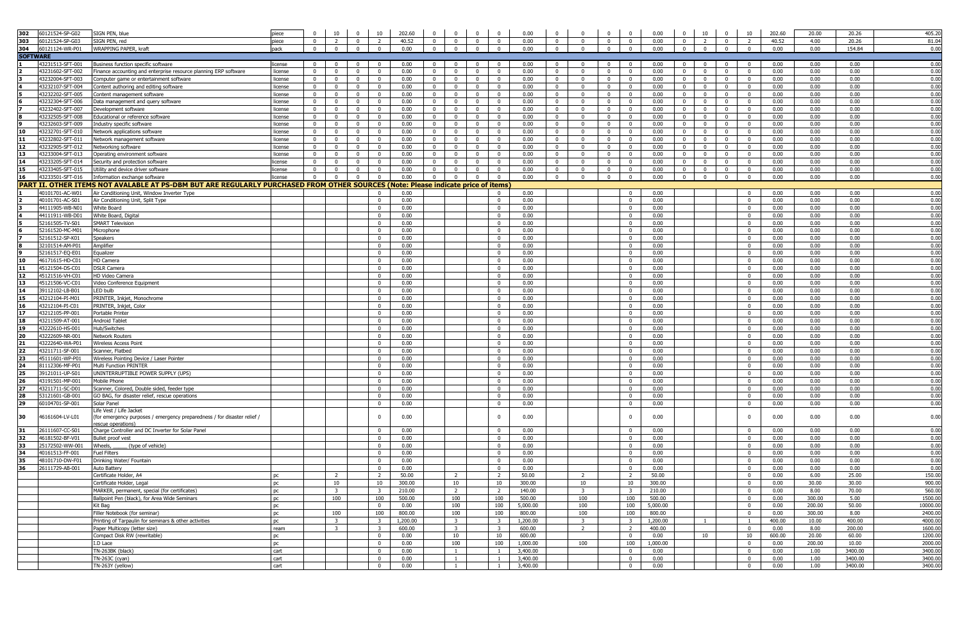| 302             | 60121524-SP-G02                      | SIGN PEN, blue                                                                                                                   | piece              |                                  | 10                             | $\overline{0}$                   | 10                               | 202.60             | $\mathbf{0}$                   | $\mathbf{0}$                   | $\mathbf{0}$               | $\mathbf{0}$                   | 0.00               | $\mathbf{0}$                                                 | $\mathbf 0$<br>$\mathbf 0$                                      | 0.00               | $\mathbf{0}$                     | 10                               | $\mathbf{0}$<br>10                                               | 202.60         | 20.00            | 20.26         | 405.20              |
|-----------------|--------------------------------------|----------------------------------------------------------------------------------------------------------------------------------|--------------------|----------------------------------|--------------------------------|----------------------------------|----------------------------------|--------------------|--------------------------------|--------------------------------|----------------------------|--------------------------------|--------------------|--------------------------------------------------------------|-----------------------------------------------------------------|--------------------|----------------------------------|----------------------------------|------------------------------------------------------------------|----------------|------------------|---------------|---------------------|
| 303             | 60121524-SP-G03                      | SIGN PEN, red                                                                                                                    | piece              | $\overline{0}$                   | $\overline{2}$                 | $\overline{0}$                   | $\overline{2}$                   | 40.52              | $\mathbf 0$                    | $\overline{0}$                 | $\mathbf{0}$               | $\mathbf{0}$                   | 0.00               | $\overline{0}$<br>$\mathbf{0}$                               | $\overline{0}$<br>$\overline{\mathbf{0}}$                       | 0.00               | $\mathbf{0}$                     | $\overline{2}$                   | $\mathbf{0}$<br>$\overline{2}$                                   | 40.52          | 4.00             | 20.26         | 81.04               |
| 304             | 60121124-WR-P01                      | WRAPPING PAPER, kraft                                                                                                            | pack               | $\overline{0}$                   | $\overline{0}$                 | $\overline{0}$                   | $\overline{0}$                   | 0.00               | $\mathbf{0}$                   | $\overline{0}$                 | $^{\circ}$                 | $\mathbf{0}$                   | 0.00               | $\overline{0}$<br>$\mathbf{0}$                               | $\overline{0}$<br>$\mathbf 0$                                   | 0.00               | $\overline{0}$                   | $\overline{0}$                   | $\overline{0}$<br>$\Omega$                                       | 0.00           | 0.00             | 154.84        | 0.00                |
| <b>SOFTWARE</b> |                                      |                                                                                                                                  |                    |                                  |                                |                                  |                                  |                    |                                |                                |                            |                                |                    |                                                              |                                                                 |                    |                                  |                                  |                                                                  |                |                  |               |                     |
|                 | 43231513-SFT-001                     | Business function specific software                                                                                              | license            | $\mathbf{0}$                     | $\overline{0}$                 | $\mathbf{0}$                     | $\mathbf 0$                      | 0.00               | $\Omega$                       | $\mathbf 0$                    | $\mathbf 0$                | $\mathbf 0$                    | 0.00               | $\mathbf{0}$<br>$\Omega$                                     | $\mathbf 0$<br>$\mathbf{0}$                                     | 0.00               | $\mathbf{0}$                     | $\mathbf 0$                      | $\mathbf 0$<br>$^{\circ}$                                        | 0.00           | 0.00             | 0.00          | 0.00                |
|                 | 43231602-SFT-002                     | Finance accounting and enterprise resource planning ERP software                                                                 | license            | $\overline{0}$                   | $\mathbf{0}$                   | $\overline{0}$                   | $\mathbf 0$                      | 0.00               | $\overline{0}$                 | $\mathbf 0$                    | $\mathbf{0}$               | $\mathbf 0$                    | 0.00               | $\overline{0}$<br>$\Omega$                                   | $\mathbf{0}$<br>$\overline{\mathbf{0}}$                         | 0.00               | $\overline{0}$                   | $\overline{0}$                   | $\mathbf 0$<br>$\overline{0}$                                    | 0.00           | 0.00             | 0.00          | 0.00                |
|                 | 43232004-SFT-003                     | Computer game or entertainment software                                                                                          | license            | $\overline{0}$                   | $\overline{0}$                 | $\overline{0}$                   | $\mathbf 0$                      | 0.00               | $\mathbf 0$                    | $\mathbf 0$                    | $\mathbf{0}$               | $\mathbf{0}$                   | 0.00               | $\mathbf{0}$<br>$\Omega$                                     | $\overline{0}$<br>$\mathbf 0$                                   | 0.00               | $\overline{0}$                   | $\mathbf 0$                      | $\mathbf{0}$<br>$\mathbf{0}$                                     | 0.00           | 0.00             | 0.00          | 0.00                |
| l4              | 43232107-SFT-004                     | Content authoring and editing software                                                                                           | license            | $\mathbf{0}$                     | $\mathbf{0}$                   | $\overline{0}$                   | $\overline{0}$                   | 0.00               | $\bf{0}$                       | $\overline{0}$                 | $\mathbf{0}$               | $\mathbf{0}$                   | 0.00               | $\overline{0}$<br>$\mathbf{0}$                               | $\overline{0}$<br>$\overline{0}$                                | 0.00               | $\overline{0}$                   | $\overline{0}$                   | $\overline{0}$<br>$\overline{0}$                                 | 0.00           | 0.00             | 0.00          | 0.00                |
| l5.<br>l6       | 43232202-SFT-005                     | Content management software                                                                                                      | license            | $\overline{0}$                   | $\overline{0}$                 | $\overline{0}$                   | $\overline{0}$                   | 0.00               | $\mathbf{0}$                   | $\overline{0}$                 | $\mathbf{0}$               | $\mathbf{0}$                   | 0.00               | $\overline{0}$<br>$\Omega$                                   | $\overline{0}$<br>$\overline{0}$                                | 0.00               | $\overline{0}$                   | $\overline{0}$                   | $\overline{0}$<br>$\overline{0}$                                 | 0.00           | 0.00             | 0.00          | 0.00                |
|                 | 43232304-SFT-006<br>43232402-SFT-007 | Data management and query software<br>Development software                                                                       | license<br>license | $\overline{0}$<br>$\overline{0}$ | $\overline{0}$<br>$\mathbf{0}$ | $\overline{0}$<br>$\overline{0}$ | $\overline{0}$<br>$\overline{0}$ | 0.00<br>0.00       | $\overline{0}$<br>$\mathbf{0}$ | $\mathbf{0}$<br>$\mathbf{0}$   | $\mathbf{0}$<br>$^{\circ}$ | $\overline{0}$<br>$^{\circ}$   | 0.00<br>0.00       | $\overline{0}$<br>$^{\circ}$<br>$\mathbf{0}$<br>$\mathbf{0}$ | $\mathbf{0}$<br>$\overline{0}$<br>$\overline{0}$<br>$\mathbf 0$ | 0.00<br>0.00       | $\overline{0}$<br>$\overline{0}$ | $\overline{0}$<br>$\overline{0}$ | $\overline{0}$<br>$\mathbf{0}$<br>$\mathbf{0}$<br>$\overline{0}$ | 0.00<br>0.00   | 0.00<br>0.00     | 0.00<br>0.00  | 0.00<br>0.00        |
| 8               | 43232505-SFT-008                     | Educational or reference software                                                                                                | license            | $\overline{0}$                   | $\mathbf{0}$                   | $\overline{\mathbf{0}}$          | $\mathbf 0$                      | 0.00               | $\mathbf 0$                    | $\mathbf{0}$                   | $\mathbf{0}$               | $\mathbf{0}$                   | 0.00               | $\mathbf{0}$<br>$\mathbf{0}$                                 | $\overline{0}$<br>$\overline{\mathbf{0}}$                       | 0.00               | $\overline{0}$                   | $\overline{0}$                   | $\mathbf{0}$<br>$\overline{0}$                                   | 0.00           | 0.00             | 0.00          | 0.00                |
|                 | 43232603-SFT-009                     | Industry specific software                                                                                                       | license            | $\overline{0}$                   | $\mathbf{0}$                   | $\mathbf{0}$                     | $\mathbf 0$                      | 0.00               | $\mathbf{0}$                   | $\mathbf{0}$                   | $\mathbf{0}$               | $\mathbf{0}$                   | 0.00               | $\mathbf{0}$<br>$\mathbf{0}$                                 | $\mathbf{0}$<br>$\overline{\mathbf{0}}$                         | 0.00               | $\mathbf{0}$                     | $\overline{0}$                   | $\mathbf{0}$<br>$\mathbf{0}$                                     | 0.00           | 0.00             | 0.00          | 0.00                |
| 10              | 43232701-SFT-010                     | Network applications software                                                                                                    | license            | $\overline{0}$                   | $\mathbf{0}$                   | $\overline{\mathbf{0}}$          | $\overline{0}$                   | 0.00               | $\mathbf 0$                    | $\mathbf{0}$                   | $\mathbf{0}$               | $\mathbf{0}$                   | 0.00               | $\mathbf{0}$<br>$\mathbf{0}$                                 | $\overline{0}$<br>$\overline{\mathbf{0}}$                       | 0.00               | $\overline{0}$                   | $\overline{0}$                   | $\mathbf{0}$<br>$\mathbf{0}$                                     | 0.00           | 0.00             | 0.00          | 0.00                |
| 11              | 43232802-SFT-011                     | Network management software                                                                                                      | license            | $\overline{0}$                   | $\overline{0}$                 | $\mathbf 0$                      | $\mathbf 0$                      | 0.00               | $\mathbf{0}$                   | $\bf{0}$                       | $\bf{0}$                   | $\bf{0}$                       | 0.00               | $\mathbf 0$<br>$\Omega$                                      | $\mathbf{0}$<br>$\overline{0}$                                  | 0.00               | $\overline{0}$                   | $\mathbf 0$                      | $\overline{0}$<br>$\mathbf 0$                                    | 0.00           | 0.00             | 0.00          | 0.00                |
| 12              | 43232905-SFT-012                     | Networking software                                                                                                              | license            | $\overline{0}$                   | $\mathbf{0}$                   | $\overline{0}$                   | $\overline{0}$                   | 0.00               | $\mathbf{0}$                   | $\mathbf{0}$                   | $\mathbf{0}$               | $\mathbf{0}$                   | 0.00               | $\mathbf{0}$<br>$^{\circ}$                                   | $\mathbf{0}$<br>$\overline{0}$                                  | 0.00               | $\overline{0}$                   | $\overline{0}$                   | $\mathbf{0}$<br>$\mathbf{0}$                                     | 0.00           | 0.00             | 0.00          | 0.00                |
| 13              | 43233004-SFT-013                     | Operating environment software                                                                                                   | license            | $\overline{0}$                   | $\overline{0}$                 | $\overline{0}$                   | $\overline{0}$                   | 0.00               | $\overline{0}$                 | $\overline{0}$                 | $\overline{0}$             | $\mathbf{0}$                   | 0.00               | $\overline{0}$<br>$\mathbf{0}$                               | $\overline{0}$<br>$\overline{0}$                                | 0.00               | $\overline{0}$                   | $\overline{0}$                   | $\overline{0}$<br>$\overline{0}$                                 | 0.00           | 0.00             | 0.00          | 0.00                |
| 14              | 43233205-SFT-014                     | Security and protection software                                                                                                 | license            | $\overline{0}$                   | $\overline{0}$                 | $\overline{0}$                   | $\overline{0}$                   | 0.00               | $\overline{0}$                 | $\overline{0}$                 | $\overline{0}$             | $\overline{0}$                 | 0.00               | $\mathbf{0}$<br>$^{\circ}$                                   | $\mathbf{0}$<br>$\overline{0}$                                  | 0.00               | $\overline{0}$                   | $\overline{0}$                   | $\overline{0}$<br>$\overline{0}$                                 | 0.00           | 0.00             | 0.00          | 0.00                |
| 15              | 43233405-SFT-015                     | Utility and device driver software                                                                                               | license            | $\overline{0}$                   | $\overline{0}$                 | $\overline{0}$                   | $\overline{0}$                   | 0.00               | $\mathbf{0}$                   | $\overline{0}$                 | $\mathbf{0}$               | $\overline{0}$                 | 0.00               | $\overline{0}$<br>$^{\circ}$                                 | $\overline{0}$<br>$\overline{0}$                                | 0.00               | $\overline{0}$                   | $\overline{0}$                   | $\overline{0}$<br>$\overline{0}$                                 | 0.00           | 0.00             | 0.00          | 0.00                |
| 16              | 43233501-SFT-016                     | Information exchange software                                                                                                    | license            | $\overline{0}$                   | $\overline{\mathbf{0}}$        | $\overline{0}$                   | $\overline{0}$                   | 0.00               | $\overline{0}$                 | $\overline{0}$                 | $\overline{0}$             | $\overline{0}$                 | 0.00               | $\overline{0}$<br>$\overline{0}$                             | $\overline{\mathbf{0}}$<br>$\overline{0}$                       | 0.00               | $0$ 0                            |                                  | $\overline{0}$<br>$\overline{0}$                                 | 0.00           | 0.00             | 0.00          | 0.00                |
|                 |                                      | PART II. OTHER ITEMS NOT AVALABLE AT PS-DBM BUT ARE REGULARLY PURCHASED FROM OTHER SOURCES (Note: Please indicate price of items |                    |                                  |                                |                                  |                                  |                    |                                |                                |                            |                                |                    |                                                              |                                                                 |                    |                                  |                                  |                                                                  |                |                  |               |                     |
|                 | 40101701-AC-W01                      | Air Conditioning Unit, Window Inverter Type                                                                                      |                    |                                  |                                |                                  | $\mathbf 0$                      | 0.00               |                                |                                |                            | $\mathbf 0$                    | 0.00               |                                                              | $\overline{0}$                                                  | 0.00               |                                  |                                  | $^{\circ}$                                                       | 0.00           | 0.00             | 0.00          | 0.00                |
| 2<br>Iз         | 40101701-AC-S01                      | Air Conditioning Unit, Split Type                                                                                                |                    |                                  |                                |                                  | $\mathbf{0}$                     | 0.00               |                                |                                |                            | $\mathbf{0}$                   | 0.00               |                                                              | $\overline{\mathbf{0}}$                                         | 0.00               |                                  |                                  | $\overline{0}$                                                   | 0.00           | 0.00             | 0.00          | 0.00                |
| l4              | 44111905-WB-N01<br>44111911-WB-D01   | <b>White Board</b><br>White Board, Digital                                                                                       |                    |                                  |                                |                                  | $\mathbf{0}$<br>$\mathbf{0}$     | 0.00<br>0.00       |                                |                                |                            | $\mathbf{0}$<br>$\overline{0}$ | 0.00<br>0.00       |                                                              | $\overline{0}$<br>$\overline{0}$                                | 0.00<br>0.00       |                                  |                                  | $\mathbf{0}$<br>$\overline{0}$                                   | 0.00<br>0.00   | 0.00<br>0.00     | 0.00<br>0.00  | 0.00<br>0.00        |
|                 | 52161505-TV-S01                      | <b>SMART Television</b>                                                                                                          |                    |                                  |                                |                                  | $\mathbf 0$                      | 0.00               |                                |                                |                            | $\mathbf 0$                    | 0.00               |                                                              | $\Omega$                                                        | 0.00               |                                  |                                  | $\mathbf{0}$                                                     | 0.00           | 0.00             | 0.00          | 0.00                |
| l6              | 52161520-MC-M01                      | Microphone                                                                                                                       |                    |                                  |                                |                                  | $\mathbf 0$                      | 0.00               |                                |                                |                            | $\mathbf{0}$                   | 0.00               |                                                              | $\overline{\mathbf{0}}$                                         | 0.00               |                                  |                                  | $\overline{0}$                                                   | 0.00           | 0.00             | 0.00          | 0.00                |
| 17              | 52161512-SP-K01                      | Speakers                                                                                                                         |                    |                                  |                                |                                  | $\mathbf 0$                      | 0.00               |                                |                                |                            | $\mathbf 0$                    | 0.00               |                                                              | $\overline{\mathbf{0}}$                                         | 0.00               |                                  |                                  | $\mathbf 0$                                                      | 0.00           | 0.00             | 0.00          | 0.00                |
|                 | 32101514-AM-P01                      | Amplifier                                                                                                                        |                    |                                  |                                |                                  | $\mathbf{0}$                     | 0.00               |                                |                                |                            | $\mathbf{0}$                   | 0.00               |                                                              | 0                                                               | 0.00               |                                  |                                  | $\mathbf{0}$                                                     | 0.00           | 0.00             | 0.00          | 0.00                |
| l9.             | 52161517-EQ-E01                      | Equalizer                                                                                                                        |                    |                                  |                                |                                  | $\mathbf 0$                      | 0.00               |                                |                                |                            | $\bf{0}$                       | 0.00               |                                                              | $\overline{\mathbf{0}}$                                         | 0.00               |                                  |                                  | $\overline{0}$                                                   | 0.00           | 0.00             | 0.00          | 0.00                |
| 10              | 46171615-HD-C01                      | HD Camera                                                                                                                        |                    |                                  |                                |                                  | $\mathbf 0$                      | 0.00               |                                |                                |                            | $^{\circ}$                     | 0.00               |                                                              | $\overline{0}$                                                  | 0.00               |                                  |                                  | $\mathbf{0}$                                                     | 0.00           | 0.00             | 0.00          | 0.00                |
| 11              | 45121504-DS-C01                      | <b>DSLR Camera</b>                                                                                                               |                    |                                  |                                |                                  | $\mathbf{0}$                     | 0.00               |                                |                                |                            | $^{\circ}$                     | 0.00               |                                                              | $\overline{0}$                                                  | 0.00               |                                  |                                  | $\overline{0}$                                                   | 0.00           | 0.00             | 0.00          | 0.00                |
| 12              | 45121516-VH-C01                      | <b>HD Video Camera</b>                                                                                                           |                    |                                  |                                |                                  | $\mathbf{0}$                     | 0.00               |                                |                                |                            | $^{\circ}$                     | 0.00               |                                                              | $\Omega$                                                        | 0.00               |                                  |                                  | $\mathbf{0}$                                                     | 0.00           | 0.00             | 0.00          | 0.00                |
| 13              | 45121506-VC-C01                      | Video Conference Equipment                                                                                                       |                    |                                  |                                |                                  | $\mathbf 0$                      | 0.00               |                                |                                |                            | $\mathbf{0}$                   | 0.00               |                                                              | $\overline{0}$                                                  | 0.00               |                                  |                                  | $\overline{0}$                                                   | 0.00           | 0.00             | 0.00          | 0.00                |
| 14              | 39112102-LB-B01                      | LED bulb                                                                                                                         |                    |                                  |                                |                                  | $\mathbf 0$                      | 0.00               |                                |                                |                            | $\mathbf{0}$                   | 0.00               |                                                              | $\Omega$                                                        | 0.00               |                                  |                                  | $\mathbf{0}$                                                     | 0.00           | 0.00             | 0.00          | 0.00                |
| 15<br>16        | 43212104-PI-M01<br>43212104-PI-C01   | PRINTER, Inkjet, Monochrome<br>PRINTER, Inkjet, Color                                                                            |                    |                                  |                                |                                  | $\mathbf 0$<br>$\mathbf 0$       | 0.00<br>0.00       |                                |                                |                            | $\mathbf 0$<br>$\mathbf 0$     | 0.00<br>0.00       |                                                              | $\overline{\mathbf{0}}$<br>$\overline{\mathbf{0}}$              | 0.00<br>0.00       |                                  |                                  | $\mathbf{0}$<br>$\mathbf 0$                                      | 0.00<br>0.00   | 0.00<br>0.00     | 0.00<br>0.00  | 0.00<br>0.00        |
| 17              | 43212105-PP-001                      | Portable Printer                                                                                                                 |                    |                                  |                                |                                  | $\mathbf 0$                      | 0.00               |                                |                                |                            | $\overline{0}$                 | 0.00               |                                                              | $\mathbf 0$                                                     | 0.00               |                                  |                                  | $\overline{0}$                                                   | 0.00           | 0.00             | 0.00          | 0.00                |
| 18              | 43211509-AT-001                      | Android Tablet                                                                                                                   |                    |                                  |                                |                                  | $\mathbf{0}$                     | 0.00               |                                |                                |                            | $\bf{0}$                       | 0.00               |                                                              | $\overline{0}$                                                  | 0.00               |                                  |                                  | $\overline{0}$                                                   | 0.00           | 0.00             | 0.00          | 0.00                |
| 19              | 43222610-HS-001                      | Hub/Switches                                                                                                                     |                    |                                  |                                |                                  | $\mathbf 0$                      | 0.00               |                                |                                |                            | $\mathbf{0}$                   | 0.00               |                                                              | $\overline{0}$                                                  | 0.00               |                                  |                                  | $^{\circ}$                                                       | 0.00           | 0.00             | 0.00          | 0.00                |
| 20              | 43222609-NR-001                      | <b>Network Routers</b>                                                                                                           |                    |                                  |                                |                                  | $\mathbf{0}$                     | 0.00               |                                |                                |                            | $\overline{0}$                 | 0.00               |                                                              | $\overline{0}$                                                  | 0.00               |                                  |                                  | $\overline{0}$                                                   | 0.00           | 0.00             | 0.00          | 0.00                |
| 21              | 43222640-WA-P01                      | <b>Wireless Access Point</b>                                                                                                     |                    |                                  |                                |                                  | $\mathbf{0}$                     | 0.00               |                                |                                |                            | $\mathbf{0}$                   | 0.00               |                                                              | $\overline{0}$                                                  | 0.00               |                                  |                                  | $\mathbf{0}$                                                     | 0.00           | 0.00             | 0.00          | 0.00                |
| 22              | 43211711-SF-001                      | Scanner, Flatbed                                                                                                                 |                    |                                  |                                |                                  | $\mathbf 0$                      | 0.00               |                                |                                |                            | $\mathbf{0}$                   | 0.00               |                                                              | $\overline{\mathbf{0}}$                                         | 0.00               |                                  |                                  | $\mathbf{0}$                                                     | 0.00           | 0.00             | 0.00          | 0.00                |
| 23              | 45111601-WP-P01                      | Wireless Pointing Device / Laser Pointer                                                                                         |                    |                                  |                                |                                  | $\mathbf 0$                      | 0.00               |                                |                                |                            | $\mathbf 0$                    | 0.00               |                                                              | $\overline{\mathbf{0}}$                                         | 0.00               |                                  |                                  | $\mathbf 0$                                                      | 0.00           | 0.00             | 0.00          | 0.00                |
| 24              | 81112306-MF-P01                      | Multi Function PRINTER                                                                                                           |                    |                                  |                                |                                  | $\mathbf 0$                      | 0.00               |                                |                                |                            | $\mathbf{0}$                   | 0.00               |                                                              | $\overline{\mathbf{0}}$                                         | 0.00               |                                  |                                  | $\overline{0}$                                                   | 0.00           | 0.00             | 0.00          | 0.00                |
| 25              | 39121011-UP-S01                      | UNINTERRUPTIBLE POWER SUPPLY (UPS)                                                                                               |                    |                                  |                                |                                  | $\mathbf 0$                      | 0.00               |                                |                                |                            | $\mathbf 0$                    | 0.00               |                                                              | $\overline{\mathbf{0}}$                                         | 0.00               |                                  |                                  | $\mathbf 0$                                                      | 0.00           | 0.00             | 0.00          | 0.00                |
| 26<br>27        | 43191501-MP-001<br>43211711-SC-D01   | Mobile Phone<br>Scanner, Colored, Double sided, feeder type                                                                      |                    |                                  |                                |                                  | $\mathbf 0$<br>$^{\circ}$        | 0.00<br>0.00       |                                |                                |                            | $\mathbf{0}$<br>$\overline{0}$ | 0.00<br>0.00       |                                                              | $\overline{0}$<br>$\overline{0}$                                | 0.00<br>0.00       |                                  |                                  | $\mathbf{0}$<br>$\overline{0}$                                   | 0.00<br>0.00   | 0.00<br>0.00     | 0.00<br>0.00  | 0.00<br>0.00        |
| 28              | 53121601-GB-001                      | GO BAG, for disaster relief, rescue operations                                                                                   |                    |                                  |                                |                                  | $\mathbf 0$                      | 0.00               |                                |                                |                            | $\mathbf{0}$                   | 0.00               |                                                              | $\overline{0}$                                                  | 0.00               |                                  |                                  | $\mathbf{0}$                                                     | 0.00           | 0.00             | 0.00          | 0.00                |
| 29              | 60104701-SP-001                      | Solar Panel                                                                                                                      |                    |                                  |                                |                                  | $^{\circ}$                       | 0.00               |                                |                                |                            | $\mathbf{0}$                   | 0.00               |                                                              | $\overline{0}$                                                  | 0.00               |                                  |                                  | $\overline{0}$                                                   | 0.00           | 0.00             | 0.00          | 0.00                |
|                 |                                      | Life Vest / Life Jacket                                                                                                          |                    |                                  |                                |                                  |                                  |                    |                                |                                |                            |                                |                    |                                                              |                                                                 |                    |                                  |                                  |                                                                  |                |                  |               |                     |
| 30              | 46161604-LV-L01                      | (for emergency purposes / emergency preparedness / for disaster relief /                                                         |                    |                                  |                                |                                  | $\mathbf 0$                      | 0.00               |                                |                                |                            | $\mathbf 0$                    | 0.00               |                                                              | $\mathbf 0$                                                     | 0.00               |                                  |                                  | $\mathbf 0$                                                      | 0.00           | 0.00             | 0.00          | 0.00                |
| 31              | 26111607-CC-S01                      | rescue operations)<br>Charge Controller and DC Inverter for Solar Panel                                                          |                    |                                  |                                |                                  |                                  | 0.00               |                                |                                |                            |                                | 0.00               |                                                              | $\mathbf 0$                                                     | 0.00               |                                  |                                  | $\mathbf{0}$                                                     | 0.00           | 0.00             | 0.00          | 0.00                |
| 32              | 46181502-BF-V01                      | Bullet proof vest                                                                                                                |                    |                                  |                                |                                  | $\mathbf{0}$<br>$\mathbf{0}$     | 0.00               |                                |                                |                            | $\mathbf{0}$<br>$\mathbf{0}$   | 0.00               |                                                              | $\overline{0}$                                                  | 0.00               |                                  |                                  | $\overline{0}$                                                   | 0.00           | 0.00             | 0.00          | 0.00                |
| 33              | 25172502-WW-001                      | Wheels,<br>(type of vehicle)                                                                                                     |                    |                                  |                                |                                  | $\mathbf 0$                      | 0.00               |                                |                                |                            | $^{\circ}$                     | 0.00               |                                                              | $\overline{0}$                                                  | 0.00               |                                  |                                  | $\mathbf{0}$                                                     | 0.00           | 0.00             | 0.00          | 0.00                |
| 34              | 40161513-FF-001                      | <b>Fuel Filters</b>                                                                                                              |                    |                                  |                                |                                  | $\mathbf{0}$                     | 0.00               |                                |                                |                            | $\overline{0}$                 | 0.00               |                                                              | $\overline{0}$                                                  | 0.00               |                                  |                                  | $\overline{0}$                                                   | 0.00           | 0.00             | 0.00          | 0.00                |
| 35              | 48101710-DW-F01                      | Drinking Water/ Fountain                                                                                                         |                    |                                  |                                |                                  | $\mathbf{0}$                     | 0.00               |                                |                                |                            | $^{\circ}$                     | 0.00               |                                                              | $\overline{0}$                                                  | 0.00               |                                  |                                  | $\mathbf{0}$                                                     | 0.00           | 0.00             | 0.00          | 0.00                |
| 36              | 26111729-AB-001                      | <b>Auto Battery</b>                                                                                                              |                    |                                  |                                |                                  | $\mathbf 0$                      | 0.00               |                                |                                |                            | $\mathbf{0}$                   | 0.00               |                                                              | $\Omega$                                                        | 0.00               |                                  |                                  | $\overline{\mathbf{0}}$                                          | 0.00           | 0.00             | 0.00          | 0.00                |
|                 |                                      | Certificate Holder, A4                                                                                                           | nc.                |                                  | -2                             |                                  | $\overline{2}$                   | 50.00              |                                | $\overline{2}$                 |                            | 2                              | 50.00              | $\overline{2}$                                               |                                                                 | 50.00              |                                  |                                  | $\Omega$                                                         | 0.00           | 6.00             | 25.00         | 150.00              |
|                 |                                      | Certificate Holder, Legal                                                                                                        | <b>DC</b>          |                                  | 10                             |                                  | 10                               | 300.00             |                                | 10                             |                            | 10                             | 300.00             | 10                                                           | 10                                                              | 300.00             |                                  |                                  | $\overline{0}$                                                   | 0.00           | 30.00            | 30.00         | 900.00              |
|                 |                                      | MARKER, permanent, special (for certificates)                                                                                    | <b>DC</b>          |                                  | $\overline{\mathbf{3}}$        |                                  | $\overline{\mathbf{3}}$          | 210.00             |                                | $\overline{2}$                 |                            | $\overline{2}$                 | 140.00             | $\overline{3}$                                               | $\overline{\mathbf{3}}$                                         | 210.00             |                                  |                                  | $\mathbf 0$                                                      | 0.00           | 8.00             | 70.00         | 560.00              |
|                 |                                      | Ballpoint Pen (black), for Area Wide Seminars                                                                                    | pc                 |                                  | 100                            |                                  | 100                              | 500.00             |                                | 100                            |                            | 100                            | 500.00             | 100                                                          | 100                                                             | 500.00             |                                  |                                  | $\mathbf{0}$                                                     | 0.00           | 300.00           | 5.00          | 1500.00             |
|                 |                                      | Kit Bag<br>Filler Notebook (for seminar)                                                                                         | pc                 |                                  |                                |                                  | $\mathbf{0}$                     | 0.00               |                                | 100                            |                            | 100                            | 5,000.00<br>800.00 | 100<br>100                                                   | 100<br>100                                                      | 5,000.00           |                                  |                                  | $\overline{0}$<br>$\overline{0}$                                 | 0.00           | 200.00<br>300.00 | 50.00<br>8.00 | 10000.00<br>2400.00 |
|                 |                                      | Printing of Tarpaulin for seminars & other activities                                                                            | pc<br>pc           |                                  | 100<br>$\overline{\mathbf{3}}$ |                                  | 100<br>$\overline{\mathbf{3}}$   | 800.00<br>1,200.00 |                                | 100<br>$\overline{\mathbf{3}}$ |                            | 100<br>$\overline{\mathbf{3}}$ | 1,200.00           | $\overline{\mathbf{3}}$                                      | $\overline{\mathbf{3}}$                                         | 800.00<br>1,200.00 |                                  | $\overline{1}$                   | $\overline{1}$                                                   | 0.00<br>400.00 | 10.00            | 400.00        | 4000.00             |
|                 |                                      | Paper Multicopy (letter size)                                                                                                    | ream               |                                  | $\overline{\mathbf{3}}$        |                                  | $\overline{3}$                   | 600.00             |                                | $\overline{\mathbf{3}}$        |                            | $\overline{\mathbf{3}}$        | 600.00             | 2                                                            | 2                                                               | 400.00             |                                  |                                  | $\overline{0}$                                                   | 0.00           | 8.00             | 200.00        | 1600.00             |
|                 |                                      | Compact Disk RW (rewritable)                                                                                                     | pc                 |                                  |                                |                                  | $\mathbf{0}$                     | 0.00               |                                | 10                             |                            | 10                             | 600.00             |                                                              | $\overline{\mathbf{0}}$                                         | 0.00               |                                  | 10                               | 10                                                               | 600.00         | 20.00            | 60.00         | 1200.00             |
|                 |                                      | I.D Lace                                                                                                                         | pc                 |                                  |                                |                                  | $\overline{0}$                   | 0.00               |                                | 100                            |                            | 100                            | 1,000.00           | 100                                                          | 100                                                             | 1,000.00           |                                  |                                  | $\overline{\mathbf{0}}$                                          | 0.00           | 200.00           | 10.00         | 2000.00             |
|                 |                                      | $TN-263BK$ (black)                                                                                                               | cart               |                                  |                                |                                  | $\mathbf{0}$                     | 0.00               |                                | $\mathbf{1}$                   |                            | 1                              | 3,400.00           |                                                              | $\overline{\mathbf{0}}$                                         | 0.00               |                                  |                                  | $\mathbf{0}$                                                     | 0.00           | 1.00             | 3400.00       | 3400.00             |
|                 |                                      | TN-263C (cyan)                                                                                                                   | cart               |                                  |                                |                                  | $\mathbf 0$                      | 0.00               |                                | $\overline{1}$                 |                            | 1                              | 3,400.00           |                                                              | $\overline{\mathbf{0}}$                                         | 0.00               |                                  |                                  | $\mathbf 0$                                                      | 0.00           | 1.00             | 3400.00       | 3400.00             |
|                 |                                      | TN-263Y (yellow)                                                                                                                 | cart               |                                  |                                |                                  | $\overline{0}$                   | 0.00               |                                | $\overline{1}$                 |                            | $\mathbf{1}$                   | 3,400.00           |                                                              | $\overline{0}$                                                  | 0.00               |                                  |                                  | $\overline{0}$                                                   | 0.00           | 1.00             | 3400.00       | 3400.00             |